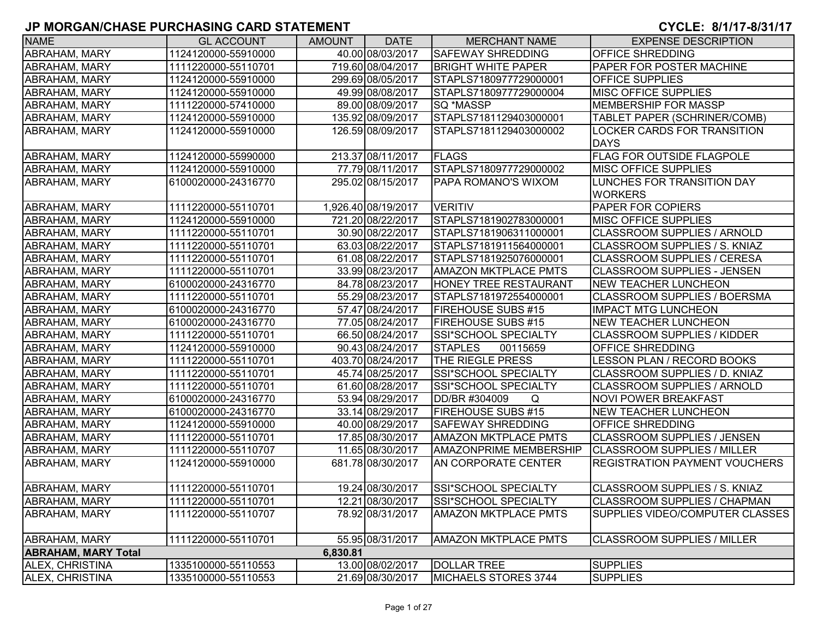| <b>NAME</b>                | <b>GL ACCOUNT</b>   | <b>AMOUNT</b> | <b>DATE</b>         | <b>MERCHANT NAME</b>          | <b>EXPENSE DESCRIPTION</b>                   |
|----------------------------|---------------------|---------------|---------------------|-------------------------------|----------------------------------------------|
| ABRAHAM, MARY              | 1124120000-55910000 |               | 40.00 08/03/2017    | <b>SAFEWAY SHREDDING</b>      | OFFICE SHREDDING                             |
| <b>ABRAHAM, MARY</b>       | 1111220000-55110701 |               | 719.60 08/04/2017   | <b>BRIGHT WHITE PAPER</b>     | PAPER FOR POSTER MACHINE                     |
| <b>ABRAHAM, MARY</b>       | 1124120000-55910000 |               | 299.69 08/05/2017   | STAPLS7180977729000001        | <b>OFFICE SUPPLIES</b>                       |
| <b>ABRAHAM, MARY</b>       | 1124120000-55910000 |               | 49.99 08/08/2017    | STAPLS7180977729000004        | <b>MISC OFFICE SUPPLIES</b>                  |
| <b>ABRAHAM, MARY</b>       | 1111220000-57410000 |               | 89.00 08/09/2017    | SQ *MASSP                     | <b>MEMBERSHIP FOR MASSP</b>                  |
| ABRAHAM, MARY              | 1124120000-55910000 |               | 135.92 08/09/2017   | STAPLS7181129403000001        | TABLET PAPER (SCHRINER/COMB)                 |
| <b>ABRAHAM, MARY</b>       | 1124120000-55910000 |               | 126.59 08/09/2017   | STAPLS7181129403000002        | LOCKER CARDS FOR TRANSITION<br><b>DAYS</b>   |
| ABRAHAM, MARY              | 1124120000-55990000 |               | 213.37 08/11/2017   | <b>FLAGS</b>                  | <b>FLAG FOR OUTSIDE FLAGPOLE</b>             |
| ABRAHAM, MARY              | 1124120000-55910000 |               | 77.79 08/11/2017    | STAPLS7180977729000002        | MISC OFFICE SUPPLIES                         |
| ABRAHAM, MARY              | 6100020000-24316770 |               | 295.02 08/15/2017   | PAPA ROMANO'S WIXOM           | LUNCHES FOR TRANSITION DAY<br><b>WORKERS</b> |
| <b>ABRAHAM, MARY</b>       | 1111220000-55110701 |               | 1,926.40 08/19/2017 | <b>VERITIV</b>                | PAPER FOR COPIERS                            |
| ABRAHAM, MARY              | 1124120000-55910000 |               | 721.20 08/22/2017   | STAPLS7181902783000001        | MISC OFFICE SUPPLIES                         |
| ABRAHAM, MARY              | 1111220000-55110701 |               | 30.90 08/22/2017    | STAPLS7181906311000001        | <b>CLASSROOM SUPPLIES / ARNOLD</b>           |
| ABRAHAM, MARY              | 1111220000-55110701 |               | 63.03 08/22/2017    | STAPLS7181911564000001        | CLASSROOM SUPPLIES / S. KNIAZ                |
| ABRAHAM, MARY              | 1111220000-55110701 |               | 61.08 08/22/2017    | STAPLS7181925076000001        | <b>CLASSROOM SUPPLIES / CERESA</b>           |
| <b>ABRAHAM, MARY</b>       | 1111220000-55110701 |               | 33.99 08/23/2017    | <b>AMAZON MKTPLACE PMTS</b>   | <b>CLASSROOM SUPPLIES - JENSEN</b>           |
| <b>ABRAHAM, MARY</b>       | 6100020000-24316770 |               | 84.78 08/23/2017    | HONEY TREE RESTAURANT         | <b>NEW TEACHER LUNCHEON</b>                  |
| <b>ABRAHAM, MARY</b>       | 1111220000-55110701 |               | 55.29 08/23/2017    | STAPLS7181972554000001        | <b>CLASSROOM SUPPLIES / BOERSMA</b>          |
| <b>ABRAHAM, MARY</b>       | 6100020000-24316770 |               | 57.47 08/24/2017    | <b>FIREHOUSE SUBS #15</b>     | <b>IMPACT MTG LUNCHEON</b>                   |
| <b>ABRAHAM, MARY</b>       | 6100020000-24316770 |               | 77.05 08/24/2017    | <b>FIREHOUSE SUBS #15</b>     | <b>NEW TEACHER LUNCHEON</b>                  |
| <b>ABRAHAM, MARY</b>       | 1111220000-55110701 |               | 66.50 08/24/2017    | SSI*SCHOOL SPECIALTY          | <b>CLASSROOM SUPPLIES / KIDDER</b>           |
| <b>ABRAHAM, MARY</b>       | 1124120000-55910000 |               | 90.43 08/24/2017    | <b>STAPLES</b><br>00115659    | <b>OFFICE SHREDDING</b>                      |
| <b>ABRAHAM, MARY</b>       | 1111220000-55110701 |               | 403.70 08/24/2017   | THE RIEGLE PRESS              | LESSON PLAN / RECORD BOOKS                   |
| ABRAHAM, MARY              | 1111220000-55110701 |               | 45.74 08/25/2017    | SSI*SCHOOL SPECIALTY          | CLASSROOM SUPPLIES / D. KNIAZ                |
| <b>ABRAHAM, MARY</b>       | 1111220000-55110701 |               | 61.60 08/28/2017    | SSI*SCHOOL SPECIALTY          | <b>CLASSROOM SUPPLIES / ARNOLD</b>           |
| <b>ABRAHAM, MARY</b>       | 6100020000-24316770 |               | 53.94 08/29/2017    | DD/BR #304009<br>Q            | <b>NOVI POWER BREAKFAST</b>                  |
| <b>ABRAHAM, MARY</b>       | 6100020000-24316770 |               | 33.14 08/29/2017    | <b>FIREHOUSE SUBS #15</b>     | <b>NEW TEACHER LUNCHEON</b>                  |
| ABRAHAM, MARY              | 1124120000-55910000 |               | 40.00 08/29/2017    | <b>SAFEWAY SHREDDING</b>      | OFFICE SHREDDING                             |
| ABRAHAM, MARY              | 1111220000-55110701 |               | 17.85 08/30/2017    | <b>AMAZON MKTPLACE PMTS</b>   | <b>CLASSROOM SUPPLIES / JENSEN</b>           |
| ABRAHAM, MARY              | 1111220000-55110707 |               | 11.65 08/30/2017    | <b>AMAZONPRIME MEMBERSHIP</b> | <b>CLASSROOM SUPPLIES / MILLER</b>           |
| <b>ABRAHAM, MARY</b>       | 1124120000-55910000 |               | 681.78 08/30/2017   | AN CORPORATE CENTER           | <b>REGISTRATION PAYMENT VOUCHERS</b>         |
| <b>ABRAHAM, MARY</b>       | 1111220000-55110701 |               | 19.24 08/30/2017    | SSI*SCHOOL SPECIALTY          | <b>CLASSROOM SUPPLIES / S. KNIAZ</b>         |
| <b>ABRAHAM, MARY</b>       | 1111220000-55110701 |               | 12.21 08/30/2017    | SSI*SCHOOL SPECIALTY          | <b>CLASSROOM SUPPLIES / CHAPMAN</b>          |
| <b>ABRAHAM, MARY</b>       | 1111220000-55110707 |               | 78.92 08/31/2017    | <b>AMAZON MKTPLACE PMTS</b>   | SUPPLIES VIDEO/COMPUTER CLASSES              |
| <b>ABRAHAM, MARY</b>       | 1111220000-55110701 |               | 55.95 08/31/2017    | <b>AMAZON MKTPLACE PMTS</b>   | <b>CLASSROOM SUPPLIES / MILLER</b>           |
| <b>ABRAHAM, MARY Total</b> |                     | 6,830.81      |                     |                               |                                              |
| ALEX, CHRISTINA            | 1335100000-55110553 |               | 13.00 08/02/2017    | <b>DOLLAR TREE</b>            | <b>SUPPLIES</b>                              |
| <b>ALEX, CHRISTINA</b>     | 1335100000-55110553 |               | 21.69 08/30/2017    | MICHAELS STORES 3744          | <b>SUPPLIES</b>                              |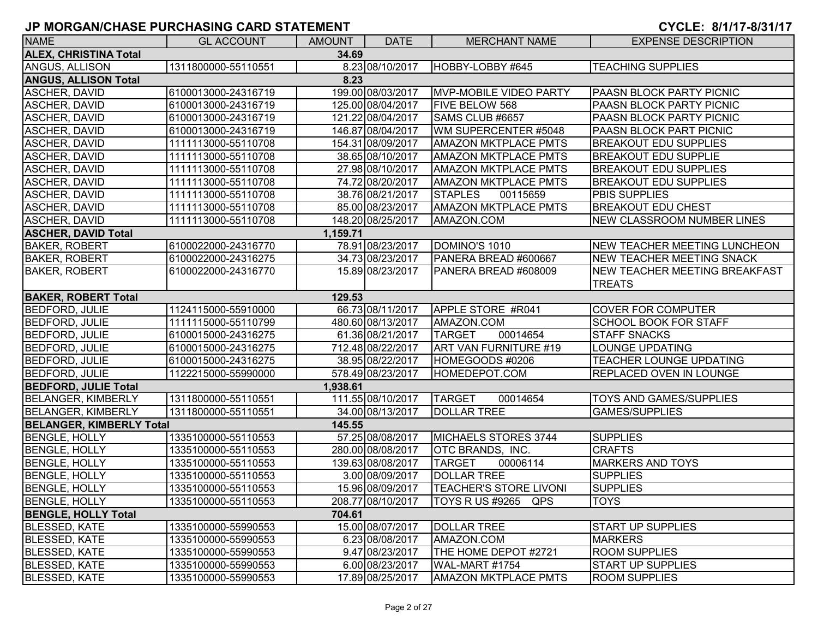| <b>NAME</b>                           | <b>GL ACCOUNT</b>   | <b>AMOUNT</b> | <b>DATE</b>       | <b>MERCHANT NAME</b>          | <b>EXPENSE DESCRIPTION</b>           |  |  |  |
|---------------------------------------|---------------------|---------------|-------------------|-------------------------------|--------------------------------------|--|--|--|
| <b>ALEX, CHRISTINA Total</b><br>34.69 |                     |               |                   |                               |                                      |  |  |  |
| ANGUS, ALLISON                        | 1311800000-55110551 |               | 8.23 08/10/2017   | HOBBY-LOBBY #645              | <b>TEACHING SUPPLIES</b>             |  |  |  |
| <b>ANGUS, ALLISON Total</b>           |                     | 8.23          |                   |                               |                                      |  |  |  |
| <b>ASCHER, DAVID</b>                  | 6100013000-24316719 |               | 199.00 08/03/2017 | <b>MVP-MOBILE VIDEO PARTY</b> | <b>PAASN BLOCK PARTY PICNIC</b>      |  |  |  |
| <b>ASCHER, DAVID</b>                  | 6100013000-24316719 |               | 125.00 08/04/2017 | <b>FIVE BELOW 568</b>         | PAASN BLOCK PARTY PICNIC             |  |  |  |
| <b>ASCHER, DAVID</b>                  | 6100013000-24316719 |               | 121.22 08/04/2017 | SAMS CLUB #6657               | PAASN BLOCK PARTY PICNIC             |  |  |  |
| ASCHER, DAVID                         | 6100013000-24316719 |               | 146.87 08/04/2017 | WM SUPERCENTER #5048          | PAASN BLOCK PART PICNIC              |  |  |  |
| ASCHER, DAVID                         | 1111113000-55110708 |               | 154.31 08/09/2017 | <b>AMAZON MKTPLACE PMTS</b>   | <b>BREAKOUT EDU SUPPLIES</b>         |  |  |  |
| ASCHER, DAVID                         | 1111113000-55110708 |               | 38.65 08/10/2017  | <b>AMAZON MKTPLACE PMTS</b>   | <b>BREAKOUT EDU SUPPLIE</b>          |  |  |  |
| <b>ASCHER, DAVID</b>                  | 1111113000-55110708 |               | 27.98 08/10/2017  | <b>AMAZON MKTPLACE PMTS</b>   | <b>BREAKOUT EDU SUPPLIES</b>         |  |  |  |
| <b>ASCHER, DAVID</b>                  | 1111113000-55110708 |               | 74.72 08/20/2017  | <b>AMAZON MKTPLACE PMTS</b>   | <b>BREAKOUT EDU SUPPLIES</b>         |  |  |  |
| <b>ASCHER, DAVID</b>                  | 1111113000-55110708 |               | 38.76 08/21/2017  | <b>STAPLES</b><br>00115659    | <b>PBIS SUPPLIES</b>                 |  |  |  |
| <b>ASCHER, DAVID</b>                  | 1111113000-55110708 |               | 85.00 08/23/2017  | <b>AMAZON MKTPLACE PMTS</b>   | <b>BREAKOUT EDU CHEST</b>            |  |  |  |
| <b>ASCHER, DAVID</b>                  | 1111113000-55110708 |               | 148.20 08/25/2017 | AMAZON.COM                    | <b>NEW CLASSROOM NUMBER LINES</b>    |  |  |  |
| <b>ASCHER, DAVID Total</b>            |                     | 1,159.71      |                   |                               |                                      |  |  |  |
| <b>BAKER, ROBERT</b>                  | 6100022000-24316770 |               | 78.91 08/23/2017  | DOMINO'S 1010                 | <b>NEW TEACHER MEETING LUNCHEON</b>  |  |  |  |
| <b>BAKER, ROBERT</b>                  | 6100022000-24316275 |               | 34.73 08/23/2017  | PANERA BREAD #600667          | <b>NEW TEACHER MEETING SNACK</b>     |  |  |  |
| <b>BAKER, ROBERT</b>                  | 6100022000-24316770 |               | 15.89 08/23/2017  | PANERA BREAD #608009          | <b>NEW TEACHER MEETING BREAKFAST</b> |  |  |  |
|                                       |                     |               |                   |                               | <b>TREATS</b>                        |  |  |  |
| <b>BAKER, ROBERT Total</b>            |                     | 129.53        |                   |                               |                                      |  |  |  |
| <b>BEDFORD, JULIE</b>                 | 1124115000-55910000 |               | 66.73 08/11/2017  | APPLE STORE #R041             | <b>COVER FOR COMPUTER</b>            |  |  |  |
| <b>BEDFORD, JULIE</b>                 | 1111115000-55110799 |               | 480.60 08/13/2017 | AMAZON.COM                    | <b>SCHOOL BOOK FOR STAFF</b>         |  |  |  |
| <b>BEDFORD, JULIE</b>                 | 6100015000-24316275 |               | 61.36 08/21/2017  | 00014654<br><b>TARGET</b>     | <b>STAFF SNACKS</b>                  |  |  |  |
| <b>BEDFORD, JULIE</b>                 | 6100015000-24316275 |               | 712.48 08/22/2017 | ART VAN FURNITURE #19         | <b>LOUNGE UPDATING</b>               |  |  |  |
| <b>BEDFORD, JULIE</b>                 | 6100015000-24316275 |               | 38.95 08/22/2017  | HOMEGOODS #0206               | <b>TEACHER LOUNGE UPDATING</b>       |  |  |  |
| <b>BEDFORD, JULIE</b>                 | 1122215000-55990000 |               | 578.49 08/23/2017 | HOMEDEPOT.COM                 | <b>REPLACED OVEN IN LOUNGE</b>       |  |  |  |
| <b>BEDFORD, JULIE Total</b>           |                     | 1,938.61      |                   |                               |                                      |  |  |  |
| <b>BELANGER, KIMBERLY</b>             | 1311800000-55110551 |               | 111.55 08/10/2017 | <b>TARGET</b><br>00014654     | <b>TOYS AND GAMES/SUPPLIES</b>       |  |  |  |
| <b>BELANGER, KIMBERLY</b>             | 1311800000-55110551 |               | 34.00 08/13/2017  | <b>DOLLAR TREE</b>            | <b>GAMES/SUPPLIES</b>                |  |  |  |
| <b>BELANGER, KIMBERLY Total</b>       |                     | 145.55        |                   |                               |                                      |  |  |  |
| <b>BENGLE, HOLLY</b>                  | 1335100000-55110553 |               | 57.25 08/08/2017  | MICHAELS STORES 3744          | <b>SUPPLIES</b>                      |  |  |  |
| <b>BENGLE, HOLLY</b>                  | 1335100000-55110553 |               | 280.00 08/08/2017 | OTC BRANDS, INC.              | <b>CRAFTS</b>                        |  |  |  |
| <b>BENGLE, HOLLY</b>                  | 1335100000-55110553 |               | 139.63 08/08/2017 | <b>TARGET</b><br>00006114     | <b>MARKERS AND TOYS</b>              |  |  |  |
| <b>BENGLE, HOLLY</b>                  | 1335100000-55110553 |               | 3.00 08/09/2017   | <b>DOLLAR TREE</b>            | <b>SUPPLIES</b>                      |  |  |  |
| <b>BENGLE, HOLLY</b>                  | 1335100000-55110553 |               | 15.96 08/09/2017  | <b>TEACHER'S STORE LIVONI</b> | <b>SUPPLIES</b>                      |  |  |  |
| <b>BENGLE, HOLLY</b>                  | 1335100000-55110553 |               | 208.77 08/10/2017 | $\vert$ TOYS R US #9265 QPS   | TOYS                                 |  |  |  |
| <b>BENGLE, HOLLY Total</b>            |                     | 704.61        |                   |                               |                                      |  |  |  |
| <b>BLESSED, KATE</b>                  | 1335100000-55990553 |               | 15.00 08/07/2017  | <b>DOLLAR TREE</b>            | <b>START UP SUPPLIES</b>             |  |  |  |
| <b>BLESSED, KATE</b>                  | 1335100000-55990553 |               | 6.23 08/08/2017   | AMAZON.COM                    | <b>MARKERS</b>                       |  |  |  |
| <b>BLESSED, KATE</b>                  | 1335100000-55990553 |               | 9.47 08/23/2017   | THE HOME DEPOT #2721          | <b>ROOM SUPPLIES</b>                 |  |  |  |
| <b>BLESSED, KATE</b>                  | 1335100000-55990553 |               | 6.00 08/23/2017   | WAL-MART #1754                | <b>START UP SUPPLIES</b>             |  |  |  |
| <b>BLESSED, KATE</b>                  | 1335100000-55990553 |               | 17.89 08/25/2017  | <b>AMAZON MKTPLACE PMTS</b>   | <b>ROOM SUPPLIES</b>                 |  |  |  |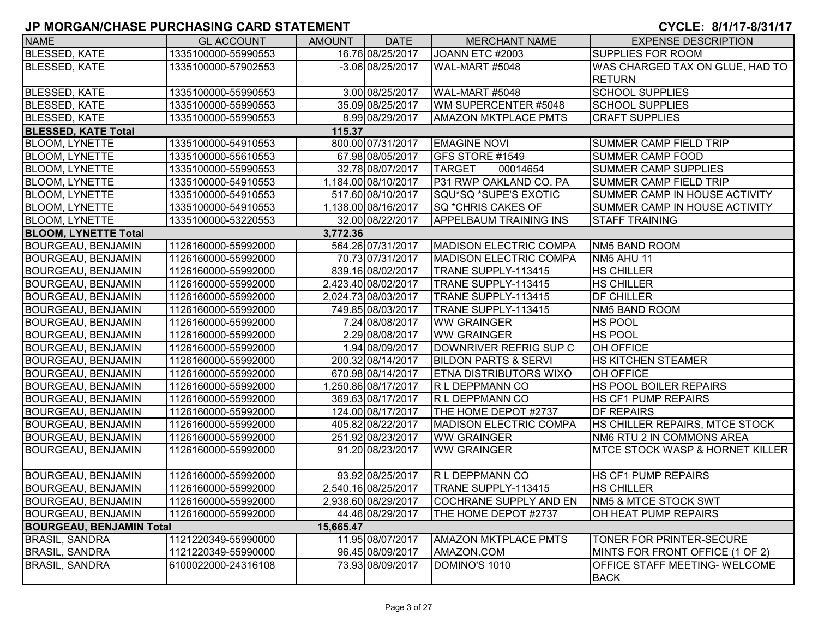| <b>NAME</b>                     | <b>GL ACCOUNT</b>   | <b>AMOUNT</b> | <b>DATE</b>         | <b>MERCHANT NAME</b>            | <b>EXPENSE DESCRIPTION</b>                          |
|---------------------------------|---------------------|---------------|---------------------|---------------------------------|-----------------------------------------------------|
| <b>BLESSED, KATE</b>            | 1335100000-55990553 |               | 16.76 08/25/2017    | JOANN ETC #2003                 | <b>SUPPLIES FOR ROOM</b>                            |
| <b>BLESSED, KATE</b>            | 1335100000-57902553 |               | $-3.06$ 08/25/2017  | WAL-MART #5048                  | WAS CHARGED TAX ON GLUE, HAD TO<br><b>RETURN</b>    |
| <b>BLESSED, KATE</b>            | 1335100000-55990553 |               | 3.00 08/25/2017     | WAL-MART #5048                  | <b>SCHOOL SUPPLIES</b>                              |
| <b>BLESSED, KATE</b>            | 1335100000-55990553 |               | 35.09 08/25/2017    | WM SUPERCENTER #5048            | <b>SCHOOL SUPPLIES</b>                              |
| <b>BLESSED, KATE</b>            | 1335100000-55990553 |               | 8.99 08/29/2017     | <b>AMAZON MKTPLACE PMTS</b>     | <b>CRAFT SUPPLIES</b>                               |
| <b>BLESSED, KATE Total</b>      |                     | 115.37        |                     |                                 |                                                     |
| <b>BLOOM, LYNETTE</b>           | 1335100000-54910553 |               | 800.00 07/31/2017   | <b>EMAGINE NOVI</b>             | <b>SUMMER CAMP FIELD TRIP</b>                       |
| <b>BLOOM, LYNETTE</b>           | 1335100000-55610553 |               | 67.98 08/05/2017    | <b>GFS STORE #1549</b>          | <b>SUMMER CAMP FOOD</b>                             |
| <b>BLOOM, LYNETTE</b>           | 1335100000-55990553 |               | 32.78 08/07/2017    | <b>TARGET</b><br>00014654       | <b>SUMMER CAMP SUPPLIES</b>                         |
| <b>BLOOM, LYNETTE</b>           | 1335100000-54910553 |               | 1,184.00 08/10/2017 | P31 RWP OAKLAND CO. PA          | <b>SUMMER CAMP FIELD TRIP</b>                       |
| <b>BLOOM, LYNETTE</b>           | 1335100000-54910553 |               | 517.60 08/10/2017   | SQU*SQ *SUPE'S EXOTIC           | SUMMER CAMP IN HOUSE ACTIVITY                       |
| <b>BLOOM, LYNETTE</b>           | 1335100000-54910553 |               | 1,138.00 08/16/2017 | SQ *CHRIS CAKES OF              | SUMMER CAMP IN HOUSE ACTIVITY                       |
| <b>BLOOM, LYNETTE</b>           | 1335100000-53220553 |               | 32.00 08/22/2017    | <b>APPELBAUM TRAINING INS</b>   | <b>STAFF TRAINING</b>                               |
| <b>BLOOM, LYNETTE Total</b>     |                     | 3,772.36      |                     |                                 |                                                     |
| <b>BOURGEAU, BENJAMIN</b>       | 1126160000-55992000 |               | 564.26 07/31/2017   | <b>MADISON ELECTRIC COMPA</b>   | NM5 BAND ROOM                                       |
| <b>BOURGEAU, BENJAMIN</b>       | 1126160000-55992000 |               | 70.73 07/31/2017    | <b>MADISON ELECTRIC COMPA</b>   | NM5 AHU 11                                          |
| <b>BOURGEAU, BENJAMIN</b>       | 1126160000-55992000 |               | 839.16 08/02/2017   | TRANE SUPPLY-113415             | <b>HS CHILLER</b>                                   |
| <b>BOURGEAU, BENJAMIN</b>       | 1126160000-55992000 |               | 2,423.40 08/02/2017 | TRANE SUPPLY-113415             | <b>HS CHILLER</b>                                   |
| <b>BOURGEAU, BENJAMIN</b>       | 1126160000-55992000 |               | 2,024.73 08/03/2017 | TRANE SUPPLY-113415             | <b>DF CHILLER</b>                                   |
| <b>BOURGEAU, BENJAMIN</b>       | 1126160000-55992000 |               | 749.85 08/03/2017   | TRANE SUPPLY-113415             | NM5 BAND ROOM                                       |
| <b>BOURGEAU, BENJAMIN</b>       | 1126160000-55992000 |               | 7.24 08/08/2017     | <b>WW GRAINGER</b>              | <b>HS POOL</b>                                      |
| <b>BOURGEAU, BENJAMIN</b>       | 1126160000-55992000 |               | 2.29 08/08/2017     | <b>WW GRAINGER</b>              | <b>HS POOL</b>                                      |
| <b>BOURGEAU, BENJAMIN</b>       | 1126160000-55992000 |               | 1.94 08/09/2017     | DOWNRIVER REFRIG SUP C          | <b>OH OFFICE</b>                                    |
| <b>BOURGEAU, BENJAMIN</b>       | 1126160000-55992000 |               | 200.32 08/14/2017   | <b>BILDON PARTS &amp; SERVI</b> | <b>HS KITCHEN STEAMER</b>                           |
| <b>BOURGEAU, BENJAMIN</b>       | 1126160000-55992000 |               | 670.98 08/14/2017   | <b>ETNA DISTRIBUTORS WIXO</b>   | OH OFFICE                                           |
| <b>BOURGEAU, BENJAMIN</b>       | 1126160000-55992000 |               | 1,250.86 08/17/2017 | R L DEPPMANN CO                 | <b>HS POOL BOILER REPAIRS</b>                       |
| <b>BOURGEAU, BENJAMIN</b>       | 1126160000-55992000 |               | 369.63 08/17/2017   | R L DEPPMANN CO                 | <b>HS CF1 PUMP REPAIRS</b>                          |
| <b>BOURGEAU, BENJAMIN</b>       | 1126160000-55992000 |               | 124.00 08/17/2017   | THE HOME DEPOT #2737            | <b>DF REPAIRS</b>                                   |
| <b>BOURGEAU, BENJAMIN</b>       | 1126160000-55992000 |               | 405.82 08/22/2017   | <b>MADISON ELECTRIC COMPA</b>   | HS CHILLER REPAIRS, MTCE STOCK                      |
| <b>BOURGEAU, BENJAMIN</b>       | 1126160000-55992000 |               | 251.92 08/23/2017   | <b>WW GRAINGER</b>              | NM6 RTU 2 IN COMMONS AREA                           |
| <b>BOURGEAU, BENJAMIN</b>       | 1126160000-55992000 |               | 91.20 08/23/2017    | <b>WW GRAINGER</b>              | <b>IMTCE STOCK WASP &amp; HORNET KILLER</b>         |
| <b>BOURGEAU, BENJAMIN</b>       | 1126160000-55992000 |               | 93.92 08/25/2017    | R L DEPPMANN CO                 | <b>HS CF1 PUMP REPAIRS</b>                          |
| <b>BOURGEAU, BENJAMIN</b>       | 1126160000-55992000 |               | 2,540.16 08/25/2017 | TRANE SUPPLY-113415             | <b>HS CHILLER</b>                                   |
| <b>BOURGEAU, BENJAMIN</b>       | 1126160000-55992000 |               | 2,938.60 08/29/2017 | COCHRANE SUPPLY AND EN          | NM5 & MTCE STOCK SWT                                |
| <b>BOURGEAU, BENJAMIN</b>       | 1126160000-55992000 |               | 44.46 08/29/2017    | THE HOME DEPOT #2737            | OH HEAT PUMP REPAIRS                                |
| <b>BOURGEAU, BENJAMIN Total</b> |                     | 15,665.47     |                     |                                 |                                                     |
| <b>BRASIL, SANDRA</b>           | 1121220349-55990000 |               | 11.95 08/07/2017    | <b>AMAZON MKTPLACE PMTS</b>     | TONER FOR PRINTER-SECURE                            |
| <b>BRASIL, SANDRA</b>           | 1121220349-55990000 |               | 96.45 08/09/2017    | AMAZON.COM                      | MINTS FOR FRONT OFFICE (1 OF 2)                     |
| <b>BRASIL, SANDRA</b>           | 6100022000-24316108 |               | 73.93 08/09/2017    | DOMINO'S 1010                   | <b>OFFICE STAFF MEETING- WELCOME</b><br><b>BACK</b> |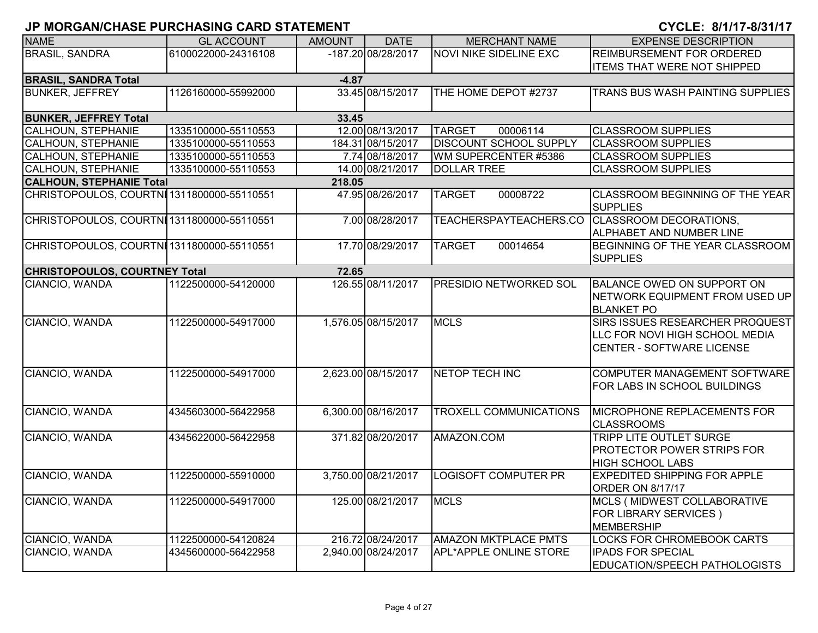| <b>NAME</b>                                | <b>GL ACCOUNT</b>   | <b>AMOUNT</b> | <b>DATE</b>         | <b>MERCHANT NAME</b>                          | <b>EXPENSE DESCRIPTION</b>                         |  |  |  |  |
|--------------------------------------------|---------------------|---------------|---------------------|-----------------------------------------------|----------------------------------------------------|--|--|--|--|
| <b>BRASIL, SANDRA</b>                      | 6100022000-24316108 |               | -187.20 08/28/2017  | <b>NOVI NIKE SIDELINE EXC</b>                 | <b>REIMBURSEMENT FOR ORDERED</b>                   |  |  |  |  |
|                                            |                     |               |                     |                                               | <b>ITEMS THAT WERE NOT SHIPPED</b>                 |  |  |  |  |
| <b>BRASIL, SANDRA Total</b><br>$-4.87$     |                     |               |                     |                                               |                                                    |  |  |  |  |
| <b>BUNKER, JEFFREY</b>                     | 1126160000-55992000 |               | 33.45 08/15/2017    | THE HOME DEPOT #2737                          | TRANS BUS WASH PAINTING SUPPLIES                   |  |  |  |  |
|                                            |                     |               |                     |                                               |                                                    |  |  |  |  |
| <b>BUNKER, JEFFREY Total</b>               |                     | 33.45         |                     |                                               |                                                    |  |  |  |  |
| <b>CALHOUN, STEPHANIE</b>                  | 1335100000-55110553 |               | 12.00 08/13/2017    | 00006114<br><b>TARGET</b>                     | <b>CLASSROOM SUPPLIES</b>                          |  |  |  |  |
| <b>CALHOUN, STEPHANIE</b>                  | 1335100000-55110553 |               | 184.31 08/15/2017   | <b>DISCOUNT SCHOOL SUPPLY</b>                 | <b>CLASSROOM SUPPLIES</b>                          |  |  |  |  |
| CALHOUN, STEPHANIE                         | 1335100000-55110553 |               | 7.74 08/18/2017     | WM SUPERCENTER #5386                          | <b>CLASSROOM SUPPLIES</b>                          |  |  |  |  |
| CALHOUN, STEPHANIE                         | 1335100000-55110553 |               | 14.00 08/21/2017    | <b>DOLLAR TREE</b>                            | <b>CLASSROOM SUPPLIES</b>                          |  |  |  |  |
| <b>CALHOUN, STEPHANIE Total</b>            |                     | 218.05        |                     |                                               |                                                    |  |  |  |  |
| CHRISTOPOULOS, COURTNI1311800000-55110551  |                     |               | 47.95 08/26/2017    | <b>TARGET</b><br>00008722                     | CLASSROOM BEGINNING OF THE YEAR<br><b>SUPPLIES</b> |  |  |  |  |
| CHRISTOPOULOS, COURTNI 1311800000-55110551 |                     |               | 7.00 08/28/2017     | TEACHERSPAYTEACHERS.CO CLASSROOM DECORATIONS, | ALPHABET AND NUMBER LINE                           |  |  |  |  |
| CHRISTOPOULOS, COURTNI 1311800000-55110551 |                     |               | 17.70 08/29/2017    | 00014654<br><b>TARGET</b>                     | BEGINNING OF THE YEAR CLASSROOM<br><b>SUPPLIES</b> |  |  |  |  |
| <b>CHRISTOPOULOS, COURTNEY Total</b>       |                     | 72.65         |                     |                                               |                                                    |  |  |  |  |
| CIANCIO, WANDA                             | 1122500000-54120000 |               | 126.55 08/11/2017   | <b>PRESIDIO NETWORKED SOL</b>                 | <b>BALANCE OWED ON SUPPORT ON</b>                  |  |  |  |  |
|                                            |                     |               |                     |                                               | NETWORK EQUIPMENT FROM USED UP                     |  |  |  |  |
|                                            |                     |               |                     |                                               | <b>BLANKET PO</b>                                  |  |  |  |  |
| CIANCIO, WANDA                             | 1122500000-54917000 |               | 1,576.05 08/15/2017 | <b>MCLS</b>                                   | SIRS ISSUES RESEARCHER PROQUEST                    |  |  |  |  |
|                                            |                     |               |                     |                                               | LLC FOR NOVI HIGH SCHOOL MEDIA                     |  |  |  |  |
|                                            |                     |               |                     |                                               | <b>CENTER - SOFTWARE LICENSE</b>                   |  |  |  |  |
|                                            |                     |               |                     |                                               |                                                    |  |  |  |  |
| CIANCIO, WANDA                             | 1122500000-54917000 |               | 2,623.00 08/15/2017 | NETOP TECH INC                                | COMPUTER MANAGEMENT SOFTWARE                       |  |  |  |  |
|                                            |                     |               |                     |                                               | FOR LABS IN SCHOOL BUILDINGS                       |  |  |  |  |
|                                            |                     |               |                     |                                               |                                                    |  |  |  |  |
| CIANCIO, WANDA                             | 4345603000-56422958 |               | 6,300.00 08/16/2017 | <b>TROXELL COMMUNICATIONS</b>                 | <b>MICROPHONE REPLACEMENTS FOR</b>                 |  |  |  |  |
|                                            |                     |               |                     |                                               | <b>CLASSROOMS</b>                                  |  |  |  |  |
| CIANCIO, WANDA                             | 4345622000-56422958 |               | 371.82 08/20/2017   | AMAZON.COM                                    | TRIPP LITE OUTLET SURGE                            |  |  |  |  |
|                                            |                     |               |                     |                                               | PROTECTOR POWER STRIPS FOR                         |  |  |  |  |
|                                            |                     |               |                     |                                               | <b>HIGH SCHOOL LABS</b>                            |  |  |  |  |
| CIANCIO, WANDA                             | 1122500000-55910000 |               | 3,750.00 08/21/2017 | <b>LOGISOFT COMPUTER PR</b>                   | <b>EXPEDITED SHIPPING FOR APPLE</b>                |  |  |  |  |
|                                            |                     |               |                     |                                               | <b>ORDER ON 8/17/17</b>                            |  |  |  |  |
| CIANCIO, WANDA                             | 1122500000-54917000 |               | 125.00 08/21/2017   | <b>MCLS</b>                                   | MCLS ( MIDWEST COLLABORATIVE                       |  |  |  |  |
|                                            |                     |               |                     |                                               | <b>FOR LIBRARY SERVICES</b> )                      |  |  |  |  |
|                                            |                     |               |                     |                                               | <b>MEMBERSHIP</b>                                  |  |  |  |  |
| CIANCIO, WANDA                             | 1122500000-54120824 |               | 216.72 08/24/2017   | <b>AMAZON MKTPLACE PMTS</b>                   | LOCKS FOR CHROMEBOOK CARTS                         |  |  |  |  |
| CIANCIO, WANDA                             | 4345600000-56422958 |               | 2,940.00 08/24/2017 | <b>APL*APPLE ONLINE STORE</b>                 | <b>IPADS FOR SPECIAL</b>                           |  |  |  |  |
|                                            |                     |               |                     |                                               | EDUCATION/SPEECH PATHOLOGISTS                      |  |  |  |  |
|                                            |                     |               |                     |                                               |                                                    |  |  |  |  |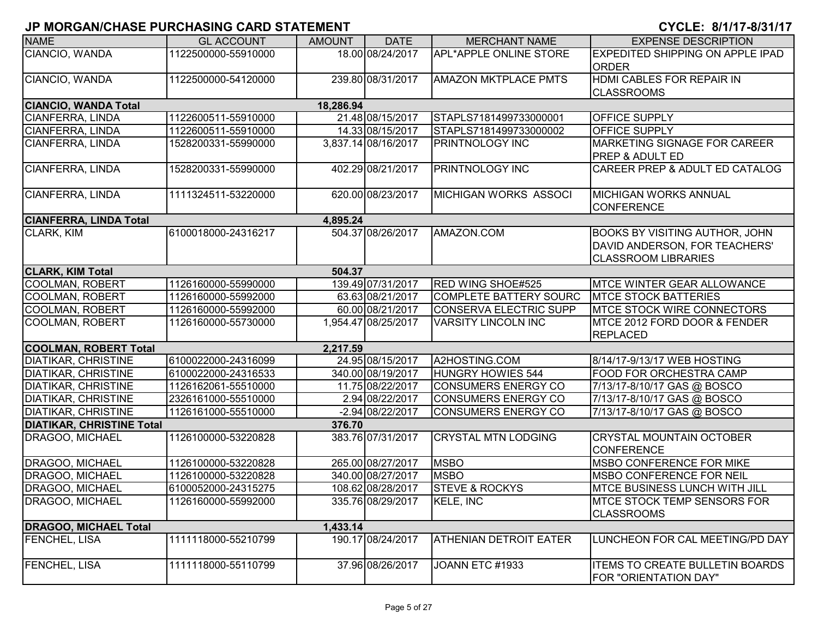| <b>NAME</b>                      | <b>GL ACCOUNT</b>   | <b>AMOUNT</b> | <b>DATE</b>         | <b>MERCHANT NAME</b>          | <b>EXPENSE DESCRIPTION</b>                                                                           |
|----------------------------------|---------------------|---------------|---------------------|-------------------------------|------------------------------------------------------------------------------------------------------|
| CIANCIO, WANDA                   | 1122500000-55910000 |               | 18.00 08/24/2017    | <b>APL*APPLE ONLINE STORE</b> | EXPEDITED SHIPPING ON APPLE IPAD<br><b>ORDER</b>                                                     |
| CIANCIO, WANDA                   | 1122500000-54120000 |               | 239.80 08/31/2017   | <b>AMAZON MKTPLACE PMTS</b>   | HDMI CABLES FOR REPAIR IN<br><b>CLASSROOMS</b>                                                       |
| <b>CIANCIO, WANDA Total</b>      |                     | 18,286.94     |                     |                               |                                                                                                      |
| <b>CIANFERRA, LINDA</b>          | 1122600511-55910000 |               | 21.48 08/15/2017    | STAPLS7181499733000001        | OFFICE SUPPLY                                                                                        |
| CIANFERRA, LINDA                 | 1122600511-55910000 |               | 14.33 08/15/2017    | STAPLS7181499733000002        | OFFICE SUPPLY                                                                                        |
| <b>CIANFERRA, LINDA</b>          | 1528200331-55990000 |               | 3,837.14 08/16/2017 | <b>PRINTNOLOGY INC</b>        | <b>IMARKETING SIGNAGE FOR CAREER</b><br>PREP & ADULT ED                                              |
| CIANFERRA, LINDA                 | 1528200331-55990000 |               | 402.29 08/21/2017   | <b>PRINTNOLOGY INC</b>        | CAREER PREP & ADULT ED CATALOG                                                                       |
| <b>CIANFERRA, LINDA</b>          | 1111324511-53220000 |               | 620.00 08/23/2017   | <b>MICHIGAN WORKS ASSOCI</b>  | MICHIGAN WORKS ANNUAL<br><b>CONFERENCE</b>                                                           |
| <b>CIANFERRA, LINDA Total</b>    |                     | 4,895.24      |                     |                               |                                                                                                      |
| CLARK, KIM                       | 6100018000-24316217 |               | 504.37 08/26/2017   | AMAZON.COM                    | <b>BOOKS BY VISITING AUTHOR, JOHN</b><br>DAVID ANDERSON, FOR TEACHERS'<br><b>CLASSROOM LIBRARIES</b> |
| <b>CLARK, KIM Total</b>          |                     | 504.37        |                     |                               |                                                                                                      |
| <b>COOLMAN, ROBERT</b>           | 1126160000-55990000 |               | 139.49 07/31/2017   | RED WING SHOE#525             | <b>MTCE WINTER GEAR ALLOWANCE</b>                                                                    |
| <b>COOLMAN, ROBERT</b>           | 1126160000-55992000 |               | 63.63 08/21/2017    | <b>COMPLETE BATTERY SOURC</b> | <b>MTCE STOCK BATTERIES</b>                                                                          |
| <b>COOLMAN, ROBERT</b>           | 1126160000-55992000 |               | 60.00 08/21/2017    | <b>CONSERVA ELECTRIC SUPP</b> | <b>MTCE STOCK WIRE CONNECTORS</b>                                                                    |
| <b>COOLMAN, ROBERT</b>           | 1126160000-55730000 |               | 1,954.47 08/25/2017 | <b>VARSITY LINCOLN INC</b>    | MTCE 2012 FORD DOOR & FENDER<br><b>REPLACED</b>                                                      |
| <b>COOLMAN, ROBERT Total</b>     |                     | 2,217.59      |                     |                               |                                                                                                      |
| <b>DIATIKAR, CHRISTINE</b>       | 6100022000-24316099 |               | 24.95 08/15/2017    | A2HOSTING.COM                 | 8/14/17-9/13/17 WEB HOSTING                                                                          |
| <b>DIATIKAR, CHRISTINE</b>       | 6100022000-24316533 |               | 340.00 08/19/2017   | <b>HUNGRY HOWIES 544</b>      | <b>FOOD FOR ORCHESTRA CAMP</b>                                                                       |
| <b>DIATIKAR, CHRISTINE</b>       | 1126162061-55510000 |               | 11.75 08/22/2017    | <b>CONSUMERS ENERGY CO</b>    | 7/13/17-8/10/17 GAS @ BOSCO                                                                          |
| <b>DIATIKAR, CHRISTINE</b>       | 2326161000-55510000 |               | 2.94 08/22/2017     | <b>CONSUMERS ENERGY CO</b>    | 7/13/17-8/10/17 GAS @ BOSCO                                                                          |
| <b>DIATIKAR, CHRISTINE</b>       | 1126161000-55510000 |               | -2.94 08/22/2017    | <b>CONSUMERS ENERGY CO</b>    | 7/13/17-8/10/17 GAS @ BOSCO                                                                          |
| <b>DIATIKAR, CHRISTINE Total</b> |                     | 376.70        |                     |                               |                                                                                                      |
| DRAGOO, MICHAEL                  | 1126100000-53220828 |               | 383.76 07/31/2017   | <b>CRYSTAL MTN LODGING</b>    | <b>CRYSTAL MOUNTAIN OCTOBER</b><br><b>CONFERENCE</b>                                                 |
| DRAGOO, MICHAEL                  | 1126100000-53220828 |               | 265.00 08/27/2017   | <b>MSBO</b>                   | <b>MSBO CONFERENCE FOR MIKE</b>                                                                      |
| DRAGOO, MICHAEL                  | 1126100000-53220828 |               | 340.00 08/27/2017   | <b>MSBO</b>                   | <b>MSBO CONFERENCE FOR NEIL</b>                                                                      |
| DRAGOO, MICHAEL                  | 6100052000-24315275 |               | 108.62 08/28/2017   | <b>STEVE &amp; ROCKYS</b>     | MTCE BUSINESS LUNCH WITH JILL                                                                        |
| DRAGOO, MICHAEL                  | 1126160000-55992000 |               | 335.76 08/29/2017   | KELE, INC                     | MTCE STOCK TEMP SENSORS FOR<br><b>CLASSROOMS</b>                                                     |
| <b>DRAGOO, MICHAEL Total</b>     |                     | 1,433.14      |                     |                               |                                                                                                      |
| <b>FENCHEL, LISA</b>             | 1111118000-55210799 |               | 190.17 08/24/2017   | <b>ATHENIAN DETROIT EATER</b> | LUNCHEON FOR CAL MEETING/PD DAY                                                                      |
| FENCHEL, LISA                    | 1111118000-55110799 |               | 37.96 08/26/2017    | JOANN ETC #1933               | <b>ITEMS TO CREATE BULLETIN BOARDS</b><br>FOR "ORIENTATION DAY"                                      |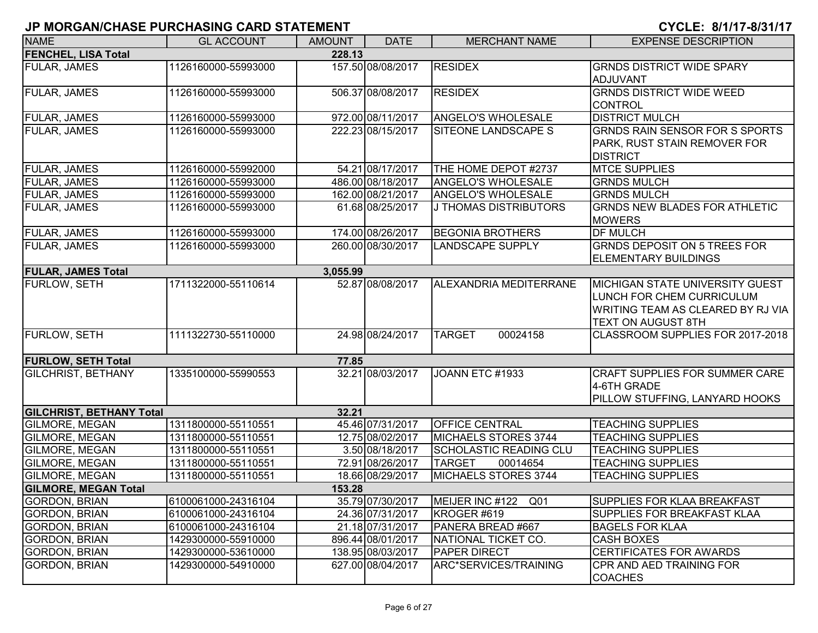| <b>NAME</b>                                              | <b>GL ACCOUNT</b>                          | <b>AMOUNT</b> | <b>DATE</b>                          | <b>MERCHANT NAME</b>      | <b>EXPENSE DESCRIPTION</b>                                        |
|----------------------------------------------------------|--------------------------------------------|---------------|--------------------------------------|---------------------------|-------------------------------------------------------------------|
| <b>FENCHEL, LISA Total</b>                               |                                            | 228.13        |                                      |                           |                                                                   |
| <b>FULAR, JAMES</b>                                      | 1126160000-55993000                        |               | 157.50 08/08/2017                    | <b>RESIDEX</b>            | <b>GRNDS DISTRICT WIDE SPARY</b>                                  |
|                                                          |                                            |               |                                      |                           | ADJUVANT                                                          |
| <b>FULAR, JAMES</b>                                      | 1126160000-55993000                        |               | 506.37 08/08/2017                    | <b>RESIDEX</b>            | <b>GRNDS DISTRICT WIDE WEED</b>                                   |
|                                                          |                                            |               |                                      |                           | <b>CONTROL</b>                                                    |
| <b>FULAR, JAMES</b>                                      | 1126160000-55993000                        |               | 972.00 08/11/2017                    | <b>ANGELO'S WHOLESALE</b> | <b>DISTRICT MULCH</b>                                             |
| <b>FULAR, JAMES</b>                                      | 1126160000-55993000                        |               | 222.23 08/15/2017                    | SITEONE LANDSCAPE S       | <b>GRNDS RAIN SENSOR FOR S SPORTS</b>                             |
|                                                          |                                            |               |                                      |                           | PARK, RUST STAIN REMOVER FOR                                      |
|                                                          |                                            |               |                                      |                           | <b>DISTRICT</b>                                                   |
| <b>FULAR, JAMES</b>                                      | 1126160000-55992000                        |               | 54.21 08/17/2017                     | THE HOME DEPOT #2737      | <b>MTCE SUPPLIES</b>                                              |
| FULAR, JAMES                                             | 1126160000-55993000                        |               | 486.00 08/18/2017                    | ANGELO'S WHOLESALE        | <b>GRNDS MULCH</b>                                                |
| FULAR, JAMES                                             | 1126160000-55993000                        |               | 162.00 08/21/2017                    | ANGELO'S WHOLESALE        | <b>GRNDS MULCH</b>                                                |
| FULAR, JAMES                                             | 1126160000-55993000                        |               | 61.68 08/25/2017                     | J THOMAS DISTRIBUTORS     | <b>GRNDS NEW BLADES FOR ATHLETIC</b>                              |
|                                                          |                                            |               |                                      |                           | <b>MOWERS</b>                                                     |
| FULAR, JAMES                                             | 1126160000-55993000                        |               | 174.00 08/26/2017                    | <b>BEGONIA BROTHERS</b>   | <b>DF MULCH</b>                                                   |
| <b>FULAR, JAMES</b>                                      | 1126160000-55993000                        |               | 260.00 08/30/2017                    | <b>LANDSCAPE SUPPLY</b>   | <b>GRNDS DEPOSIT ON 5 TREES FOR</b>                               |
|                                                          |                                            |               |                                      |                           | <b>ELEMENTARY BUILDINGS</b>                                       |
| <b>FULAR, JAMES Total</b>                                |                                            | 3,055.99      |                                      |                           |                                                                   |
| <b>FURLOW, SETH</b>                                      | 1711322000-55110614                        |               | 52.87 08/08/2017                     | ALEXANDRIA MEDITERRANE    | <b>IMICHIGAN STATE UNIVERSITY GUEST</b>                           |
|                                                          |                                            |               |                                      |                           | LUNCH FOR CHEM CURRICULUM                                         |
|                                                          |                                            |               |                                      |                           | WRITING TEAM AS CLEARED BY RJ VIA                                 |
|                                                          |                                            |               |                                      |                           | <b>TEXT ON AUGUST 8TH</b>                                         |
| <b>FURLOW, SETH</b>                                      | 1111322730-55110000                        |               | 24.98 08/24/2017                     | <b>TARGET</b><br>00024158 | CLASSROOM SUPPLIES FOR 2017-2018                                  |
|                                                          |                                            |               |                                      |                           |                                                                   |
| <b>FURLOW, SETH Total</b>                                |                                            | 77.85         |                                      |                           |                                                                   |
| <b>GILCHRIST, BETHANY</b>                                | 1335100000-55990553                        |               | 32.21 08/03/2017                     | JOANN ETC #1933           | <b>CRAFT SUPPLIES FOR SUMMER CARE</b>                             |
|                                                          |                                            |               |                                      |                           | 4-6TH GRADE                                                       |
|                                                          |                                            |               |                                      |                           | PILLOW STUFFING, LANYARD HOOKS                                    |
| <b>GILCHRIST, BETHANY Total</b><br><b>GILMORE, MEGAN</b> | 1311800000-55110551                        | 32.21         | 45.46 07/31/2017                     | <b>OFFICE CENTRAL</b>     | <b>TEACHING SUPPLIES</b>                                          |
| <b>GILMORE, MEGAN</b>                                    | 1311800000-55110551                        |               | 12.75 08/02/2017                     | MICHAELS STORES 3744      | <b>TEACHING SUPPLIES</b>                                          |
| <b>GILMORE, MEGAN</b>                                    | 1311800000-55110551                        |               | 3.50 08/18/2017                      | SCHOLASTIC READING CLU    | <b>TEACHING SUPPLIES</b>                                          |
| <b>GILMORE, MEGAN</b>                                    |                                            |               | 72.91 08/26/2017                     | <b>TARGET</b><br>00014654 |                                                                   |
| <b>GILMORE, MEGAN</b>                                    | 1311800000-55110551                        |               |                                      | MICHAELS STORES 3744      | <b>TEACHING SUPPLIES</b><br><b>TEACHING SUPPLIES</b>              |
| <b>GILMORE, MEGAN Total</b>                              | 1311800000-55110551                        |               | 18.66 08/29/2017                     |                           |                                                                   |
|                                                          |                                            | 153.28        |                                      | MEIJER INC #122 Q01       |                                                                   |
| <b>GORDON, BRIAN</b><br>GORDON, BRIAN                    | 6100061000-24316104<br>6100061000-24316104 |               | 35.79 07/30/2017<br>24.36 07/31/2017 | KROGER #619               | <b>SUPPLIES FOR KLAA BREAKFAST</b><br>SUPPLIES FOR BREAKFAST KLAA |
| <b>GORDON, BRIAN</b>                                     | 6100061000-24316104                        |               | 21.18 07/31/2017                     | PANERA BREAD #667         | <b>BAGELS FOR KLAA</b>                                            |
| GORDON, BRIAN                                            | 1429300000-55910000                        |               | 896.44 08/01/2017                    | NATIONAL TICKET CO.       | <b>CASH BOXES</b>                                                 |
| GORDON, BRIAN                                            | 1429300000-53610000                        |               | 138.95 08/03/2017                    | <b>PAPER DIRECT</b>       | <b>CERTIFICATES FOR AWARDS</b>                                    |
| GORDON, BRIAN                                            | 1429300000-54910000                        |               | 627.00 08/04/2017                    | ARC*SERVICES/TRAINING     | CPR AND AED TRAINING FOR                                          |
|                                                          |                                            |               |                                      |                           | <b>COACHES</b>                                                    |
|                                                          |                                            |               |                                      |                           |                                                                   |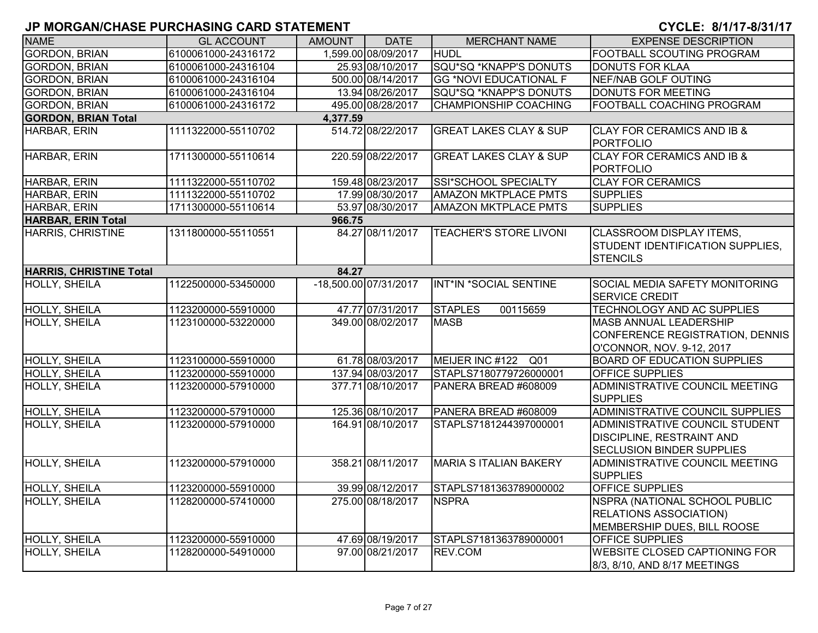| <b>NAME</b>                    | <b>GL ACCOUNT</b>   | <b>AMOUNT</b> | <b>DATE</b>           | <b>MERCHANT NAME</b>              | <b>EXPENSE DESCRIPTION</b>                                                                                    |
|--------------------------------|---------------------|---------------|-----------------------|-----------------------------------|---------------------------------------------------------------------------------------------------------------|
| <b>GORDON, BRIAN</b>           | 6100061000-24316172 |               | 1,599.00 08/09/2017   | <b>HUDL</b>                       | FOOTBALL SCOUTING PROGRAM                                                                                     |
| <b>GORDON, BRIAN</b>           | 6100061000-24316104 |               | 25.93 08/10/2017      | SQU*SQ *KNAPP'S DONUTS            | <b>DONUTS FOR KLAA</b>                                                                                        |
| <b>GORDON, BRIAN</b>           | 6100061000-24316104 |               | 500.00 08/14/2017     | <b>GG *NOVI EDUCATIONAL F</b>     | <b>NEF/NAB GOLF OUTING</b>                                                                                    |
| <b>GORDON, BRIAN</b>           | 6100061000-24316104 |               | 13.94 08/26/2017      | SQU*SQ *KNAPP'S DONUTS            | <b>DONUTS FOR MEETING</b>                                                                                     |
| <b>GORDON, BRIAN</b>           | 6100061000-24316172 |               | 495.00 08/28/2017     | <b>CHAMPIONSHIP COACHING</b>      | FOOTBALL COACHING PROGRAM                                                                                     |
| <b>GORDON, BRIAN Total</b>     |                     | 4,377.59      |                       |                                   |                                                                                                               |
| HARBAR, ERIN                   | 1111322000-55110702 |               | 514.72 08/22/2017     | <b>GREAT LAKES CLAY &amp; SUP</b> | <b>CLAY FOR CERAMICS AND IB &amp;</b><br><b>PORTFOLIO</b>                                                     |
| HARBAR, ERIN                   | 1711300000-55110614 |               | 220.59 08/22/2017     | <b>GREAT LAKES CLAY &amp; SUP</b> | <b>CLAY FOR CERAMICS AND IB &amp;</b><br><b>PORTFOLIO</b>                                                     |
| HARBAR, ERIN                   | 1111322000-55110702 |               | 159.48 08/23/2017     | SSI*SCHOOL SPECIALTY              | <b>CLAY FOR CERAMICS</b>                                                                                      |
| HARBAR, ERIN                   | 1111322000-55110702 |               | 17.99 08/30/2017      | <b>AMAZON MKTPLACE PMTS</b>       | <b>SUPPLIES</b>                                                                                               |
| HARBAR, ERIN                   | 1711300000-55110614 |               | 53.97 08/30/2017      | <b>AMAZON MKTPLACE PMTS</b>       | <b>SUPPLIES</b>                                                                                               |
| <b>HARBAR, ERIN Total</b>      |                     | 966.75        |                       |                                   |                                                                                                               |
| HARRIS, CHRISTINE              | 1311800000-55110551 |               | 84.27 08/11/2017      | <b>TEACHER'S STORE LIVONI</b>     | <b>CLASSROOM DISPLAY ITEMS,</b><br>STUDENT IDENTIFICATION SUPPLIES,<br><b>STENCILS</b>                        |
| <b>HARRIS, CHRISTINE Total</b> |                     | 84.27         |                       |                                   |                                                                                                               |
| <b>HOLLY, SHEILA</b>           | 1122500000-53450000 |               | -18,500.00 07/31/2017 | INT*IN *SOCIAL SENTINE            | SOCIAL MEDIA SAFETY MONITORING<br><b>SERVICE CREDIT</b>                                                       |
| <b>HOLLY, SHEILA</b>           | 1123200000-55910000 |               | 47.77 07/31/2017      | <b>STAPLES</b><br>00115659        | <b>TECHNOLOGY AND AC SUPPLIES</b>                                                                             |
| <b>HOLLY, SHEILA</b>           | 1123100000-53220000 |               | 349.00 08/02/2017     | <b>MASB</b>                       | <b>MASB ANNUAL LEADERSHIP</b><br>CONFERENCE REGISTRATION, DENNIS<br>O'CONNOR, NOV. 9-12, 2017                 |
| <b>HOLLY, SHEILA</b>           | 1123100000-55910000 |               | 61.78 08/03/2017      | MEIJER INC #122 Q01               | <b>BOARD OF EDUCATION SUPPLIES</b>                                                                            |
| <b>HOLLY, SHEILA</b>           | 1123200000-55910000 |               | 137.94 08/03/2017     | STAPLS7180779726000001            | OFFICE SUPPLIES                                                                                               |
| HOLLY, SHEILA                  | 1123200000-57910000 |               | 377.71 08/10/2017     | PANERA BREAD #608009              | ADMINISTRATIVE COUNCIL MEETING<br><b>SUPPLIES</b>                                                             |
| <b>HOLLY, SHEILA</b>           | 1123200000-57910000 |               | 125.36 08/10/2017     | PANERA BREAD #608009              | ADMINISTRATIVE COUNCIL SUPPLIES                                                                               |
| <b>HOLLY, SHEILA</b>           | 1123200000-57910000 |               | 164.91 08/10/2017     | STAPLS7181244397000001            | <b>ADMINISTRATIVE COUNCIL STUDENT</b><br><b>DISCIPLINE, RESTRAINT AND</b><br><b>SECLUSION BINDER SUPPLIES</b> |
| <b>HOLLY, SHEILA</b>           | 1123200000-57910000 |               | 358.21 08/11/2017     | <b>MARIA S ITALIAN BAKERY</b>     | ADMINISTRATIVE COUNCIL MEETING<br><b>SUPPLIES</b>                                                             |
| <b>HOLLY, SHEILA</b>           | 1123200000-55910000 |               | 39.99 08/12/2017      | STAPLS7181363789000002            | OFFICE SUPPLIES                                                                                               |
| <b>HOLLY, SHEILA</b>           | 1128200000-57410000 |               | 275.00 08/18/2017     | <b>NSPRA</b>                      | NSPRA (NATIONAL SCHOOL PUBLIC<br><b>RELATIONS ASSOCIATION)</b><br>MEMBERSHIP DUES, BILL ROOSE                 |
| HOLLY, SHEILA                  | 1123200000-55910000 |               | 47.69 08/19/2017      | STAPLS7181363789000001            | OFFICE SUPPLIES                                                                                               |
| HOLLY, SHEILA                  | 1128200000-54910000 |               | 97.00 08/21/2017      | REV.COM                           | <b>WEBSITE CLOSED CAPTIONING FOR</b><br>8/3, 8/10, AND 8/17 MEETINGS                                          |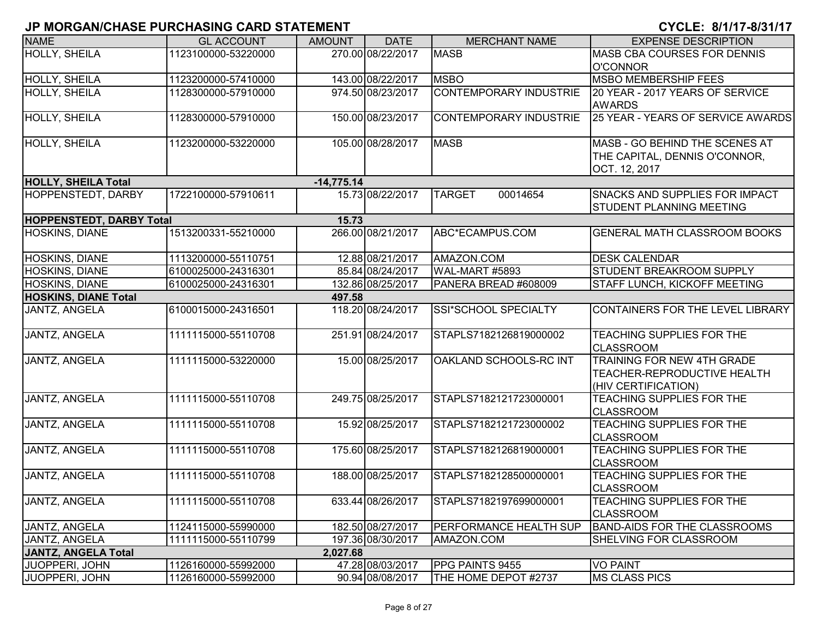| <b>NAME</b>                     | <b>GL ACCOUNT</b>   | <b>AMOUNT</b> | <b>DATE</b>       | <b>MERCHANT NAME</b>          | <b>EXPENSE DESCRIPTION</b>                                                       |
|---------------------------------|---------------------|---------------|-------------------|-------------------------------|----------------------------------------------------------------------------------|
| <b>HOLLY, SHEILA</b>            | 1123100000-53220000 |               | 270.00 08/22/2017 | <b>MASB</b>                   | <b>MASB CBA COURSES FOR DENNIS</b>                                               |
|                                 |                     |               |                   |                               | O'CONNOR                                                                         |
| HOLLY, SHEILA                   | 1123200000-57410000 |               | 143.00 08/22/2017 | <b>MSBO</b>                   | <b>MSBO MEMBERSHIP FEES</b>                                                      |
| <b>HOLLY, SHEILA</b>            | 1128300000-57910000 |               | 974.50 08/23/2017 | <b>CONTEMPORARY INDUSTRIE</b> | 20 YEAR - 2017 YEARS OF SERVICE<br><b>AWARDS</b>                                 |
| <b>HOLLY, SHEILA</b>            | 1128300000-57910000 |               | 150.00 08/23/2017 | <b>CONTEMPORARY INDUSTRIE</b> | 25 YEAR - YEARS OF SERVICE AWARDS                                                |
| HOLLY, SHEILA                   | 1123200000-53220000 |               | 105.00 08/28/2017 | <b>MASB</b>                   | MASB - GO BEHIND THE SCENES AT<br>THE CAPITAL, DENNIS O'CONNOR,<br>OCT. 12, 2017 |
| <b>HOLLY, SHEILA Total</b>      |                     | $-14,775.14$  |                   |                               |                                                                                  |
| <b>HOPPENSTEDT, DARBY</b>       | 1722100000-57910611 |               | 15.73 08/22/2017  | <b>TARGET</b><br>00014654     | <b>SNACKS AND SUPPLIES FOR IMPACT</b><br><b>STUDENT PLANNING MEETING</b>         |
| <b>HOPPENSTEDT, DARBY Total</b> |                     | 15.73         |                   |                               |                                                                                  |
| HOSKINS, DIANE                  | 1513200331-55210000 |               | 266.00 08/21/2017 | ABC*ECAMPUS.COM               | <b>GENERAL MATH CLASSROOM BOOKS</b>                                              |
| <b>HOSKINS, DIANE</b>           | 1113200000-55110751 |               | 12.88 08/21/2017  | AMAZON.COM                    | <b>DESK CALENDAR</b>                                                             |
| <b>HOSKINS, DIANE</b>           | 6100025000-24316301 |               | 85.84 08/24/2017  | WAL-MART #5893                | <b>STUDENT BREAKROOM SUPPLY</b>                                                  |
| HOSKINS, DIANE                  | 6100025000-24316301 |               | 132.86 08/25/2017 | PANERA BREAD #608009          | <b>STAFF LUNCH, KICKOFF MEETING</b>                                              |
| <b>HOSKINS, DIANE Total</b>     |                     | 497.58        |                   |                               |                                                                                  |
| JANTZ, ANGELA                   | 6100015000-24316501 |               | 118.20 08/24/2017 | SSI*SCHOOL SPECIALTY          | CONTAINERS FOR THE LEVEL LIBRARY                                                 |
| <b>JANTZ, ANGELA</b>            | 1111115000-55110708 |               | 251.91 08/24/2017 | STAPLS7182126819000002        | TEACHING SUPPLIES FOR THE<br><b>CLASSROOM</b>                                    |
| <b>JANTZ, ANGELA</b>            | 1111115000-53220000 |               | 15.00 08/25/2017  | OAKLAND SCHOOLS-RC INT        | TRAINING FOR NEW 4TH GRADE<br>TEACHER-REPRODUCTIVE HEALTH<br>(HIV CERTIFICATION) |
| <b>JANTZ, ANGELA</b>            | 1111115000-55110708 |               | 249.75 08/25/2017 | STAPLS7182121723000001        | <b>TEACHING SUPPLIES FOR THE</b><br><b>CLASSROOM</b>                             |
| JANTZ, ANGELA                   | 1111115000-55110708 |               | 15.92 08/25/2017  | STAPLS7182121723000002        | <b>TEACHING SUPPLIES FOR THE</b><br><b>CLASSROOM</b>                             |
| <b>JANTZ, ANGELA</b>            | 1111115000-55110708 |               | 175.60 08/25/2017 | STAPLS7182126819000001        | <b>TEACHING SUPPLIES FOR THE</b><br><b>CLASSROOM</b>                             |
| JANTZ, ANGELA                   | 1111115000-55110708 |               | 188.00 08/25/2017 | STAPLS7182128500000001        | <b>TEACHING SUPPLIES FOR THE</b><br><b>CLASSROOM</b>                             |
| JANTZ, ANGELA                   | 1111115000-55110708 |               | 633.44 08/26/2017 | STAPLS7182197699000001        | <b>TEACHING SUPPLIES FOR THE</b><br><b>CLASSROOM</b>                             |
| JANTZ, ANGELA                   | 1124115000-55990000 |               | 182.50 08/27/2017 | PERFORMANCE HEALTH SUP        | <b>BAND-AIDS FOR THE CLASSROOMS</b>                                              |
| JANTZ, ANGELA                   | 1111115000-55110799 |               | 197.36 08/30/2017 | AMAZON.COM                    | SHELVING FOR CLASSROOM                                                           |
| <b>JANTZ, ANGELA Total</b>      |                     | 2,027.68      |                   |                               |                                                                                  |
| JUOPPERI, JOHN                  | 1126160000-55992000 |               | 47.28 08/03/2017  | PPG PAINTS 9455               | <b>VO PAINT</b>                                                                  |
| JUOPPERI, JOHN                  | 1126160000-55992000 |               | 90.94 08/08/2017  | THE HOME DEPOT #2737          | <b>MS CLASS PICS</b>                                                             |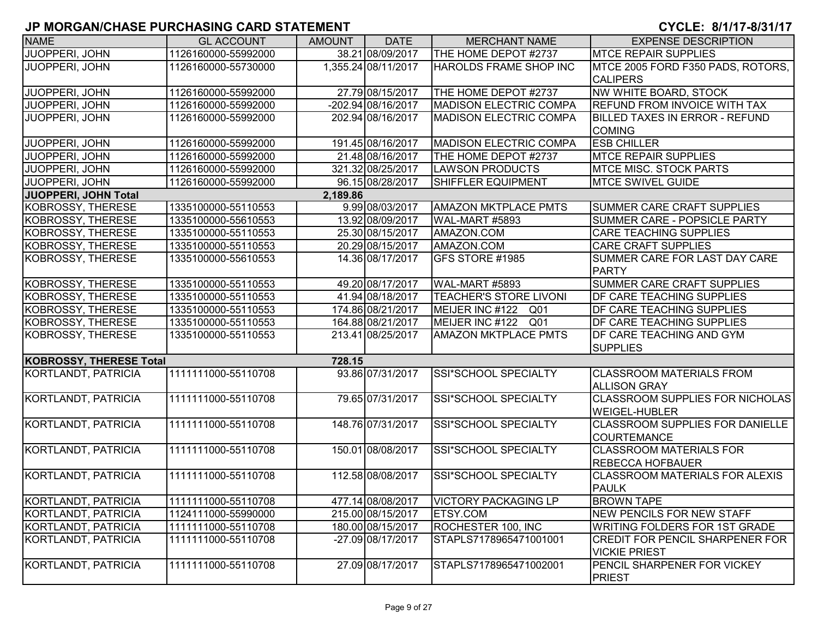| <b>NAME</b>                    | <b>GL ACCOUNT</b>   | <b>AMOUNT</b> | <b>DATE</b>         | <b>MERCHANT NAME</b>          | <b>EXPENSE DESCRIPTION</b>                                     |
|--------------------------------|---------------------|---------------|---------------------|-------------------------------|----------------------------------------------------------------|
| JUOPPERI, JOHN                 | 1126160000-55992000 |               | 38.21 08/09/2017    | THE HOME DEPOT #2737          | <b>MTCE REPAIR SUPPLIES</b>                                    |
| JUOPPERI, JOHN                 | 1126160000-55730000 |               | 1,355.24 08/11/2017 | HAROLDS FRAME SHOP INC        | MTCE 2005 FORD F350 PADS, ROTORS,<br><b>CALIPERS</b>           |
| <b>JUOPPERI, JOHN</b>          | 1126160000-55992000 |               | 27.79 08/15/2017    | THE HOME DEPOT #2737          | NW WHITE BOARD, STOCK                                          |
| JUOPPERI, JOHN                 | 1126160000-55992000 |               | -202.94 08/16/2017  | <b>MADISON ELECTRIC COMPA</b> | <b>REFUND FROM INVOICE WITH TAX</b>                            |
| <b>JUOPPERI, JOHN</b>          | 1126160000-55992000 |               | 202.94 08/16/2017   | <b>MADISON ELECTRIC COMPA</b> | <b>BILLED TAXES IN ERROR - REFUND</b>                          |
|                                |                     |               |                     |                               | <b>COMING</b>                                                  |
| JUOPPERI, JOHN                 | 1126160000-55992000 |               | 191.45 08/16/2017   | <b>MADISON ELECTRIC COMPA</b> | <b>ESB CHILLER</b>                                             |
| JUOPPERI, JOHN                 | 1126160000-55992000 |               | 21.48 08/16/2017    | THE HOME DEPOT #2737          | <b>MTCE REPAIR SUPPLIES</b>                                    |
| JUOPPERI, JOHN                 | 1126160000-55992000 |               | 321.32 08/25/2017   | <b>LAWSON PRODUCTS</b>        | <b>MTCE MISC. STOCK PARTS</b>                                  |
| JUOPPERI, JOHN                 | 1126160000-55992000 |               | 96.15 08/28/2017    | <b>SHIFFLER EQUIPMENT</b>     | <b>MTCE SWIVEL GUIDE</b>                                       |
| JUOPPERI, JOHN Total           |                     | 2,189.86      |                     |                               |                                                                |
| <b>KOBROSSY, THERESE</b>       | 1335100000-55110553 |               | 9.99 08/03/2017     | <b>AMAZON MKTPLACE PMTS</b>   | <b>SUMMER CARE CRAFT SUPPLIES</b>                              |
| <b>KOBROSSY, THERESE</b>       | 1335100000-55610553 |               | 13.92 08/09/2017    | WAL-MART #5893                | SUMMER CARE - POPSICLE PARTY                                   |
| <b>KOBROSSY, THERESE</b>       | 1335100000-55110553 |               | 25.30 08/15/2017    | AMAZON.COM                    | <b>CARE TEACHING SUPPLIES</b>                                  |
| KOBROSSY, THERESE              | 1335100000-55110553 |               | 20.29 08/15/2017    | AMAZON.COM                    | <b>CARE CRAFT SUPPLIES</b>                                     |
| <b>KOBROSSY, THERESE</b>       | 1335100000-55610553 |               | 14.36 08/17/2017    | GFS STORE #1985               | SUMMER CARE FOR LAST DAY CARE                                  |
|                                |                     |               |                     |                               | <b>PARTY</b>                                                   |
| <b>KOBROSSY, THERESE</b>       | 1335100000-55110553 |               | 49.20 08/17/2017    | WAL-MART #5893                | <b>SUMMER CARE CRAFT SUPPLIES</b>                              |
| <b>KOBROSSY, THERESE</b>       | 1335100000-55110553 |               | 41.94 08/18/2017    | <b>TEACHER'S STORE LIVONI</b> | DF CARE TEACHING SUPPLIES                                      |
| <b>KOBROSSY, THERESE</b>       | 1335100000-55110553 |               | 174.86 08/21/2017   | MEIJER INC #122<br>Q01        | DF CARE TEACHING SUPPLIES                                      |
| <b>KOBROSSY, THERESE</b>       | 1335100000-55110553 |               | 164.88 08/21/2017   | MEIJER INC #122<br>Q01        | <b>DF CARE TEACHING SUPPLIES</b>                               |
| KOBROSSY, THERESE              | 1335100000-55110553 |               | 213.41 08/25/2017   | <b>AMAZON MKTPLACE PMTS</b>   | <b>DF CARE TEACHING AND GYM</b><br><b>SUPPLIES</b>             |
| <b>KOBROSSY, THERESE Total</b> |                     | 728.15        |                     |                               |                                                                |
| KORTLANDT, PATRICIA            | 1111111000-55110708 |               | 93.86 07/31/2017    | SSI*SCHOOL SPECIALTY          | <b>CLASSROOM MATERIALS FROM</b><br><b>ALLISON GRAY</b>         |
| KORTLANDT, PATRICIA            | 1111111000-55110708 |               | 79.65 07/31/2017    | SSI*SCHOOL SPECIALTY          | <b>CLASSROOM SUPPLIES FOR NICHOLAS</b><br><b>WEIGEL-HUBLER</b> |
| <b>KORTLANDT, PATRICIA</b>     | 1111111000-55110708 |               | 148.76 07/31/2017   | SSI*SCHOOL SPECIALTY          | <b>CLASSROOM SUPPLIES FOR DANIELLE</b><br><b>COURTEMANCE</b>   |
| KORTLANDT, PATRICIA            | 1111111000-55110708 |               | 150.01 08/08/2017   | SSI*SCHOOL SPECIALTY          | <b>CLASSROOM MATERIALS FOR</b><br><b>REBECCA HOFBAUER</b>      |
| KORTLANDT, PATRICIA            | 1111111000-55110708 |               | 112.58 08/08/2017   | SSI*SCHOOL SPECIALTY          | <b>CLASSROOM MATERIALS FOR ALEXIS</b><br><b>PAULK</b>          |
| KORTLANDT, PATRICIA            | 1111111000-55110708 |               | 477.14 08/08/2017   | <b>VICTORY PACKAGING LP</b>   | <b>BROWN TAPE</b>                                              |
| KORTLANDT, PATRICIA            | 1124111000-55990000 |               | 215.00 08/15/2017   | <b>ETSY.COM</b>               | <b>NEW PENCILS FOR NEW STAFF</b>                               |
| KORTLANDT, PATRICIA            | 1111111000-55110708 |               | 180.00 08/15/2017   | ROCHESTER 100, INC            | <b>WRITING FOLDERS FOR 1ST GRADE</b>                           |
| KORTLANDT, PATRICIA            | 1111111000-55110708 |               | -27.09 08/17/2017   | STAPLS7178965471001001        | <b>CREDIT FOR PENCIL SHARPENER FOR</b><br><b>VICKIE PRIEST</b> |
| KORTLANDT, PATRICIA            | 1111111000-55110708 |               | 27.09 08/17/2017    | STAPLS7178965471002001        | <b>PENCIL SHARPENER FOR VICKEY</b><br><b>PRIEST</b>            |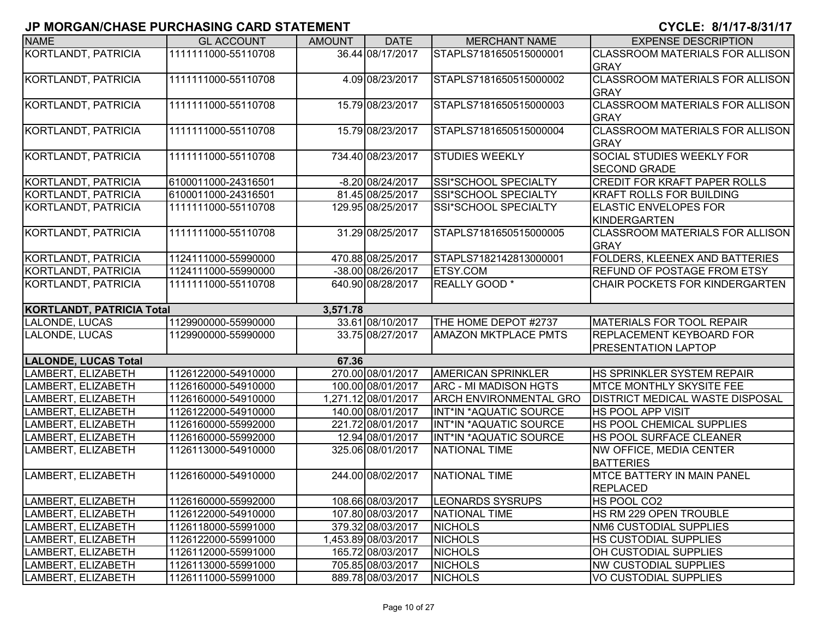| <b>NAME</b>                      | <b>GL ACCOUNT</b>   | <b>AMOUNT</b> | <b>DATE</b>         | <b>MERCHANT NAME</b>          | <b>EXPENSE DESCRIPTION</b>             |
|----------------------------------|---------------------|---------------|---------------------|-------------------------------|----------------------------------------|
| <b>KORTLANDT, PATRICIA</b>       | 1111111000-55110708 |               | 36.44 08/17/2017    | STAPLS7181650515000001        | <b>CLASSROOM MATERIALS FOR ALLISON</b> |
|                                  |                     |               |                     |                               | <b>GRAY</b>                            |
| <b>KORTLANDT, PATRICIA</b>       | 1111111000-55110708 |               | 4.09 08/23/2017     | STAPLS7181650515000002        | <b>CLASSROOM MATERIALS FOR ALLISON</b> |
|                                  |                     |               |                     |                               | <b>GRAY</b>                            |
| KORTLANDT, PATRICIA              | 1111111000-55110708 |               | 15.79 08/23/2017    | STAPLS7181650515000003        | <b>CLASSROOM MATERIALS FOR ALLISON</b> |
|                                  |                     |               |                     |                               | <b>GRAY</b>                            |
| KORTLANDT, PATRICIA              | 1111111000-55110708 |               | 15.79 08/23/2017    | STAPLS7181650515000004        | <b>CLASSROOM MATERIALS FOR ALLISON</b> |
|                                  |                     |               |                     |                               | <b>GRAY</b>                            |
| KORTLANDT, PATRICIA              | 1111111000-55110708 |               | 734.40 08/23/2017   | <b>STUDIES WEEKLY</b>         | <b>SOCIAL STUDIES WEEKLY FOR</b>       |
|                                  |                     |               |                     |                               | <b>SECOND GRADE</b>                    |
| KORTLANDT, PATRICIA              | 6100011000-24316501 |               | -8.20 08/24/2017    | SSI*SCHOOL SPECIALTY          | <b>CREDIT FOR KRAFT PAPER ROLLS</b>    |
| KORTLANDT, PATRICIA              | 6100011000-24316501 |               | 81.45 08/25/2017    | SSI*SCHOOL SPECIALTY          | <b>KRAFT ROLLS FOR BUILDING</b>        |
| KORTLANDT, PATRICIA              | 1111111000-55110708 |               | 129.95 08/25/2017   | SSI*SCHOOL SPECIALTY          | <b>ELASTIC ENVELOPES FOR</b>           |
|                                  |                     |               |                     |                               | KINDERGARTEN                           |
| KORTLANDT, PATRICIA              | 1111111000-55110708 |               | 31.29 08/25/2017    | STAPLS7181650515000005        | <b>CLASSROOM MATERIALS FOR ALLISON</b> |
|                                  |                     |               |                     |                               | <b>GRAY</b>                            |
| <b>KORTLANDT, PATRICIA</b>       | 1124111000-55990000 |               | 470.88 08/25/2017   | STAPLS7182142813000001        | FOLDERS, KLEENEX AND BATTERIES         |
| KORTLANDT, PATRICIA              | 1124111000-55990000 |               | -38.00 08/26/2017   | <b>ETSY.COM</b>               | <b>REFUND OF POSTAGE FROM ETSY</b>     |
| KORTLANDT, PATRICIA              | 1111111000-55110708 |               | 640.90 08/28/2017   | <b>REALLY GOOD*</b>           | CHAIR POCKETS FOR KINDERGARTEN         |
|                                  |                     |               |                     |                               |                                        |
| <b>KORTLANDT, PATRICIA Total</b> |                     | 3,571.78      |                     |                               |                                        |
| LALONDE, LUCAS                   | 1129900000-55990000 |               | 33.61 08/10/2017    | THE HOME DEPOT #2737          | MATERIALS FOR TOOL REPAIR              |
| LALONDE, LUCAS                   | 1129900000-55990000 |               | 33.75 08/27/2017    | <b>AMAZON MKTPLACE PMTS</b>   | <b>REPLACEMENT KEYBOARD FOR</b>        |
|                                  |                     |               |                     |                               | <b>PRESENTATION LAPTOP</b>             |
| <b>LALONDE, LUCAS Total</b>      |                     | 67.36         |                     |                               |                                        |
| LAMBERT, ELIZABETH               | 1126122000-54910000 |               | 270.00 08/01/2017   | <b>AMERICAN SPRINKLER</b>     | <b>HS SPRINKLER SYSTEM REPAIR</b>      |
| LAMBERT, ELIZABETH               | 1126160000-54910000 |               | 100.00 08/01/2017   | <b>ARC - MI MADISON HGTS</b>  | <b>MTCE MONTHLY SKYSITE FEE</b>        |
| LAMBERT, ELIZABETH               | 1126160000-54910000 |               | 1,271.12 08/01/2017 | <b>ARCH ENVIRONMENTAL GRO</b> | <b>DISTRICT MEDICAL WASTE DISPOSAL</b> |
| LAMBERT, ELIZABETH               | 1126122000-54910000 |               | 140.00 08/01/2017   | INT*IN *AQUATIC SOURCE        | HS POOL APP VISIT                      |
| LAMBERT, ELIZABETH               | 1126160000-55992000 |               | 221.72 08/01/2017   | INT*IN *AQUATIC SOURCE        | <b>HS POOL CHEMICAL SUPPLIES</b>       |
| LAMBERT, ELIZABETH               | 1126160000-55992000 |               | 12.94 08/01/2017    | INT*IN *AQUATIC SOURCE        | <b>HS POOL SURFACE CLEANER</b>         |
| LAMBERT, ELIZABETH               | 1126113000-54910000 |               | 325.06 08/01/2017   | <b>NATIONAL TIME</b>          | <b>NW OFFICE, MEDIA CENTER</b>         |
|                                  |                     |               |                     |                               | <b>BATTERIES</b>                       |
| LAMBERT, ELIZABETH               | 1126160000-54910000 |               | 244.00 08/02/2017   | NATIONAL TIME                 | <b>IMTCE BATTERY IN MAIN PANEL</b>     |
|                                  |                     |               |                     |                               | <b>REPLACED</b>                        |
| LAMBERT, ELIZABETH               | 1126160000-55992000 |               | 108.66 08/03/2017   | <b>LEONARDS SYSRUPS</b>       | HS POOL CO2                            |
| LAMBERT, ELIZABETH               | 1126122000-54910000 |               | 107.80 08/03/2017   | <b>NATIONAL TIME</b>          | HS RM 229 OPEN TROUBLE                 |
| LAMBERT, ELIZABETH               | 1126118000-55991000 |               | 379.32 08/03/2017   | <b>NICHOLS</b>                | <b>NM6 CUSTODIAL SUPPLIES</b>          |
| LAMBERT, ELIZABETH               | 1126122000-55991000 |               | 1,453.89 08/03/2017 | <b>NICHOLS</b>                | <b>HS CUSTODIAL SUPPLIES</b>           |
| LAMBERT, ELIZABETH               | 1126112000-55991000 |               | 165.72 08/03/2017   | <b>NICHOLS</b>                | OH CUSTODIAL SUPPLIES                  |
| LAMBERT, ELIZABETH               | 1126113000-55991000 |               | 705.85 08/03/2017   | <b>NICHOLS</b>                | <b>NW CUSTODIAL SUPPLIES</b>           |
| LAMBERT, ELIZABETH               | 1126111000-55991000 |               | 889.78 08/03/2017   | <b>NICHOLS</b>                | <b>VO CUSTODIAL SUPPLIES</b>           |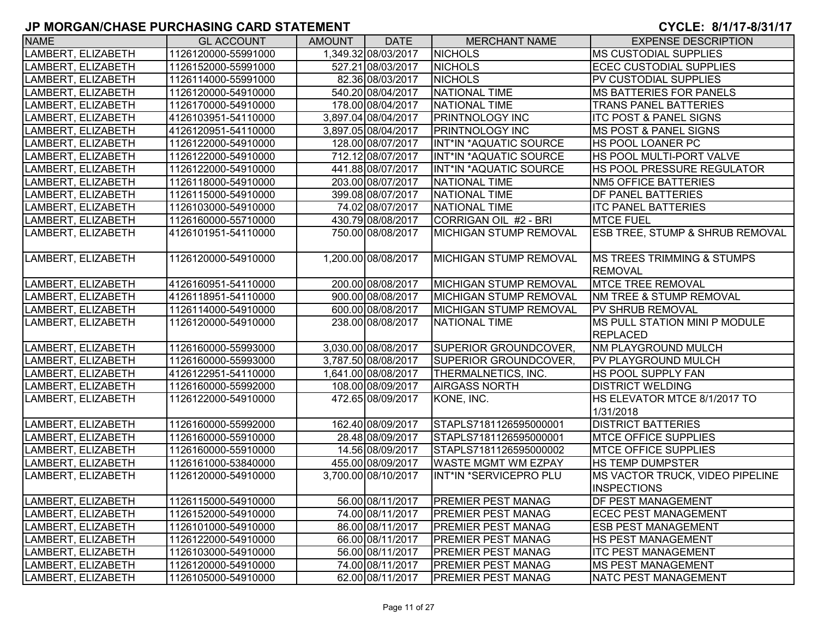| <b>NAME</b>        | <b>GL ACCOUNT</b>   | AMOUNT | <b>DATE</b>         | <b>MERCHANT NAME</b>          | <b>EXPENSE DESCRIPTION</b>             |
|--------------------|---------------------|--------|---------------------|-------------------------------|----------------------------------------|
| LAMBERT, ELIZABETH | 1126120000-55991000 |        | 1,349.32 08/03/2017 | <b>NICHOLS</b>                | <b>MS CUSTODIAL SUPPLIES</b>           |
| LAMBERT, ELIZABETH | 1126152000-55991000 |        | 527.21 08/03/2017   | <b>NICHOLS</b>                | <b>ECEC CUSTODIAL SUPPLIES</b>         |
| LAMBERT, ELIZABETH | 1126114000-55991000 |        | 82.36 08/03/2017    | <b>NICHOLS</b>                | PV CUSTODIAL SUPPLIES                  |
| LAMBERT, ELIZABETH | 1126120000-54910000 |        | 540.20 08/04/2017   | NATIONAL TIME                 | <b>MS BATTERIES FOR PANELS</b>         |
| LAMBERT, ELIZABETH | 1126170000-54910000 |        | 178.00 08/04/2017   | NATIONAL TIME                 | <b>TRANS PANEL BATTERIES</b>           |
| LAMBERT, ELIZABETH | 4126103951-54110000 |        | 3,897.04 08/04/2017 | <b>PRINTNOLOGY INC</b>        | <b>ITC POST &amp; PANEL SIGNS</b>      |
| LAMBERT, ELIZABETH | 4126120951-54110000 |        | 3,897.05 08/04/2017 | <b>PRINTNOLOGY INC</b>        | <b>MS POST &amp; PANEL SIGNS</b>       |
| LAMBERT, ELIZABETH | 1126122000-54910000 |        | 128.00 08/07/2017   | <b>INT*IN *AQUATIC SOURCE</b> | <b>HS POOL LOANER PC</b>               |
| LAMBERT, ELIZABETH | 1126122000-54910000 |        | 712.12 08/07/2017   | INT*IN *AQUATIC SOURCE        | HS POOL MULTI-PORT VALVE               |
| LAMBERT, ELIZABETH | 1126122000-54910000 |        | 441.88 08/07/2017   | INT*IN *AQUATIC SOURCE        | HS POOL PRESSURE REGULATOR             |
| LAMBERT, ELIZABETH | 1126118000-54910000 |        | 203.00 08/07/2017   | NATIONAL TIME                 | <b>NM5 OFFICE BATTERIES</b>            |
| LAMBERT, ELIZABETH | 1126115000-54910000 |        | 399.08 08/07/2017   | NATIONAL TIME                 | <b>DF PANEL BATTERIES</b>              |
| LAMBERT, ELIZABETH | 1126103000-54910000 |        | 74.02 08/07/2017    | NATIONAL TIME                 | <b>ITC PANEL BATTERIES</b>             |
| LAMBERT, ELIZABETH | 1126160000-55710000 |        | 430.79 08/08/2017   | CORRIGAN OIL #2 - BRI         | <b>MTCE FUEL</b>                       |
| LAMBERT, ELIZABETH | 4126101951-54110000 |        | 750.00 08/08/2017   | MICHIGAN STUMP REMOVAL        | ESB TREE, STUMP & SHRUB REMOVAL        |
|                    |                     |        |                     |                               |                                        |
| LAMBERT, ELIZABETH | 1126120000-54910000 |        | 1,200.00 08/08/2017 | MICHIGAN STUMP REMOVAL        | <b>IMS TREES TRIMMING &amp; STUMPS</b> |
|                    |                     |        |                     |                               | <b>REMOVAL</b>                         |
| LAMBERT, ELIZABETH | 4126160951-54110000 |        | 200.00 08/08/2017   | MICHIGAN STUMP REMOVAL        | <b>MTCE TREE REMOVAL</b>               |
| LAMBERT, ELIZABETH | 4126118951-54110000 |        | 900.00 08/08/2017   | MICHIGAN STUMP REMOVAL        | <b>INM TREE &amp; STUMP REMOVAL</b>    |
| LAMBERT, ELIZABETH | 1126114000-54910000 |        | 600.00 08/08/2017   | IMICHIGAN STUMP REMOVAL       | <b>PV SHRUB REMOVAL</b>                |
| LAMBERT, ELIZABETH | 1126120000-54910000 |        | 238.00 08/08/2017   | NATIONAL TIME                 | <b>MS PULL STATION MINI P MODULE</b>   |
|                    |                     |        |                     |                               | <b>REPLACED</b>                        |
| LAMBERT, ELIZABETH | 1126160000-55993000 |        | 3,030.00 08/08/2017 | SUPERIOR GROUNDCOVER,         | <b>NM PLAYGROUND MULCH</b>             |
| LAMBERT, ELIZABETH | 1126160000-55993000 |        | 3,787.50 08/08/2017 | SUPERIOR GROUNDCOVER,         | <b>PV PLAYGROUND MULCH</b>             |
| LAMBERT, ELIZABETH | 4126122951-54110000 |        | 1,641.00 08/08/2017 | THERMALNETICS, INC.           | HS POOL SUPPLY FAN                     |
| LAMBERT, ELIZABETH | 1126160000-55992000 |        | 108.00 08/09/2017   | <b>AIRGASS NORTH</b>          | <b>DISTRICT WELDING</b>                |
| LAMBERT, ELIZABETH | 1126122000-54910000 |        | 472.65 08/09/2017   | KONE, INC.                    | HS ELEVATOR MTCE 8/1/2017 TO           |
|                    |                     |        |                     |                               | 1/31/2018                              |
| LAMBERT, ELIZABETH | 1126160000-55992000 |        | 162.40 08/09/2017   | STAPLS7181126595000001        | <b>DISTRICT BATTERIES</b>              |
| LAMBERT, ELIZABETH | 1126160000-55910000 |        | 28.48 08/09/2017    | STAPLS7181126595000001        | <b>MTCE OFFICE SUPPLIES</b>            |
| LAMBERT, ELIZABETH | 1126160000-55910000 |        | 14.56 08/09/2017    | STAPLS7181126595000002        | <b>MTCE OFFICE SUPPLIES</b>            |
| LAMBERT, ELIZABETH | 1126161000-53840000 |        | 455.00 08/09/2017   | <b>WASTE MGMT WM EZPAY</b>    | <b>HS TEMP DUMPSTER</b>                |
| LAMBERT, ELIZABETH | 1126120000-54910000 |        | 3,700.00 08/10/2017 | INT*IN *SERVICEPRO PLU        | MS VACTOR TRUCK, VIDEO PIPELINE        |
|                    |                     |        |                     |                               | <b>INSPECTIONS</b>                     |
| LAMBERT, ELIZABETH | 1126115000-54910000 |        | 56.00 08/11/2017    | <b>PREMIER PEST MANAG</b>     | <b>DF PEST MANAGEMENT</b>              |
| LAMBERT, ELIZABETH | 1126152000-54910000 |        | 74.00 08/11/2017    | <b>PREMIER PEST MANAG</b>     | <b>ECEC PEST MANAGEMENT</b>            |
| LAMBERT, ELIZABETH | 1126101000-54910000 |        | 86.00 08/11/2017    | <b>PREMIER PEST MANAG</b>     | <b>ESB PEST MANAGEMENT</b>             |
| LAMBERT, ELIZABETH | 1126122000-54910000 |        | 66.00 08/11/2017    | <b>PREMIER PEST MANAG</b>     | <b>HS PEST MANAGEMENT</b>              |
| LAMBERT, ELIZABETH | 1126103000-54910000 |        | 56.00 08/11/2017    | <b>PREMIER PEST MANAG</b>     | <b>ITC PEST MANAGEMENT</b>             |
| LAMBERT, ELIZABETH | 1126120000-54910000 |        | 74.00 08/11/2017    | <b>PREMIER PEST MANAG</b>     | <b>MS PEST MANAGEMENT</b>              |
| LAMBERT, ELIZABETH | 1126105000-54910000 |        | 62.00 08/11/2017    | <b>PREMIER PEST MANAG</b>     | NATC PEST MANAGEMENT                   |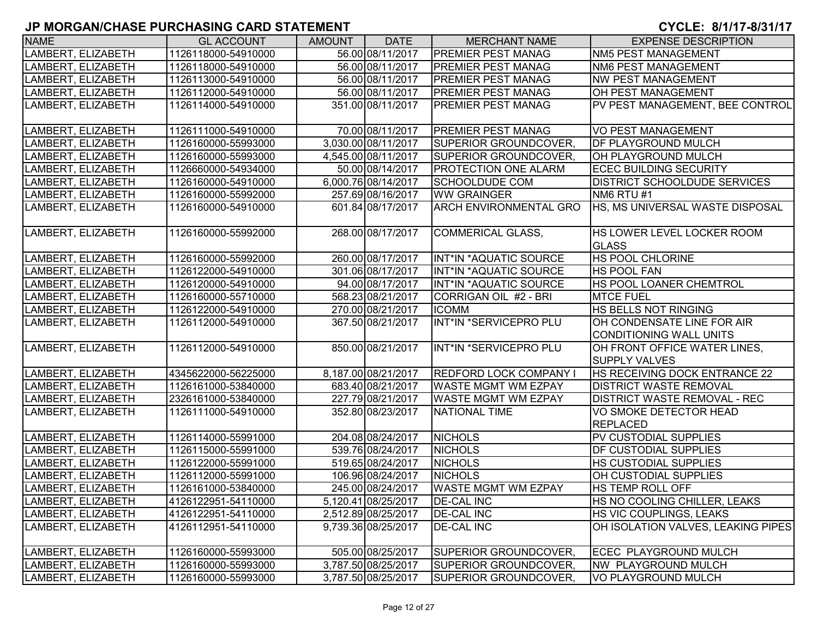| <b>NAME</b>        | <b>GL ACCOUNT</b>   | AMOUNT | <b>DATE</b>         | <b>MERCHANT NAME</b>          | <b>EXPENSE DESCRIPTION</b>          |
|--------------------|---------------------|--------|---------------------|-------------------------------|-------------------------------------|
| LAMBERT, ELIZABETH | 1126118000-54910000 |        | 56.00 08/11/2017    | <b>PREMIER PEST MANAG</b>     | NM5 PEST MANAGEMENT                 |
| LAMBERT, ELIZABETH | 1126118000-54910000 |        | 56.00 08/11/2017    | <b>PREMIER PEST MANAG</b>     | NM6 PEST MANAGEMENT                 |
| LAMBERT, ELIZABETH | 1126113000-54910000 |        | 56.00 08/11/2017    | <b>PREMIER PEST MANAG</b>     | <b>NW PEST MANAGEMENT</b>           |
| LAMBERT, ELIZABETH | 1126112000-54910000 |        | 56.00 08/11/2017    | <b>PREMIER PEST MANAG</b>     | <b>OH PEST MANAGEMENT</b>           |
| LAMBERT, ELIZABETH | 1126114000-54910000 |        | 351.00 08/11/2017   | <b>PREMIER PEST MANAG</b>     | PV PEST MANAGEMENT, BEE CONTROL     |
|                    |                     |        |                     |                               |                                     |
| LAMBERT, ELIZABETH | 1126111000-54910000 |        | 70.00 08/11/2017    | <b>PREMIER PEST MANAG</b>     | VO PEST MANAGEMENT                  |
| LAMBERT, ELIZABETH | 1126160000-55993000 |        | 3.030.00 08/11/2017 | <b>SUPERIOR GROUNDCOVER,</b>  | <b>DF PLAYGROUND MULCH</b>          |
| LAMBERT, ELIZABETH | 1126160000-55993000 |        | 4,545.00 08/11/2017 | SUPERIOR GROUNDCOVER,         | OH PLAYGROUND MULCH                 |
| LAMBERT, ELIZABETH | 1126660000-54934000 |        | 50.00 08/14/2017    | <b>PROTECTION ONE ALARM</b>   | <b>ECEC BUILDING SECURITY</b>       |
| LAMBERT, ELIZABETH | 1126160000-54910000 |        | 6,000.76 08/14/2017 | <b>SCHOOLDUDE COM</b>         | <b>DISTRICT SCHOOLDUDE SERVICES</b> |
| LAMBERT, ELIZABETH | 1126160000-55992000 |        | 257.69 08/16/2017   | <b>WW GRAINGER</b>            | NM6 RTU #1                          |
| LAMBERT, ELIZABETH | 1126160000-54910000 |        | 601.84 08/17/2017   | ARCH ENVIRONMENTAL GRO        | HS, MS UNIVERSAL WASTE DISPOSAL     |
|                    |                     |        |                     |                               |                                     |
| LAMBERT, ELIZABETH | 1126160000-55992000 |        | 268.00 08/17/2017   | <b>COMMERICAL GLASS,</b>      | HS LOWER LEVEL LOCKER ROOM          |
|                    |                     |        |                     |                               | <b>GLASS</b>                        |
| LAMBERT, ELIZABETH | 1126160000-55992000 |        | 260.00 08/17/2017   | INT*IN *AQUATIC SOURCE        | <b>HS POOL CHLORINE</b>             |
| LAMBERT, ELIZABETH | 1126122000-54910000 |        | 301.06 08/17/2017   | INT*IN *AQUATIC SOURCE        | <b>HS POOL FAN</b>                  |
| LAMBERT, ELIZABETH | 1126120000-54910000 |        | 94.00 08/17/2017    | INT*IN *AQUATIC SOURCE        | <b>HS POOL LOANER CHEMTROL</b>      |
| LAMBERT, ELIZABETH | 1126160000-55710000 |        | 568.23 08/21/2017   | CORRIGAN OIL #2 - BRI         | <b>MTCE FUEL</b>                    |
| LAMBERT, ELIZABETH | 1126122000-54910000 |        | 270.00 08/21/2017   | <b>ICOMM</b>                  | <b>HS BELLS NOT RINGING</b>         |
| LAMBERT, ELIZABETH | 1126112000-54910000 |        | 367.50 08/21/2017   | INT*IN *SERVICEPRO PLU        | OH CONDENSATE LINE FOR AIR          |
|                    |                     |        |                     |                               | <b>CONDITIONING WALL UNITS</b>      |
| LAMBERT, ELIZABETH | 1126112000-54910000 |        | 850.00 08/21/2017   | INT*IN *SERVICEPRO PLU        | OH FRONT OFFICE WATER LINES,        |
|                    |                     |        |                     |                               | <b>SUPPLY VALVES</b>                |
| LAMBERT, ELIZABETH | 4345622000-56225000 |        | 8,187.00 08/21/2017 | <b>REDFORD LOCK COMPANY I</b> | HS RECEIVING DOCK ENTRANCE 22       |
| LAMBERT, ELIZABETH | 1126161000-53840000 |        | 683.40 08/21/2017   | <b>WASTE MGMT WM EZPAY</b>    | <b>DISTRICT WASTE REMOVAL</b>       |
| LAMBERT, ELIZABETH | 2326161000-53840000 |        | 227.79 08/21/2017   | <b>WASTE MGMT WM EZPAY</b>    | <b>DISTRICT WASTE REMOVAL - REC</b> |
| LAMBERT, ELIZABETH | 1126111000-54910000 |        | 352.80 08/23/2017   | <b>NATIONAL TIME</b>          | VO SMOKE DETECTOR HEAD              |
|                    |                     |        |                     |                               | <b>REPLACED</b>                     |
| LAMBERT, ELIZABETH | 1126114000-55991000 |        | 204.08 08/24/2017   | <b>NICHOLS</b>                | PV CUSTODIAL SUPPLIES               |
| LAMBERT, ELIZABETH | 1126115000-55991000 |        | 539.76 08/24/2017   | <b>NICHOLS</b>                | <b>DF CUSTODIAL SUPPLIES</b>        |
| LAMBERT, ELIZABETH | 1126122000-55991000 |        | 519.65 08/24/2017   | <b>NICHOLS</b>                | <b>HS CUSTODIAL SUPPLIES</b>        |
| LAMBERT, ELIZABETH | 1126112000-55991000 |        | 106.96 08/24/2017   | <b>NICHOLS</b>                | OH CUSTODIAL SUPPLIES               |
| LAMBERT, ELIZABETH | 1126161000-53840000 |        | 245.00 08/24/2017   | <b>WASTE MGMT WM EZPAY</b>    | <b>HS TEMP ROLL OFF</b>             |
| LAMBERT, ELIZABETH | 4126122951-54110000 |        | 5,120.41 08/25/2017 | <b>DE-CAL INC</b>             | HS NO COOLING CHILLER, LEAKS        |
| LAMBERT, ELIZABETH | 4126122951-54110000 |        | 2,512.89 08/25/2017 | <b>DE-CAL INC</b>             | HS VIC COUPLINGS, LEAKS             |
| LAMBERT, ELIZABETH | 4126112951-54110000 |        | 9,739.36 08/25/2017 | <b>DE-CAL INC</b>             | OH ISOLATION VALVES, LEAKING PIPES  |
|                    |                     |        |                     |                               |                                     |
| LAMBERT, ELIZABETH | 1126160000-55993000 |        | 505.00 08/25/2017   | SUPERIOR GROUNDCOVER,         | ECEC PLAYGROUND MULCH               |
| LAMBERT, ELIZABETH | 1126160000-55993000 |        | 3,787.50 08/25/2017 | SUPERIOR GROUNDCOVER,         | NW PLAYGROUND MULCH                 |
| LAMBERT, ELIZABETH | 1126160000-55993000 |        | 3,787.50 08/25/2017 | <b>SUPERIOR GROUNDCOVER,</b>  | <b>VO PLAYGROUND MULCH</b>          |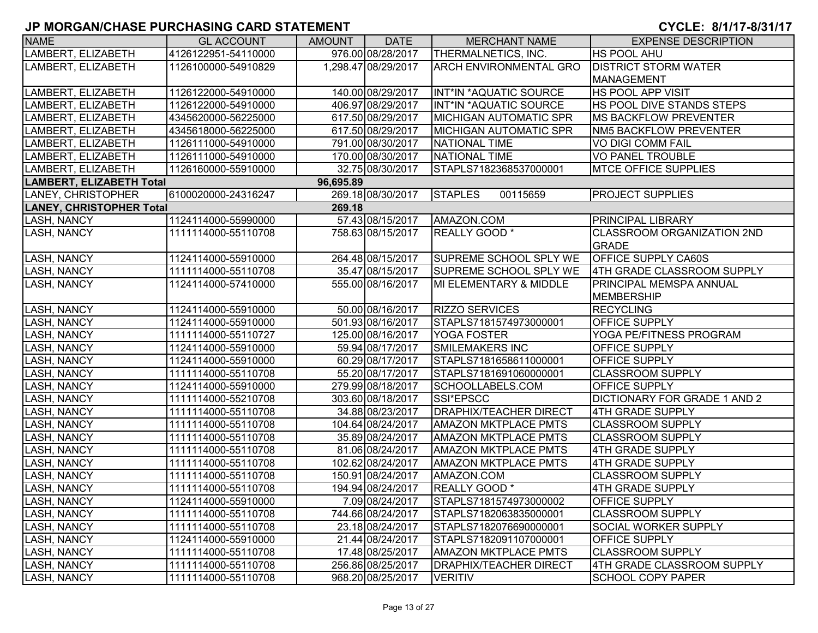| <b>NAME</b>                     | <b>GL ACCOUNT</b>   | <b>AMOUNT</b> | <b>DATE</b>         | <b>MERCHANT NAME</b>          | <b>EXPENSE DESCRIPTION</b>          |
|---------------------------------|---------------------|---------------|---------------------|-------------------------------|-------------------------------------|
| LAMBERT, ELIZABETH              | 4126122951-54110000 |               | 976.00 08/28/2017   | THERMALNETICS, INC.           | HS POOL AHU                         |
| LAMBERT, ELIZABETH              | 1126100000-54910829 |               | 1,298.47 08/29/2017 | <b>ARCH ENVIRONMENTAL GRO</b> | <b>DISTRICT STORM WATER</b>         |
|                                 |                     |               |                     |                               | MANAGEMENT                          |
| LAMBERT, ELIZABETH              | 1126122000-54910000 |               | 140.00 08/29/2017   | INT*IN *AQUATIC SOURCE        | <b>HS POOL APP VISIT</b>            |
| LAMBERT, ELIZABETH              | 1126122000-54910000 |               | 406.97 08/29/2017   | INT*IN *AQUATIC SOURCE        | HS POOL DIVE STANDS STEPS           |
| LAMBERT, ELIZABETH              | 4345620000-56225000 |               | 617.50 08/29/2017   | <b>MICHIGAN AUTOMATIC SPR</b> | <b>IMS BACKFLOW PREVENTER</b>       |
| LAMBERT, ELIZABETH              | 4345618000-56225000 |               | 617.50 08/29/2017   | <b>MICHIGAN AUTOMATIC SPR</b> | <b>NM5 BACKFLOW PREVENTER</b>       |
| LAMBERT, ELIZABETH              | 1126111000-54910000 |               | 791.00 08/30/2017   | <b>NATIONAL TIME</b>          | <b>VO DIGI COMM FAIL</b>            |
| LAMBERT, ELIZABETH              | 1126111000-54910000 |               | 170.00 08/30/2017   | <b>NATIONAL TIME</b>          | <b>VO PANEL TROUBLE</b>             |
| LAMBERT, ELIZABETH              | 1126160000-55910000 |               | 32.75 08/30/2017    | STAPLS7182368537000001        | <b>MTCE OFFICE SUPPLIES</b>         |
| LAMBERT, ELIZABETH Total        |                     | 96,695.89     |                     |                               |                                     |
| LANEY, CHRISTOPHER              | 6100020000-24316247 |               | 269.18 08/30/2017   | <b>STAPLES</b><br>00115659    | <b>PROJECT SUPPLIES</b>             |
| <b>LANEY, CHRISTOPHER Total</b> |                     | 269.18        |                     |                               |                                     |
| LASH, NANCY                     | 1124114000-55990000 |               | 57.43 08/15/2017    | AMAZON.COM                    | <b>PRINCIPAL LIBRARY</b>            |
| <b>LASH, NANCY</b>              | 1111114000-55110708 |               | 758.63 08/15/2017   | REALLY GOOD *                 | <b>CLASSROOM ORGANIZATION 2ND</b>   |
|                                 |                     |               |                     |                               | <b>GRADE</b>                        |
| <b>LASH, NANCY</b>              | 1124114000-55910000 |               | 264.48 08/15/2017   | SUPREME SCHOOL SPLY WE        | <b>OFFICE SUPPLY CA60S</b>          |
| <b>LASH, NANCY</b>              | 1111114000-55110708 |               | 35.47 08/15/2017    | <b>SUPREME SCHOOL SPLY WE</b> | 4TH GRADE CLASSROOM SUPPLY          |
| <b>LASH, NANCY</b>              | 1124114000-57410000 |               | 555.00 08/16/2017   | MI ELEMENTARY & MIDDLE        | PRINCIPAL MEMSPA ANNUAL             |
|                                 |                     |               |                     |                               | MEMBERSHIP                          |
| <b>LASH, NANCY</b>              | 1124114000-55910000 |               | 50.00 08/16/2017    | <b>RIZZO SERVICES</b>         | <b>RECYCLING</b>                    |
| <b>LASH, NANCY</b>              | 1124114000-55910000 |               | 501.93 08/16/2017   | STAPLS7181574973000001        | <b>OFFICE SUPPLY</b>                |
| <b>LASH, NANCY</b>              | 1111114000-55110727 |               | 125.00 08/16/2017   | YOGA FOSTER                   | YOGA PE/FITNESS PROGRAM             |
| <b>LASH, NANCY</b>              | 1124114000-55910000 |               | 59.94 08/17/2017    | <b>SMILEMAKERS INC</b>        | OFFICE SUPPLY                       |
| <b>LASH, NANCY</b>              | 1124114000-55910000 |               | 60.29 08/17/2017    | STAPLS7181658611000001        | <b>OFFICE SUPPLY</b>                |
| <b>LASH, NANCY</b>              | 1111114000-55110708 |               | 55.20 08/17/2017    | STAPLS7181691060000001        | <b>CLASSROOM SUPPLY</b>             |
| <b>LASH, NANCY</b>              | 1124114000-55910000 |               | 279.99 08/18/2017   | SCHOOLLABELS.COM              | <b>OFFICE SUPPLY</b>                |
| <b>LASH, NANCY</b>              | 1111114000-55210708 |               | 303.60 08/18/2017   | SSI*EPSCC                     | <b>DICTIONARY FOR GRADE 1 AND 2</b> |
| <b>LASH, NANCY</b>              | 1111114000-55110708 |               | 34.88 08/23/2017    | <b>DRAPHIX/TEACHER DIRECT</b> | 4TH GRADE SUPPLY                    |
| <b>LASH, NANCY</b>              | 1111114000-55110708 |               | 104.64 08/24/2017   | <b>AMAZON MKTPLACE PMTS</b>   | <b>CLASSROOM SUPPLY</b>             |
| LASH, NANCY                     | 1111114000-55110708 |               | 35.89 08/24/2017    | <b>AMAZON MKTPLACE PMTS</b>   | <b>CLASSROOM SUPPLY</b>             |
| <b>LASH, NANCY</b>              | 1111114000-55110708 |               | 81.06 08/24/2017    | AMAZON MKTPLACE PMTS          | 4TH GRADE SUPPLY                    |
| <b>LASH, NANCY</b>              | 1111114000-55110708 |               | 102.62 08/24/2017   | <b>AMAZON MKTPLACE PMTS</b>   | <b>4TH GRADE SUPPLY</b>             |
| <b>LASH, NANCY</b>              | 1111114000-55110708 |               | 150.91 08/24/2017   | AMAZON.COM                    | <b>CLASSROOM SUPPLY</b>             |
| <b>LASH, NANCY</b>              | 1111114000-55110708 |               | 194.94 08/24/2017   | REALLY GOOD *                 | 4TH GRADE SUPPLY                    |
| <b>LASH, NANCY</b>              | 1124114000-55910000 |               | 7.09 08/24/2017     | STAPLS7181574973000002        | <b>OFFICE SUPPLY</b>                |
| <b>LASH, NANCY</b>              | 1111114000-55110708 |               | 744.66 08/24/2017   | STAPLS7182063835000001        | <b>CLASSROOM SUPPLY</b>             |
| LASH, NANCY                     | 1111114000-55110708 |               | 23.18 08/24/2017    | STAPLS7182076690000001        | <b>SOCIAL WORKER SUPPLY</b>         |
| LASH, NANCY                     | 1124114000-55910000 |               | 21.44 08/24/2017    | STAPLS7182091107000001        | <b>OFFICE SUPPLY</b>                |
| <b>LASH, NANCY</b>              | 1111114000-55110708 |               | 17.48 08/25/2017    | <b>AMAZON MKTPLACE PMTS</b>   | <b>CLASSROOM SUPPLY</b>             |
| LASH, NANCY                     | 1111114000-55110708 |               | 256.86 08/25/2017   | <b>DRAPHIX/TEACHER DIRECT</b> | 4TH GRADE CLASSROOM SUPPLY          |
| LASH, NANCY                     | 1111114000-55110708 |               | 968.20 08/25/2017   | <b>VERITIV</b>                | <b>SCHOOL COPY PAPER</b>            |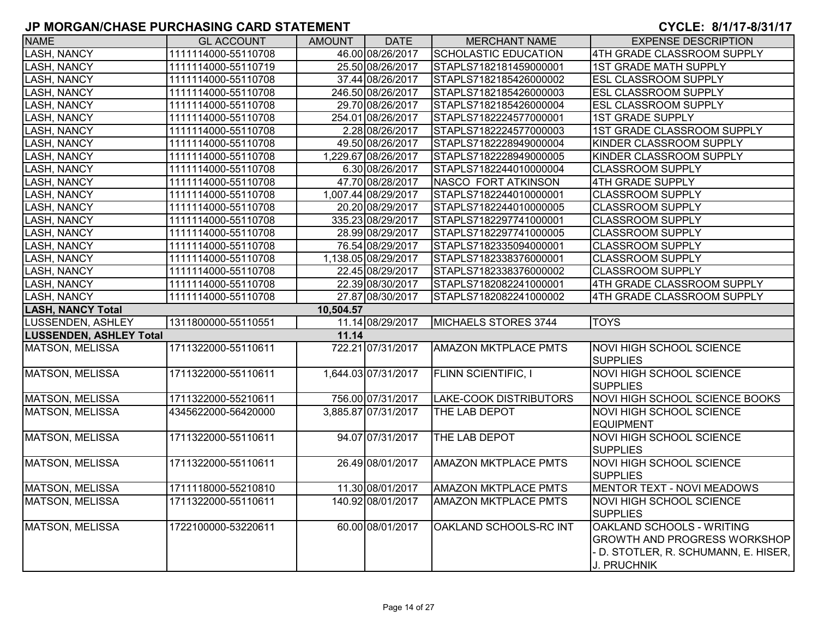| <b>NAME</b>                    | <b>GL ACCOUNT</b>   | AMOUNT    | <b>DATE</b>         | <b>MERCHANT NAME</b>          | <b>EXPENSE DESCRIPTION</b>                                                                                                |
|--------------------------------|---------------------|-----------|---------------------|-------------------------------|---------------------------------------------------------------------------------------------------------------------------|
| <b>LASH, NANCY</b>             | 1111114000-55110708 |           | 46.00 08/26/2017    | <b>SCHOLASTIC EDUCATION</b>   | 4TH GRADE CLASSROOM SUPPLY                                                                                                |
| <b>LASH, NANCY</b>             | 1111114000-55110719 |           | 25.50 08/26/2017    | STAPLS7182181459000001        | <b>1ST GRADE MATH SUPPLY</b>                                                                                              |
| <b>LASH, NANCY</b>             | 1111114000-55110708 |           | 37.44 08/26/2017    | STAPLS7182185426000002        | <b>ESL CLASSROOM SUPPLY</b>                                                                                               |
| <b>LASH, NANCY</b>             | 1111114000-55110708 |           | 246.50 08/26/2017   | STAPLS7182185426000003        | <b>ESL CLASSROOM SUPPLY</b>                                                                                               |
| <b>LASH, NANCY</b>             | 1111114000-55110708 |           | 29.70 08/26/2017    | STAPLS7182185426000004        | <b>ESL CLASSROOM SUPPLY</b>                                                                                               |
| <b>LASH, NANCY</b>             | 1111114000-55110708 |           | 254.01 08/26/2017   | STAPLS7182224577000001        | <b>1ST GRADE SUPPLY</b>                                                                                                   |
| <b>LASH, NANCY</b>             | 1111114000-55110708 |           | 2.28 08/26/2017     | STAPLS7182224577000003        | 1ST GRADE CLASSROOM SUPPLY                                                                                                |
| <b>LASH, NANCY</b>             | 1111114000-55110708 |           | 49.50 08/26/2017    | STAPLS7182228949000004        | KINDER CLASSROOM SUPPLY                                                                                                   |
| LASH, NANCY                    | 1111114000-55110708 |           | 1,229.67 08/26/2017 | STAPLS7182228949000005        | KINDER CLASSROOM SUPPLY                                                                                                   |
| <b>LASH, NANCY</b>             | 1111114000-55110708 |           | 6.30 08/26/2017     | STAPLS7182244010000004        | <b>CLASSROOM SUPPLY</b>                                                                                                   |
| <b>LASH, NANCY</b>             | 1111114000-55110708 |           | 47.70 08/28/2017    | <b>NASCO FORT ATKINSON</b>    | 4TH GRADE SUPPLY                                                                                                          |
| <b>LASH, NANCY</b>             | 1111114000-55110708 |           | 1,007.44 08/29/2017 | STAPLS7182244010000001        | <b>CLASSROOM SUPPLY</b>                                                                                                   |
| LASH, NANCY                    | 1111114000-55110708 |           | 20.20 08/29/2017    | STAPLS7182244010000005        | <b>CLASSROOM SUPPLY</b>                                                                                                   |
| <b>LASH, NANCY</b>             | 1111114000-55110708 |           | 335.23 08/29/2017   | STAPLS7182297741000001        | <b>CLASSROOM SUPPLY</b>                                                                                                   |
| <b>LASH, NANCY</b>             | 1111114000-55110708 |           | 28.99 08/29/2017    | STAPLS7182297741000005        | <b>CLASSROOM SUPPLY</b>                                                                                                   |
| <b>LASH, NANCY</b>             | 1111114000-55110708 |           | 76.54 08/29/2017    | STAPLS7182335094000001        | <b>CLASSROOM SUPPLY</b>                                                                                                   |
| <b>LASH, NANCY</b>             | 1111114000-55110708 |           | 1,138.05 08/29/2017 | STAPLS7182338376000001        | <b>CLASSROOM SUPPLY</b>                                                                                                   |
| <b>LASH, NANCY</b>             | 1111114000-55110708 |           | 22.45 08/29/2017    | STAPLS7182338376000002        | <b>CLASSROOM SUPPLY</b>                                                                                                   |
| <b>LASH, NANCY</b>             | 1111114000-55110708 |           | 22.39 08/30/2017    | STAPLS7182082241000001        | 4TH GRADE CLASSROOM SUPPLY                                                                                                |
| <b>LASH, NANCY</b>             | 1111114000-55110708 |           | 27.87 08/30/2017    | STAPLS7182082241000002        | 4TH GRADE CLASSROOM SUPPLY                                                                                                |
| <b>LASH, NANCY Total</b>       |                     | 10,504.57 |                     |                               |                                                                                                                           |
| <b>LUSSENDEN, ASHLEY</b>       | 1311800000-55110551 |           | 11.14 08/29/2017    | MICHAELS STORES 3744          | <b>TOYS</b>                                                                                                               |
| <b>LUSSENDEN, ASHLEY Total</b> |                     | 11.14     |                     |                               |                                                                                                                           |
| <b>MATSON, MELISSA</b>         | 1711322000-55110611 |           | 722.21 07/31/2017   | <b>AMAZON MKTPLACE PMTS</b>   | <b>NOVI HIGH SCHOOL SCIENCE</b><br><b>SUPPLIES</b>                                                                        |
| <b>MATSON, MELISSA</b>         | 1711322000-55110611 |           | 1,644.03 07/31/2017 | <b>FLINN SCIENTIFIC, I</b>    | <b>NOVI HIGH SCHOOL SCIENCE</b><br><b>SUPPLIES</b>                                                                        |
| <b>MATSON, MELISSA</b>         | 1711322000-55210611 |           | 756.00 07/31/2017   | <b>LAKE-COOK DISTRIBUTORS</b> | NOVI HIGH SCHOOL SCIENCE BOOKS                                                                                            |
| <b>MATSON, MELISSA</b>         | 4345622000-56420000 |           | 3,885.87 07/31/2017 | THE LAB DEPOT                 | <b>NOVI HIGH SCHOOL SCIENCE</b><br><b>EQUIPMENT</b>                                                                       |
| MATSON, MELISSA                | 1711322000-55110611 |           | 94.07 07/31/2017    | THE LAB DEPOT                 | <b>NOVI HIGH SCHOOL SCIENCE</b><br><b>SUPPLIES</b>                                                                        |
| <b>MATSON, MELISSA</b>         | 1711322000-55110611 |           | 26.49 08/01/2017    | <b>AMAZON MKTPLACE PMTS</b>   | NOVI HIGH SCHOOL SCIENCE<br><b>SUPPLIES</b>                                                                               |
| <b>MATSON, MELISSA</b>         | 1711118000-55210810 |           | 11.30 08/01/2017    | <b>AMAZON MKTPLACE PMTS</b>   | <b>MENTOR TEXT - NOVI MEADOWS</b>                                                                                         |
| <b>MATSON, MELISSA</b>         | 1711322000-55110611 |           | 140.92 08/01/2017   | <b>AMAZON MKTPLACE PMTS</b>   | <b>NOVI HIGH SCHOOL SCIENCE</b><br><b>SUPPLIES</b>                                                                        |
| <b>MATSON, MELISSA</b>         | 1722100000-53220611 |           | 60.00 08/01/2017    | OAKLAND SCHOOLS-RC INT        | OAKLAND SCHOOLS - WRITING<br><b>GROWTH AND PROGRESS WORKSHOP</b><br>- D. STOTLER, R. SCHUMANN, E. HISER, I<br>J. PRUCHNIK |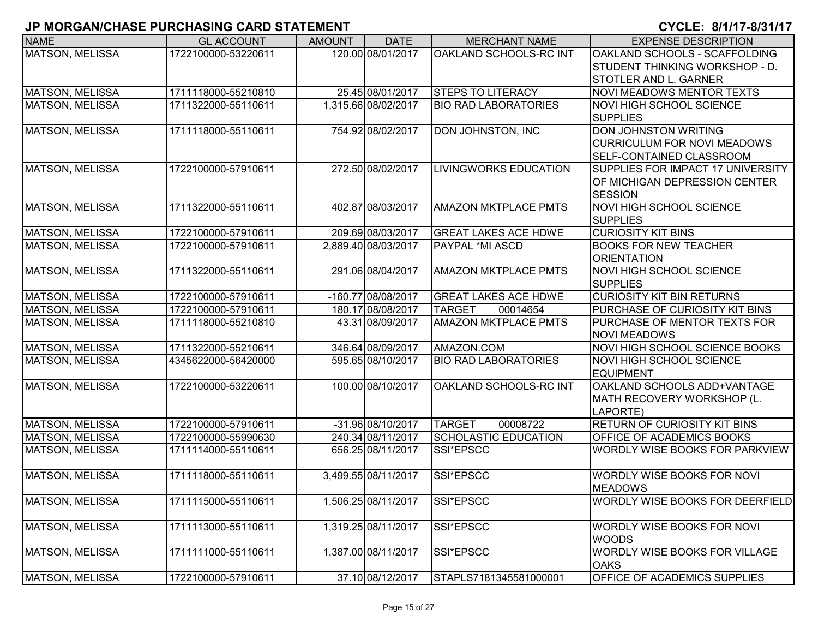| <b>NAME</b>            | <b>GL ACCOUNT</b>   | <b>AMOUNT</b> | <b>DATE</b>         | <b>MERCHANT NAME</b>         | <b>EXPENSE DESCRIPTION</b>             |
|------------------------|---------------------|---------------|---------------------|------------------------------|----------------------------------------|
| <b>MATSON, MELISSA</b> | 1722100000-53220611 |               | 120.00 08/01/2017   | OAKLAND SCHOOLS-RC INT       | OAKLAND SCHOOLS - SCAFFOLDING          |
|                        |                     |               |                     |                              | STUDENT THINKING WORKSHOP - D.         |
|                        |                     |               |                     |                              | <b>STOTLER AND L. GARNER</b>           |
| <b>MATSON, MELISSA</b> | 1711118000-55210810 |               | 25.45 08/01/2017    | <b>STEPS TO LITERACY</b>     | NOVI MEADOWS MENTOR TEXTS              |
| <b>MATSON, MELISSA</b> | 1711322000-55110611 |               | 1,315.66 08/02/2017 | <b>BIO RAD LABORATORIES</b>  | NOVI HIGH SCHOOL SCIENCE               |
|                        |                     |               |                     |                              | <b>SUPPLIES</b>                        |
| MATSON, MELISSA        | 1711118000-55110611 |               | 754.92 08/02/2017   | DON JOHNSTON, INC            | <b>DON JOHNSTON WRITING</b>            |
|                        |                     |               |                     |                              | <b>CURRICULUM FOR NOVI MEADOWS</b>     |
|                        |                     |               |                     |                              | <b>SELF-CONTAINED CLASSROOM</b>        |
| <b>MATSON, MELISSA</b> | 1722100000-57910611 |               | 272.50 08/02/2017   | <b>LIVINGWORKS EDUCATION</b> | SUPPLIES FOR IMPACT 17 UNIVERSITY      |
|                        |                     |               |                     |                              | OF MICHIGAN DEPRESSION CENTER          |
|                        |                     |               |                     |                              | <b>SESSION</b>                         |
| <b>MATSON, MELISSA</b> | 1711322000-55110611 |               | 402.87 08/03/2017   | <b>AMAZON MKTPLACE PMTS</b>  | <b>NOVI HIGH SCHOOL SCIENCE</b>        |
|                        |                     |               |                     |                              | <b>SUPPLIES</b>                        |
| <b>MATSON, MELISSA</b> | 1722100000-57910611 |               | 209.69 08/03/2017   | <b>GREAT LAKES ACE HDWE</b>  | <b>CURIOSITY KIT BINS</b>              |
| <b>MATSON, MELISSA</b> | 1722100000-57910611 |               | 2,889.40 08/03/2017 | <b>PAYPAL *MI ASCD</b>       | <b>BOOKS FOR NEW TEACHER</b>           |
|                        |                     |               |                     |                              | <b>ORIENTATION</b>                     |
| <b>MATSON, MELISSA</b> | 1711322000-55110611 |               | 291.06 08/04/2017   | <b>AMAZON MKTPLACE PMTS</b>  | NOVI HIGH SCHOOL SCIENCE               |
|                        |                     |               |                     |                              | <b>SUPPLIES</b>                        |
| MATSON, MELISSA        | 1722100000-57910611 |               | -160.77 08/08/2017  | <b>GREAT LAKES ACE HDWE</b>  | <b>CURIOSITY KIT BIN RETURNS</b>       |
| <b>MATSON, MELISSA</b> | 1722100000-57910611 |               | 180.17 08/08/2017   | <b>TARGET</b><br>00014654    | PURCHASE OF CURIOSITY KIT BINS         |
| <b>MATSON, MELISSA</b> | 1711118000-55210810 |               | 43.31 08/09/2017    | <b>AMAZON MKTPLACE PMTS</b>  | <b>PURCHASE OF MENTOR TEXTS FOR</b>    |
|                        |                     |               |                     |                              | <b>NOVI MEADOWS</b>                    |
| <b>MATSON, MELISSA</b> | 1711322000-55210611 |               | 346.64 08/09/2017   | AMAZON.COM                   | <b>NOVI HIGH SCHOOL SCIENCE BOOKS</b>  |
| <b>MATSON, MELISSA</b> | 4345622000-56420000 |               | 595.65 08/10/2017   | <b>BIO RAD LABORATORIES</b>  | <b>NOVI HIGH SCHOOL SCIENCE</b>        |
|                        |                     |               |                     |                              | <b>EQUIPMENT</b>                       |
| <b>MATSON, MELISSA</b> | 1722100000-53220611 |               | 100.00 08/10/2017   | OAKLAND SCHOOLS-RC INT       | OAKLAND SCHOOLS ADD+VANTAGE            |
|                        |                     |               |                     |                              | MATH RECOVERY WORKSHOP (L.             |
|                        |                     |               |                     |                              | LAPORTE)                               |
| <b>MATSON, MELISSA</b> | 1722100000-57910611 |               | -31.96 08/10/2017   | <b>TARGET</b><br>00008722    | <b>RETURN OF CURIOSITY KIT BINS</b>    |
| <b>MATSON, MELISSA</b> | 1722100000-55990630 |               | 240.34 08/11/2017   | <b>SCHOLASTIC EDUCATION</b>  | <b>OFFICE OF ACADEMICS BOOKS</b>       |
| <b>MATSON, MELISSA</b> | 1711114000-55110611 |               | 656.25 08/11/2017   | SSI*EPSCC                    | <b>WORDLY WISE BOOKS FOR PARKVIEW</b>  |
| <b>MATSON, MELISSA</b> | 1711118000-55110611 |               | 3,499.55 08/11/2017 | SSI*EPSCC                    | <b>WORDLY WISE BOOKS FOR NOVI</b>      |
|                        |                     |               |                     |                              | <b>MEADOWS</b>                         |
| MATSON, MELISSA        | 1711115000-55110611 |               | 1,506.25 08/11/2017 | SSI*EPSCC                    | <b>WORDLY WISE BOOKS FOR DEERFIELD</b> |
|                        |                     |               |                     |                              |                                        |
| <b>MATSON, MELISSA</b> | 1711113000-55110611 |               | 1,319.25 08/11/2017 | SSI*EPSCC                    | WORDLY WISE BOOKS FOR NOVI             |
|                        |                     |               |                     |                              | <b>WOODS</b>                           |
| <b>MATSON, MELISSA</b> | 1711111000-55110611 |               | 1,387.00 08/11/2017 | SSI*EPSCC                    | WORDLY WISE BOOKS FOR VILLAGE          |
|                        |                     |               |                     |                              | <b>OAKS</b>                            |
| <b>MATSON, MELISSA</b> | 1722100000-57910611 |               | 37.10 08/12/2017    | STAPLS7181345581000001       | OFFICE OF ACADEMICS SUPPLIES           |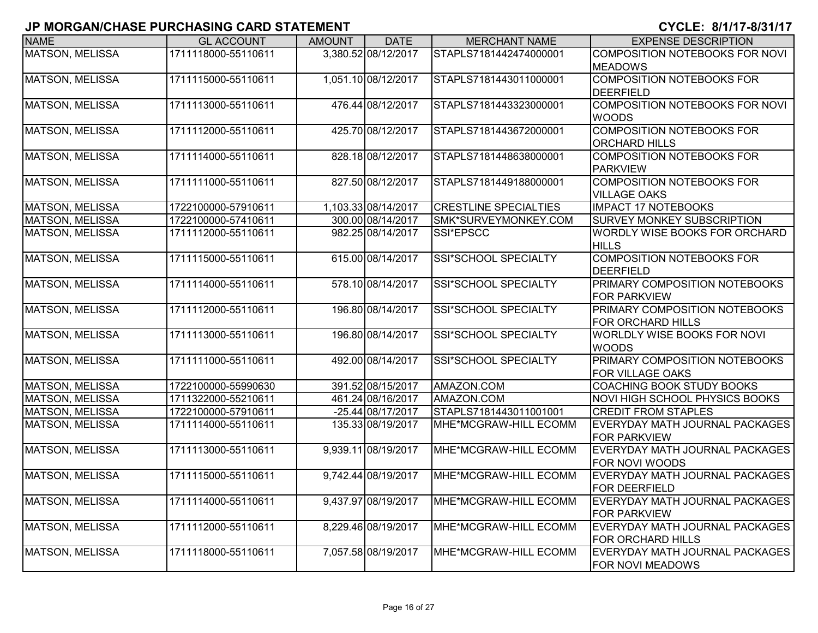| <b>NAME</b>            | <b>GL ACCOUNT</b>   | <b>AMOUNT</b> | <b>DATE</b>         | <b>MERCHANT NAME</b>         | <b>EXPENSE DESCRIPTION</b>                               |
|------------------------|---------------------|---------------|---------------------|------------------------------|----------------------------------------------------------|
| <b>MATSON, MELISSA</b> | 1711118000-55110611 |               | 3,380.52 08/12/2017 | STAPLS7181442474000001       | COMPOSITION NOTEBOOKS FOR NOVI<br><b>MEADOWS</b>         |
| <b>MATSON, MELISSA</b> | 1711115000-55110611 |               | 1,051.10 08/12/2017 | STAPLS7181443011000001       | <b>COMPOSITION NOTEBOOKS FOR</b><br><b>DEERFIELD</b>     |
| <b>MATSON, MELISSA</b> | 1711113000-55110611 |               | 476.44 08/12/2017   | STAPLS7181443323000001       | <b>COMPOSITION NOTEBOOKS FOR NOVI</b><br><b>WOODS</b>    |
| <b>MATSON, MELISSA</b> | 1711112000-55110611 |               | 425.70 08/12/2017   | STAPLS7181443672000001       | <b>COMPOSITION NOTEBOOKS FOR</b><br><b>ORCHARD HILLS</b> |
| <b>MATSON, MELISSA</b> | 1711114000-55110611 |               | 828.18 08/12/2017   | STAPLS7181448638000001       | <b>COMPOSITION NOTEBOOKS FOR</b><br><b>PARKVIEW</b>      |
| <b>MATSON, MELISSA</b> | 1711111000-55110611 |               | 827.50 08/12/2017   | STAPLS7181449188000001       | <b>COMPOSITION NOTEBOOKS FOR</b><br><b>VILLAGE OAKS</b>  |
| <b>MATSON, MELISSA</b> | 1722100000-57910611 |               | 1,103.33 08/14/2017 | <b>CRESTLINE SPECIALTIES</b> | <b>IMPACT 17 NOTEBOOKS</b>                               |
| MATSON, MELISSA        | 1722100000-57410611 |               | 300.00 08/14/2017   | SMK*SURVEYMONKEY.COM         | SURVEY MONKEY SUBSCRIPTION                               |
| <b>MATSON, MELISSA</b> | 1711112000-55110611 |               | 982.25 08/14/2017   | SSI*EPSCC                    | WORDLY WISE BOOKS FOR ORCHARD<br><b>HILLS</b>            |
| <b>MATSON, MELISSA</b> | 1711115000-55110611 |               | 615.00 08/14/2017   | <b>SSI*SCHOOL SPECIALTY</b>  | <b>COMPOSITION NOTEBOOKS FOR</b><br><b>DEERFIELD</b>     |
| <b>MATSON, MELISSA</b> | 1711114000-55110611 |               | 578.10 08/14/2017   | <b>SSI*SCHOOL SPECIALTY</b>  | PRIMARY COMPOSITION NOTEBOOKS<br><b>FOR PARKVIEW</b>     |
| <b>MATSON, MELISSA</b> | 1711112000-55110611 |               | 196.80 08/14/2017   | SSI*SCHOOL SPECIALTY         | PRIMARY COMPOSITION NOTEBOOKS<br>FOR ORCHARD HILLS       |
| <b>MATSON, MELISSA</b> | 1711113000-55110611 |               | 196.80 08/14/2017   | SSI*SCHOOL SPECIALTY         | WORLDLY WISE BOOKS FOR NOVI<br><b>WOODS</b>              |
| <b>MATSON, MELISSA</b> | 1711111000-55110611 |               | 492.00 08/14/2017   | <b>SSI*SCHOOL SPECIALTY</b>  | PRIMARY COMPOSITION NOTEBOOKS<br>FOR VILLAGE OAKS        |
| <b>MATSON, MELISSA</b> | 1722100000-55990630 |               | 391.52 08/15/2017   | AMAZON.COM                   | COACHING BOOK STUDY BOOKS                                |
| <b>MATSON, MELISSA</b> | 1711322000-55210611 |               | 461.24 08/16/2017   | AMAZON.COM                   | NOVI HIGH SCHOOL PHYSICS BOOKS                           |
| <b>MATSON, MELISSA</b> | 1722100000-57910611 |               | -25.44 08/17/2017   | STAPLS7181443011001001       | <b>CREDIT FROM STAPLES</b>                               |
| <b>MATSON, MELISSA</b> | 1711114000-55110611 |               | 135.33 08/19/2017   | MHE*MCGRAW-HILL ECOMM        | EVERYDAY MATH JOURNAL PACKAGES<br><b>FOR PARKVIEW</b>    |
| <b>MATSON, MELISSA</b> | 1711113000-55110611 |               | 9,939.11 08/19/2017 | MHE*MCGRAW-HILL ECOMM        | EVERYDAY MATH JOURNAL PACKAGES<br>FOR NOVI WOODS         |
| <b>MATSON, MELISSA</b> | 1711115000-55110611 |               | 9,742.44 08/19/2017 | MHE*MCGRAW-HILL ECOMM        | EVERYDAY MATH JOURNAL PACKAGES<br>FOR DEERFIELD          |
| MATSON, MELISSA        | 1711114000-55110611 |               | 9,437.97 08/19/2017 | MHE*MCGRAW-HILL ECOMM        | EVERYDAY MATH JOURNAL PACKAGES<br>FOR PARKVIEW           |
| <b>MATSON, MELISSA</b> | 1711112000-55110611 |               | 8,229.46 08/19/2017 | MHE*MCGRAW-HILL ECOMM        | EVERYDAY MATH JOURNAL PACKAGES<br>FOR ORCHARD HILLS      |
| MATSON, MELISSA        | 1711118000-55110611 |               | 7,057.58 08/19/2017 | MHE*MCGRAW-HILL ECOMM        | EVERYDAY MATH JOURNAL PACKAGES<br>FOR NOVI MEADOWS       |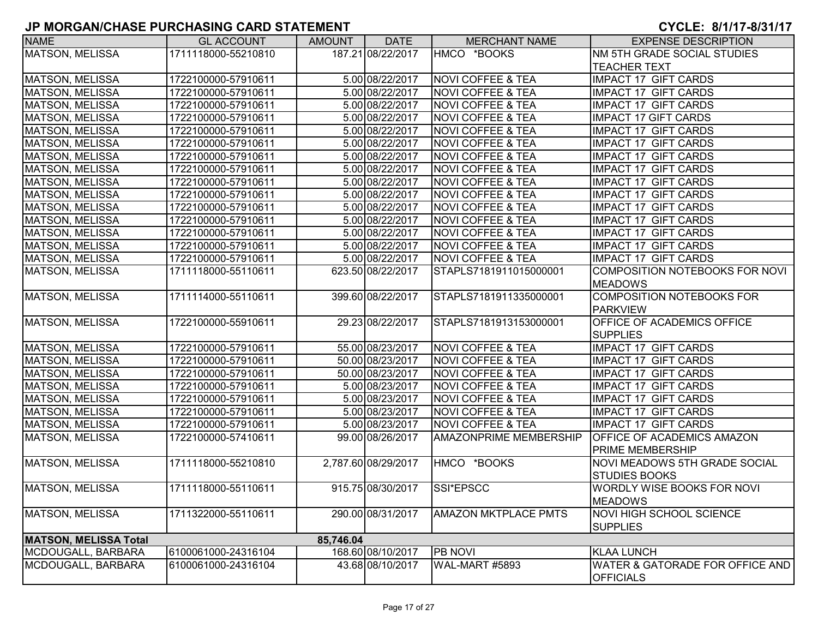| <b>NAME</b>                  | <b>GL ACCOUNT</b>   | <b>AMOUNT</b> | <b>DATE</b>         | <b>MERCHANT NAME</b>          | <b>EXPENSE DESCRIPTION</b>           |
|------------------------------|---------------------|---------------|---------------------|-------------------------------|--------------------------------------|
| <b>MATSON, MELISSA</b>       | 1711118000-55210810 |               | 187.21 08/22/2017   | HMCO *BOOKS                   | NM 5TH GRADE SOCIAL STUDIES          |
|                              |                     |               |                     |                               | <b>TEACHER TEXT</b>                  |
| <b>MATSON, MELISSA</b>       | 1722100000-57910611 |               | 5.00 08/22/2017     | <b>NOVI COFFEE &amp; TEA</b>  | <b>IMPACT 17 GIFT CARDS</b>          |
| <b>MATSON, MELISSA</b>       | 1722100000-57910611 |               | 5.00 08/22/2017     | <b>NOVI COFFEE &amp; TEA</b>  | <b>IMPACT 17 GIFT CARDS</b>          |
| MATSON, MELISSA              | 1722100000-57910611 |               | 5.00 08/22/2017     | <b>NOVI COFFEE &amp; TEA</b>  | <b>IMPACT 17 GIFT CARDS</b>          |
| MATSON, MELISSA              | 1722100000-57910611 |               | 5.00 08/22/2017     | <b>NOVI COFFEE &amp; TEA</b>  | <b>IMPACT 17 GIFT CARDS</b>          |
| <b>MATSON, MELISSA</b>       | 1722100000-57910611 |               | 5.00 08/22/2017     | <b>NOVI COFFEE &amp; TEA</b>  | <b>IMPACT 17 GIFT CARDS</b>          |
| <b>MATSON, MELISSA</b>       | 1722100000-57910611 |               | 5.00 08/22/2017     | <b>NOVI COFFEE &amp; TEA</b>  | <b>IMPACT 17 GIFT CARDS</b>          |
| <b>MATSON, MELISSA</b>       | 1722100000-57910611 |               | 5.00 08/22/2017     | <b>NOVI COFFEE &amp; TEA</b>  | <b>IMPACT 17 GIFT CARDS</b>          |
| MATSON, MELISSA              | 1722100000-57910611 |               | 5.00 08/22/2017     | <b>NOVI COFFEE &amp; TEA</b>  | <b>IMPACT 17 GIFT CARDS</b>          |
| <b>MATSON, MELISSA</b>       | 1722100000-57910611 |               | 5.00 08/22/2017     | <b>NOVI COFFEE &amp; TEA</b>  | <b>IMPACT 17 GIFT CARDS</b>          |
| <b>MATSON, MELISSA</b>       | 1722100000-57910611 |               | 5.00 08/22/2017     | <b>NOVI COFFEE &amp; TEA</b>  | <b>IMPACT 17 GIFT CARDS</b>          |
| <b>MATSON, MELISSA</b>       | 1722100000-57910611 |               | 5.00 08/22/2017     | <b>NOVI COFFEE &amp; TEA</b>  | <b>IMPACT 17 GIFT CARDS</b>          |
| <b>MATSON, MELISSA</b>       | 1722100000-57910611 |               | 5.00 08/22/2017     | <b>NOVI COFFEE &amp; TEA</b>  | <b>IMPACT 17 GIFT CARDS</b>          |
| <b>MATSON, MELISSA</b>       | 1722100000-57910611 |               | 5.00 08/22/2017     | <b>NOVI COFFEE &amp; TEA</b>  | <b>IMPACT 17 GIFT CARDS</b>          |
| MATSON, MELISSA              | 1722100000-57910611 |               | 5.00 08/22/2017     | <b>NOVI COFFEE &amp; TEA</b>  | <b>IMPACT 17 GIFT CARDS</b>          |
| MATSON, MELISSA              | 1722100000-57910611 |               | 5.00 08/22/2017     | <b>NOVI COFFEE &amp; TEA</b>  | <b>IMPACT 17 GIFT CARDS</b>          |
| MATSON, MELISSA              | 1711118000-55110611 |               | 623.50 08/22/2017   | STAPLS7181911015000001        | COMPOSITION NOTEBOOKS FOR NOVI       |
|                              |                     |               |                     |                               | <b>MEADOWS</b>                       |
| <b>MATSON, MELISSA</b>       | 1711114000-55110611 |               | 399.60 08/22/2017   | STAPLS7181911335000001        | <b>COMPOSITION NOTEBOOKS FOR</b>     |
|                              |                     |               |                     |                               | PARKVIEW                             |
| <b>MATSON, MELISSA</b>       | 1722100000-55910611 |               | 29.23 08/22/2017    | STAPLS7181913153000001        | OFFICE OF ACADEMICS OFFICE           |
|                              |                     |               |                     |                               | <b>SUPPLIES</b>                      |
| <b>MATSON, MELISSA</b>       | 1722100000-57910611 |               | 55.00 08/23/2017    | <b>NOVI COFFEE &amp; TEA</b>  | <b>IMPACT 17 GIFT CARDS</b>          |
| MATSON, MELISSA              | 1722100000-57910611 |               | 50.00 08/23/2017    | <b>NOVI COFFEE &amp; TEA</b>  | <b>IMPACT 17 GIFT CARDS</b>          |
| MATSON, MELISSA              | 1722100000-57910611 |               | 50.00 08/23/2017    | <b>NOVI COFFEE &amp; TEA</b>  | <b>IMPACT 17 GIFT CARDS</b>          |
| MATSON, MELISSA              | 1722100000-57910611 |               | 5.00 08/23/2017     | <b>NOVI COFFEE &amp; TEA</b>  | <b>IMPACT 17 GIFT CARDS</b>          |
| <b>MATSON, MELISSA</b>       | 1722100000-57910611 |               | 5.00 08/23/2017     | <b>NOVI COFFEE &amp; TEA</b>  | <b>IMPACT 17 GIFT CARDS</b>          |
| <b>MATSON, MELISSA</b>       | 1722100000-57910611 |               | 5.00 08/23/2017     | <b>NOVI COFFEE &amp; TEA</b>  | <b>IMPACT 17 GIFT CARDS</b>          |
| <b>MATSON, MELISSA</b>       | 1722100000-57910611 |               | 5.00 08/23/2017     | <b>NOVI COFFEE &amp; TEA</b>  | <b>IMPACT 17 GIFT CARDS</b>          |
| <b>MATSON, MELISSA</b>       | 1722100000-57410611 |               | 99.00 08/26/2017    | <b>AMAZONPRIME MEMBERSHIP</b> | <b>OFFICE OF ACADEMICS AMAZON</b>    |
|                              |                     |               |                     |                               | <b>PRIME MEMBERSHIP</b>              |
| <b>MATSON, MELISSA</b>       | 1711118000-55210810 |               | 2,787.60 08/29/2017 | HMCO *BOOKS                   | <b>NOVI MEADOWS 5TH GRADE SOCIAL</b> |
|                              |                     |               |                     |                               | <b>STUDIES BOOKS</b>                 |
| MATSON, MELISSA              | 1711118000-55110611 |               | 915.75 08/30/2017   | SSI*EPSCC                     | WORDLY WISE BOOKS FOR NOVI           |
|                              |                     |               |                     |                               | <b>MEADOWS</b>                       |
| MATSON, MELISSA              | 1711322000-55110611 |               | 290.00 08/31/2017   | <b>AMAZON MKTPLACE PMTS</b>   | <b>NOVI HIGH SCHOOL SCIENCE</b>      |
|                              |                     |               |                     |                               | <b>SUPPLIES</b>                      |
| <b>MATSON, MELISSA Total</b> |                     | 85,746.04     |                     |                               |                                      |
| MCDOUGALL, BARBARA           | 6100061000-24316104 |               | 168.60 08/10/2017   | <b>PB NOVI</b>                | <b>KLAA LUNCH</b>                    |
| MCDOUGALL, BARBARA           | 6100061000-24316104 |               | 43.68 08/10/2017    | WAL-MART #5893                | WATER & GATORADE FOR OFFICE AND      |
|                              |                     |               |                     |                               | <b>OFFICIALS</b>                     |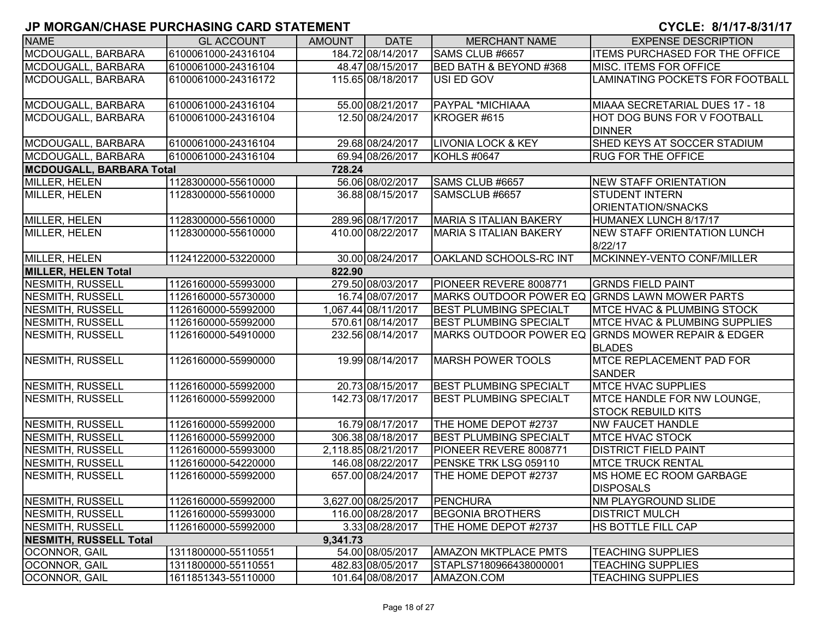| <b>NAME</b>                     | <b>GL ACCOUNT</b>   | <b>AMOUNT</b> | <b>DATE</b>         | <b>MERCHANT NAME</b>              | <b>EXPENSE DESCRIPTION</b>                             |
|---------------------------------|---------------------|---------------|---------------------|-----------------------------------|--------------------------------------------------------|
| MCDOUGALL, BARBARA              | 6100061000-24316104 |               | 184.72 08/14/2017   | SAMS CLUB #6657                   | ITEMS PURCHASED FOR THE OFFICE                         |
| MCDOUGALL, BARBARA              | 6100061000-24316104 |               | 48.47 08/15/2017    | <b>BED BATH &amp; BEYOND #368</b> | <b>MISC. ITEMS FOR OFFICE</b>                          |
| MCDOUGALL, BARBARA              | 6100061000-24316172 |               | 115.65 08/18/2017   | USI ED GOV                        | LAMINATING POCKETS FOR FOOTBALL                        |
| MCDOUGALL, BARBARA              | 6100061000-24316104 |               | 55.00 08/21/2017    | PAYPAL *MICHIAAA                  | MIAAA SECRETARIAL DUES 17 - 18                         |
| MCDOUGALL, BARBARA              | 6100061000-24316104 |               | 12.50 08/24/2017    | KROGER#615                        | HOT DOG BUNS FOR V FOOTBALL                            |
|                                 |                     |               |                     |                                   | <b>DINNER</b>                                          |
| MCDOUGALL, BARBARA              | 6100061000-24316104 |               | 29.68 08/24/2017    | <b>LIVONIA LOCK &amp; KEY</b>     | SHED KEYS AT SOCCER STADIUM                            |
| MCDOUGALL, BARBARA              | 6100061000-24316104 |               | 69.94 08/26/2017    | KOHLS #0647                       | <b>RUG FOR THE OFFICE</b>                              |
| <b>MCDOUGALL, BARBARA Total</b> |                     | 728.24        |                     |                                   |                                                        |
| MILLER, HELEN                   | 1128300000-55610000 |               | 56.06 08/02/2017    | SAMS CLUB #6657                   | <b>NEW STAFF ORIENTATION</b>                           |
| MILLER, HELEN                   | 1128300000-55610000 |               | 36.88 08/15/2017    | SAMSCLUB #6657                    | <b>STUDENT INTERN</b>                                  |
|                                 |                     |               |                     |                                   | ORIENTATION/SNACKS                                     |
| MILLER, HELEN                   | 1128300000-55610000 |               | 289.96 08/17/2017   | <b>MARIA S ITALIAN BAKERY</b>     | HUMANEX LUNCH 8/17/17                                  |
| <b>MILLER, HELEN</b>            | 1128300000-55610000 |               | 410.00 08/22/2017   | <b>MARIA S ITALIAN BAKERY</b>     | <b>NEW STAFF ORIENTATION LUNCH</b>                     |
|                                 |                     |               |                     |                                   | 8/22/17                                                |
| MILLER, HELEN                   | 1124122000-53220000 |               | 30.00 08/24/2017    | <b>OAKLAND SCHOOLS-RC INT</b>     | MCKINNEY-VENTO CONF/MILLER                             |
| <b>MILLER, HELEN Total</b>      |                     | 822.90        |                     |                                   |                                                        |
| <b>NESMITH, RUSSELL</b>         | 1126160000-55993000 |               | 279.50 08/03/2017   | PIONEER REVERE 8008771            | <b>GRNDS FIELD PAINT</b>                               |
| <b>NESMITH, RUSSELL</b>         | 1126160000-55730000 |               | 16.74 08/07/2017    | MARKS OUTDOOR POWER EQ            | <b>GRNDS LAWN MOWER PARTS</b>                          |
| <b>NESMITH, RUSSELL</b>         | 1126160000-55992000 |               | 1,067.44 08/11/2017 | <b>BEST PLUMBING SPECIALT</b>     | <b>MTCE HVAC &amp; PLUMBING STOCK</b>                  |
| <b>NESMITH, RUSSELL</b>         | 1126160000-55992000 |               | 570.61 08/14/2017   | <b>BEST PLUMBING SPECIALT</b>     | <b>MTCE HVAC &amp; PLUMBING SUPPLIES</b>               |
| <b>NESMITH, RUSSELL</b>         | 1126160000-54910000 |               | 232.56 08/14/2017   | MARKS OUTDOOR POWER EQ            | <b>GRNDS MOWER REPAIR &amp; EDGER</b><br><b>BLADES</b> |
| <b>NESMITH, RUSSELL</b>         | 1126160000-55990000 |               | 19.99 08/14/2017    | <b>MARSH POWER TOOLS</b>          | <b>MTCE REPLACEMENT PAD FOR</b><br><b>SANDER</b>       |
| <b>NESMITH, RUSSELL</b>         | 1126160000-55992000 |               | 20.73 08/15/2017    | <b>BEST PLUMBING SPECIALT</b>     | <b>MTCE HVAC SUPPLIES</b>                              |
| <b>NESMITH, RUSSELL</b>         | 1126160000-55992000 |               | 142.73 08/17/2017   | <b>BEST PLUMBING SPECIALT</b>     | MTCE HANDLE FOR NW LOUNGE,                             |
|                                 |                     |               |                     |                                   | <b>STOCK REBUILD KITS</b>                              |
| <b>NESMITH, RUSSELL</b>         | 1126160000-55992000 |               | 16.79 08/17/2017    | THE HOME DEPOT #2737              | <b>NW FAUCET HANDLE</b>                                |
| <b>NESMITH, RUSSELL</b>         | 1126160000-55992000 |               | 306.38 08/18/2017   | <b>BEST PLUMBING SPECIALT</b>     | <b>MTCE HVAC STOCK</b>                                 |
| <b>NESMITH, RUSSELL</b>         | 1126160000-55993000 |               | 2.118.85 08/21/2017 | PIONEER REVERE 8008771            | <b>DISTRICT FIELD PAINT</b>                            |
| <b>NESMITH, RUSSELL</b>         | 1126160000-54220000 |               | 146.08 08/22/2017   | PENSKE TRK LSG 059110             | <b>MTCE TRUCK RENTAL</b>                               |
| NESMITH, RUSSELL                | 1126160000-55992000 |               | 657.00 08/24/2017   | THE HOME DEPOT #2737              | <b>IMS HOME EC ROOM GARBAGE</b><br><b>DISPOSALS</b>    |
| NESMITH, RUSSELL                | 1126160000-55992000 |               | 3,627.00 08/25/2017 | PENCHURA                          | <b>NM PLAYGROUND SLIDE</b>                             |
| <b>NESMITH, RUSSELL</b>         | 1126160000-55993000 |               | 116.00 08/28/2017   | <b>BEGONIA BROTHERS</b>           | <b>DISTRICT MULCH</b>                                  |
| NESMITH, RUSSELL                | 1126160000-55992000 |               | 3.33 08/28/2017     | THE HOME DEPOT #2737              | HS BOTTLE FILL CAP                                     |
| <b>NESMITH, RUSSELL Total</b>   |                     | 9,341.73      |                     |                                   |                                                        |
| <b>OCONNOR, GAIL</b>            | 1311800000-55110551 |               | 54.00 08/05/2017    | <b>AMAZON MKTPLACE PMTS</b>       | <b>TEACHING SUPPLIES</b>                               |
| OCONNOR, GAIL                   | 1311800000-55110551 |               | 482.83 08/05/2017   | STAPLS7180966438000001            | <b>TEACHING SUPPLIES</b>                               |
| OCONNOR, GAIL                   | 1611851343-55110000 |               | 101.64 08/08/2017   | AMAZON.COM                        | <b>TEACHING SUPPLIES</b>                               |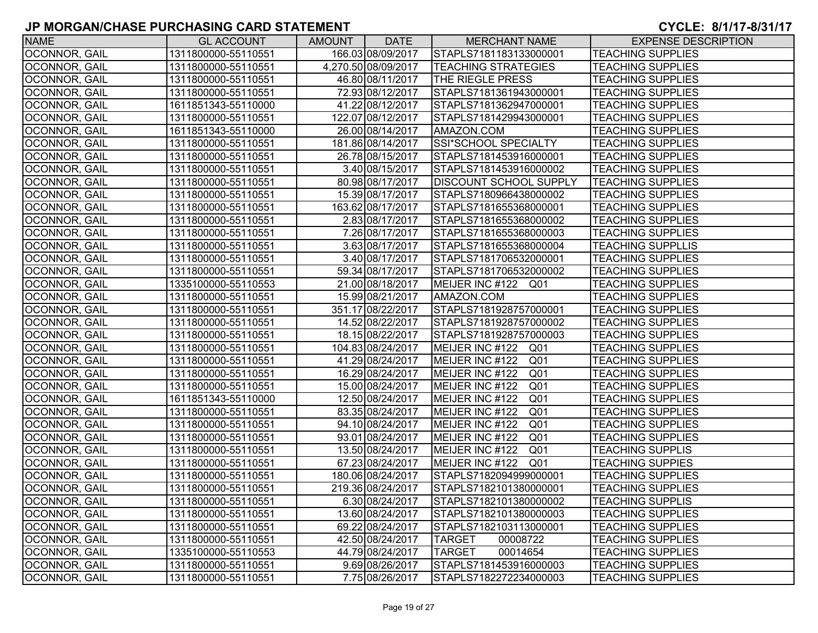| <b>NAME</b>          | <b>GL ACCOUNT</b>   | AMOUNT | <b>DATE</b>         | <b>MERCHANT NAME</b>               | <b>EXPENSE DESCRIPTION</b> |
|----------------------|---------------------|--------|---------------------|------------------------------------|----------------------------|
| OCONNOR, GAIL        | 1311800000-55110551 |        | 166.03 08/09/2017   | STAPLS7181183133000001             | <b>TEACHING SUPPLIES</b>   |
| OCONNOR, GAIL        | 1311800000-55110551 |        | 4,270.50 08/09/2017 | <b>TEACHING STRATEGIES</b>         | <b>TEACHING SUPPLIES</b>   |
| <b>OCONNOR, GAIL</b> | 1311800000-55110551 |        | 46.80 08/11/2017    | THE RIEGLE PRESS                   | <b>TEACHING SUPPLIES</b>   |
| <b>OCONNOR, GAIL</b> | 1311800000-55110551 |        | 72.93 08/12/2017    | STAPLS7181361943000001             | <b>TEACHING SUPPLIES</b>   |
| OCONNOR, GAIL        | 1611851343-55110000 |        | 41.22 08/12/2017    | STAPLS7181362947000001             | <b>TEACHING SUPPLIES</b>   |
| <b>OCONNOR, GAIL</b> | 1311800000-55110551 |        | 122.07 08/12/2017   | STAPLS7181429943000001             | <b>TEACHING SUPPLIES</b>   |
| <b>OCONNOR, GAIL</b> | 1611851343-55110000 |        | 26.00 08/14/2017    | AMAZON.COM                         | <b>TEACHING SUPPLIES</b>   |
| OCONNOR, GAIL        | 1311800000-55110551 |        | 181.86 08/14/2017   | SSI*SCHOOL SPECIALTY               | <b>TEACHING SUPPLIES</b>   |
| OCONNOR, GAIL        | 1311800000-55110551 |        | 26.78 08/15/2017    | STAPLS7181453916000001             | <b>TEACHING SUPPLIES</b>   |
| OCONNOR, GAIL        | 1311800000-55110551 |        | 3.40 08/15/2017     | STAPLS7181453916000002             | <b>TEACHING SUPPLIES</b>   |
| OCONNOR, GAIL        | 1311800000-55110551 |        | 80.98 08/17/2017    | <b>DISCOUNT SCHOOL SUPPLY</b>      | <b>TEACHING SUPPLIES</b>   |
| OCONNOR, GAIL        | 1311800000-55110551 |        | 15.39 08/17/2017    | STAPLS7180966438000002             | <b>TEACHING SUPPLIES</b>   |
| OCONNOR, GAIL        | 1311800000-55110551 |        | 163.62 08/17/2017   | STAPLS7181655368000001             | <b>TEACHING SUPPLIES</b>   |
| <b>OCONNOR, GAIL</b> | 1311800000-55110551 |        | 2.83 08/17/2017     | STAPLS7181655368000002             | <b>TEACHING SUPPLIES</b>   |
| <b>OCONNOR, GAIL</b> | 1311800000-55110551 |        | 7.26 08/17/2017     | STAPLS7181655368000003             | <b>TEACHING SUPPLIES</b>   |
| <b>OCONNOR, GAIL</b> | 1311800000-55110551 |        | 3.63 08/17/2017     | STAPLS7181655368000004             | <b>TEACHING SUPPLLIS</b>   |
| OCONNOR, GAIL        | 1311800000-55110551 |        | 3.40 08/17/2017     | STAPLS7181706532000001             | <b>TEACHING SUPPLIES</b>   |
| OCONNOR, GAIL        | 1311800000-55110551 |        | 59.34 08/17/2017    | STAPLS7181706532000002             | <b>TEACHING SUPPLIES</b>   |
| OCONNOR, GAIL        | 1335100000-55110553 |        | 21.00 08/18/2017    | MEIJER INC #122<br>Q01             | <b>TEACHING SUPPLIES</b>   |
| <b>OCONNOR, GAIL</b> | 1311800000-55110551 |        | 15.99 08/21/2017    | AMAZON.COM                         | <b>TEACHING SUPPLIES</b>   |
| OCONNOR, GAIL        | 1311800000-55110551 |        | 351.17 08/22/2017   | STAPLS7181928757000001             | <b>TEACHING SUPPLIES</b>   |
| OCONNOR, GAIL        | 1311800000-55110551 |        | 14.52 08/22/2017    | STAPLS7181928757000002             | <b>TEACHING SUPPLIES</b>   |
| <b>OCONNOR, GAIL</b> | 1311800000-55110551 |        | 18.15 08/22/2017    | STAPLS7181928757000003             | <b>TEACHING SUPPLIES</b>   |
| OCONNOR, GAIL        | 1311800000-55110551 |        | 104.83 08/24/2017   | MEIJER INC #122<br>Q01             | <b>TEACHING SUPPLIES</b>   |
| <b>OCONNOR, GAIL</b> | 1311800000-55110551 |        | 41.29 08/24/2017    | MEIJER INC #122<br>Q01             | <b>TEACHING SUPPLIES</b>   |
| OCONNOR, GAIL        | 1311800000-55110551 |        | 16.29 08/24/2017    | MEIJER INC #122<br>Q01             | <b>TEACHING SUPPLIES</b>   |
| OCONNOR, GAIL        | 1311800000-55110551 |        | 15.00 08/24/2017    | MEIJER INC #122<br>Q01             | <b>TEACHING SUPPLIES</b>   |
| OCONNOR, GAIL        | 1611851343-55110000 |        | 12.50 08/24/2017    | MEIJER INC #122<br>Q <sub>01</sub> | <b>TEACHING SUPPLIES</b>   |
| OCONNOR, GAIL        | 1311800000-55110551 |        | 83.35 08/24/2017    | MEIJER INC #122<br>Q <sub>01</sub> | <b>TEACHING SUPPLIES</b>   |
| OCONNOR, GAIL        | 1311800000-55110551 |        | 94.10 08/24/2017    | MEIJER INC #122<br>Q <sub>01</sub> | <b>TEACHING SUPPLIES</b>   |
| <b>OCONNOR, GAIL</b> | 1311800000-55110551 |        | 93.01 08/24/2017    | MEIJER INC #122<br>Q <sub>01</sub> | <b>TEACHING SUPPLIES</b>   |
| <b>OCONNOR, GAIL</b> | 1311800000-55110551 |        | 13.50 08/24/2017    | MEIJER INC #122<br>Q <sub>01</sub> | <b>TEACHING SUPPLIS</b>    |
| <b>OCONNOR, GAIL</b> | 1311800000-55110551 |        | 67.23 08/24/2017    | MEIJER INC #122<br>Q <sub>01</sub> | <b>TEACHING SUPPIES</b>    |
| <b>OCONNOR, GAIL</b> | 1311800000-55110551 |        | 180.06 08/24/2017   | STAPLS7182094999000001             | <b>TEACHING SUPPLIES</b>   |
| <b>OCONNOR, GAIL</b> | 1311800000-55110551 |        | 219.36 08/24/2017   | STAPLS7182101380000001             | <b>TEACHING SUPPLIES</b>   |
| OCONNOR, GAIL        | 1311800000-55110551 |        | 6.30 08/24/2017     | STAPLS7182101380000002             | <b>TEACHING SUPPLIS</b>    |
| OCONNOR, GAIL        | 1311800000-55110551 |        | 13.60 08/24/2017    | STAPLS7182101380000003             | <b>TEACHING SUPPLIES</b>   |
| <b>OCONNOR, GAIL</b> | 1311800000-55110551 |        | 69.22 08/24/2017    | STAPLS7182103113000001             | <b>TEACHING SUPPLIES</b>   |
| <b>OCONNOR, GAIL</b> | 1311800000-55110551 |        | 42.50 08/24/2017    | <b>TARGET</b><br>00008722          | <b>TEACHING SUPPLIES</b>   |
| OCONNOR, GAIL        | 1335100000-55110553 |        | 44.79 08/24/2017    | <b>TARGET</b><br>00014654          | <b>TEACHING SUPPLIES</b>   |
| OCONNOR, GAIL        | 1311800000-55110551 |        | 9.69 08/26/2017     | STAPLS7181453916000003             | <b>TEACHING SUPPLIES</b>   |
| <b>OCONNOR, GAIL</b> | 1311800000-55110551 |        | 7.75 08/26/2017     | STAPLS7182272234000003             | <b>TEACHING SUPPLIES</b>   |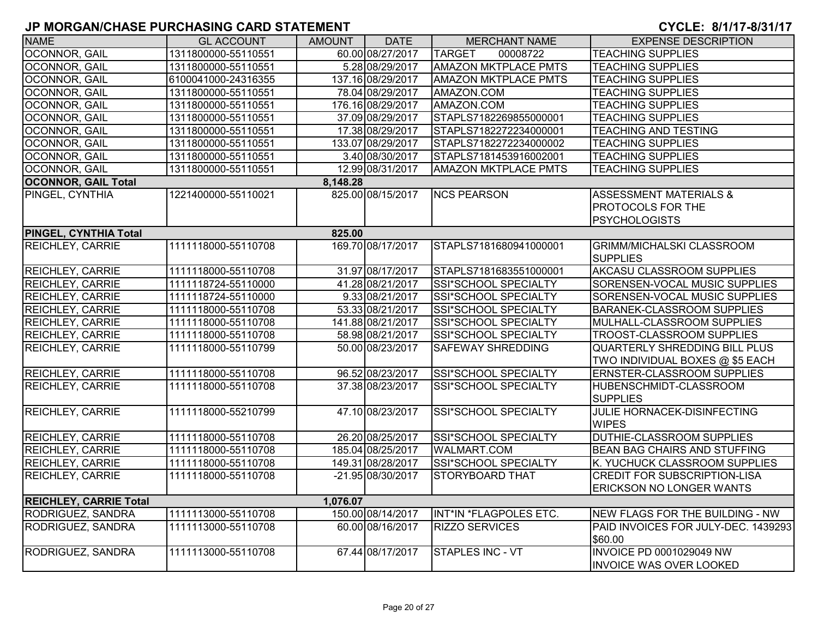| <b>NAME</b>                   | <b>GL ACCOUNT</b>   | AMOUNT   | <b>DATE</b>       | <b>MERCHANT NAME</b>        | <b>EXPENSE DESCRIPTION</b>           |
|-------------------------------|---------------------|----------|-------------------|-----------------------------|--------------------------------------|
| OCONNOR, GAIL                 | 1311800000-55110551 |          | 60.00 08/27/2017  | <b>TARGET</b><br>00008722   | <b>TEACHING SUPPLIES</b>             |
| OCONNOR, GAIL                 | 1311800000-55110551 |          | 5.28 08/29/2017   | <b>AMAZON MKTPLACE PMTS</b> | <b>TEACHING SUPPLIES</b>             |
| <b>OCONNOR, GAIL</b>          | 6100041000-24316355 |          | 137.16 08/29/2017 | <b>AMAZON MKTPLACE PMTS</b> | <b>TEACHING SUPPLIES</b>             |
| OCONNOR, GAIL                 | 1311800000-55110551 |          | 78.04 08/29/2017  | AMAZON.COM                  | <b>TEACHING SUPPLIES</b>             |
| OCONNOR, GAIL                 | 1311800000-55110551 |          | 176.16 08/29/2017 | AMAZON.COM                  | <b>TEACHING SUPPLIES</b>             |
| <b>OCONNOR, GAIL</b>          | 1311800000-55110551 |          | 37.09 08/29/2017  | STAPLS7182269855000001      | <b>TEACHING SUPPLIES</b>             |
| <b>OCONNOR, GAIL</b>          | 1311800000-55110551 |          | 17.38 08/29/2017  | STAPLS7182272234000001      | <b>TEACHING AND TESTING</b>          |
| OCONNOR, GAIL                 | 1311800000-55110551 |          | 133.07 08/29/2017 | STAPLS7182272234000002      | <b>TEACHING SUPPLIES</b>             |
| <b>OCONNOR, GAIL</b>          | 1311800000-55110551 |          | 3.40 08/30/2017   | STAPLS7181453916002001      | <b>TEACHING SUPPLIES</b>             |
| OCONNOR, GAIL                 | 1311800000-55110551 |          | 12.99 08/31/2017  | <b>AMAZON MKTPLACE PMTS</b> | <b>TEACHING SUPPLIES</b>             |
| <b>OCONNOR, GAIL Total</b>    |                     | 8,148.28 |                   |                             |                                      |
| PINGEL, CYNTHIA               | 1221400000-55110021 |          | 825.00 08/15/2017 | <b>NCS PEARSON</b>          | <b>ASSESSMENT MATERIALS &amp;</b>    |
|                               |                     |          |                   |                             | PROTOCOLS FOR THE                    |
|                               |                     |          |                   |                             | <b>PSYCHOLOGISTS</b>                 |
| PINGEL, CYNTHIA Total         |                     | 825.00   |                   |                             |                                      |
| <b>REICHLEY, CARRIE</b>       | 1111118000-55110708 |          | 169.70 08/17/2017 | STAPLS7181680941000001      | <b>GRIMM/MICHALSKI CLASSROOM</b>     |
|                               |                     |          |                   |                             | <b>SUPPLIES</b>                      |
| <b>REICHLEY, CARRIE</b>       | 1111118000-55110708 |          | 31.97 08/17/2017  | STAPLS7181683551000001      | AKCASU CLASSROOM SUPPLIES            |
| <b>REICHLEY, CARRIE</b>       | 1111118724-55110000 |          | 41.28 08/21/2017  | SSI*SCHOOL SPECIALTY        | SORENSEN-VOCAL MUSIC SUPPLIES        |
| <b>REICHLEY, CARRIE</b>       | 1111118724-55110000 |          | 9.33 08/21/2017   | <b>SSI*SCHOOL SPECIALTY</b> | SORENSEN-VOCAL MUSIC SUPPLIES        |
| <b>REICHLEY, CARRIE</b>       | 1111118000-55110708 |          | 53.33 08/21/2017  | SSI*SCHOOL SPECIALTY        | <b>BARANEK-CLASSROOM SUPPLIES</b>    |
| <b>REICHLEY, CARRIE</b>       | 1111118000-55110708 |          | 141.88 08/21/2017 | SSI*SCHOOL SPECIALTY        | MULHALL-CLASSROOM SUPPLIES           |
| <b>REICHLEY, CARRIE</b>       | 1111118000-55110708 |          | 58.98 08/21/2017  | SSI*SCHOOL SPECIALTY        | TROOST-CLASSROOM SUPPLIES            |
| <b>REICHLEY, CARRIE</b>       | 1111118000-55110799 |          | 50.00 08/23/2017  | <b>SAFEWAY SHREDDING</b>    | <b>QUARTERLY SHREDDING BILL PLUS</b> |
|                               |                     |          |                   |                             | TWO INDIVIDUAL BOXES @ \$5 EACH      |
| <b>REICHLEY, CARRIE</b>       | 1111118000-55110708 |          | 96.52 08/23/2017  | SSI*SCHOOL SPECIALTY        | ERNSTER-CLASSROOM SUPPLIES           |
| <b>REICHLEY, CARRIE</b>       | 1111118000-55110708 |          | 37.38 08/23/2017  | <b>SSI*SCHOOL SPECIALTY</b> | HUBENSCHMIDT-CLASSROOM               |
|                               |                     |          |                   |                             | <b>SUPPLIES</b>                      |
| <b>REICHLEY, CARRIE</b>       | 1111118000-55210799 |          | 47.10 08/23/2017  | SSI*SCHOOL SPECIALTY        | JULIE HORNACEK-DISINFECTING          |
|                               |                     |          |                   |                             | <b>WIPES</b>                         |
| <b>REICHLEY, CARRIE</b>       | 1111118000-55110708 |          | 26.20 08/25/2017  | SSI*SCHOOL SPECIALTY        | DUTHIE-CLASSROOM SUPPLIES            |
| REICHLEY, CARRIE              | 1111118000-55110708 |          | 185.04 08/25/2017 | WALMART.COM                 | BEAN BAG CHAIRS AND STUFFING         |
| <b>REICHLEY, CARRIE</b>       | 1111118000-55110708 |          | 149.31 08/28/2017 | SSI*SCHOOL SPECIALTY        | K. YUCHUCK CLASSROOM SUPPLIES        |
| <b>REICHLEY, CARRIE</b>       | 1111118000-55110708 |          | -21.95 08/30/2017 | <b>STORYBOARD THAT</b>      | <b>CREDIT FOR SUBSCRIPTION-LISA</b>  |
|                               |                     |          |                   |                             | <b>ERICKSON NO LONGER WANTS</b>      |
| <b>REICHLEY, CARRIE Total</b> |                     | 1,076.07 |                   |                             |                                      |
| RODRIGUEZ, SANDRA             | 1111113000-55110708 |          | 150.00 08/14/2017 | INT*IN *FLAGPOLES ETC.      | NEW FLAGS FOR THE BUILDING - NW      |
| RODRIGUEZ, SANDRA             | 1111113000-55110708 |          | 60.00 08/16/2017  | <b>RIZZO SERVICES</b>       | PAID INVOICES FOR JULY-DEC. 1439293  |
|                               |                     |          |                   |                             | \$60.00                              |
| RODRIGUEZ, SANDRA             | 1111113000-55110708 |          | 67.44 08/17/2017  | <b>STAPLES INC - VT</b>     | <b>INVOICE PD 0001029049 NW</b>      |
|                               |                     |          |                   |                             | <b>INVOICE WAS OVER LOOKED</b>       |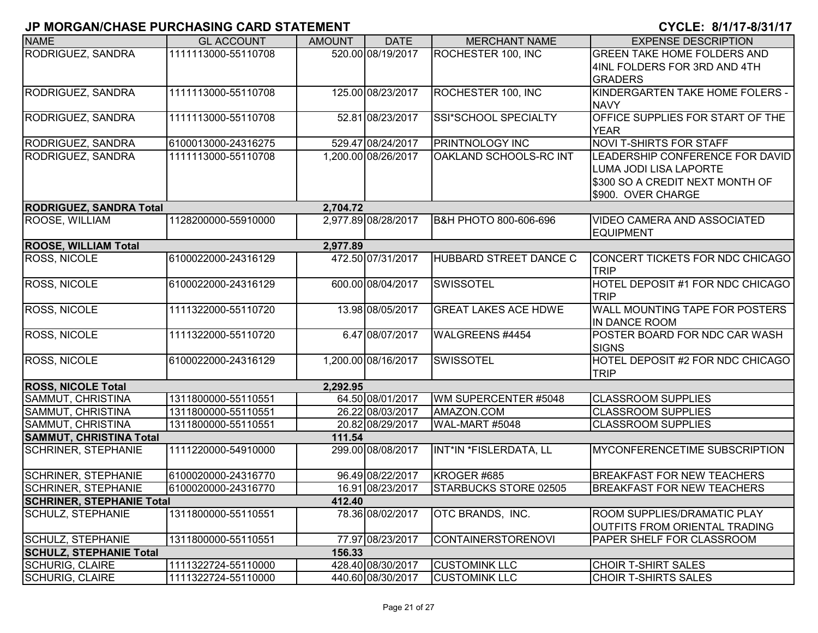| <b>NAME</b>                      | <b>GL ACCOUNT</b>   | <b>AMOUNT</b> | <b>DATE</b>         | <b>MERCHANT NAME</b>        | <b>EXPENSE DESCRIPTION</b>              |
|----------------------------------|---------------------|---------------|---------------------|-----------------------------|-----------------------------------------|
| RODRIGUEZ, SANDRA                | 1111113000-55110708 |               | 520.00 08/19/2017   | ROCHESTER 100, INC          | <b>GREEN TAKE HOME FOLDERS AND</b>      |
|                                  |                     |               |                     |                             | 4INL FOLDERS FOR 3RD AND 4TH            |
|                                  |                     |               |                     |                             | <b>GRADERS</b>                          |
| RODRIGUEZ, SANDRA                | 1111113000-55110708 |               | 125.00 08/23/2017   | ROCHESTER 100, INC          | KINDERGARTEN TAKE HOME FOLERS -         |
|                                  |                     |               |                     |                             | <b>NAVY</b>                             |
| <b>RODRIGUEZ, SANDRA</b>         | 1111113000-55110708 |               | 52.81 08/23/2017    | SSI*SCHOOL SPECIALTY        | <b>OFFICE SUPPLIES FOR START OF THE</b> |
|                                  |                     |               |                     |                             | <b>YEAR</b>                             |
| <b>RODRIGUEZ, SANDRA</b>         | 6100013000-24316275 |               | 529.47 08/24/2017   | PRINTNOLOGY INC             | <b>NOVI T-SHIRTS FOR STAFF</b>          |
| <b>RODRIGUEZ, SANDRA</b>         | 1111113000-55110708 |               | 1,200.00 08/26/2017 | OAKLAND SCHOOLS-RC INT      | LEADERSHIP CONFERENCE FOR DAVID         |
|                                  |                     |               |                     |                             | LUMA JODI LISA LAPORTE                  |
|                                  |                     |               |                     |                             | \$300 SO A CREDIT NEXT MONTH OF         |
|                                  |                     |               |                     |                             | \$900. OVER CHARGE                      |
| <b>RODRIGUEZ, SANDRA Total</b>   |                     | 2,704.72      |                     |                             |                                         |
| ROOSE, WILLIAM                   | 1128200000-55910000 |               | 2,977.89 08/28/2017 | B&H PHOTO 800-606-696       | <b>VIDEO CAMERA AND ASSOCIATED</b>      |
|                                  |                     |               |                     |                             | <b>EQUIPMENT</b>                        |
| <b>ROOSE, WILLIAM Total</b>      |                     | 2,977.89      |                     |                             |                                         |
| <b>ROSS, NICOLE</b>              | 6100022000-24316129 |               | 472.50 07/31/2017   | HUBBARD STREET DANCE C      | CONCERT TICKETS FOR NDC CHICAGO         |
|                                  |                     |               |                     |                             | <b>TRIP</b>                             |
| <b>ROSS, NICOLE</b>              | 6100022000-24316129 |               | 600.00 08/04/2017   | <b>SWISSOTEL</b>            | HOTEL DEPOSIT #1 FOR NDC CHICAGO        |
|                                  |                     |               |                     |                             | <b>TRIP</b>                             |
| <b>ROSS, NICOLE</b>              | 1111322000-55110720 |               | 13.98 08/05/2017    | <b>GREAT LAKES ACE HDWE</b> | WALL MOUNTING TAPE FOR POSTERS          |
|                                  |                     |               |                     |                             | <b>IN DANCE ROOM</b>                    |
| <b>ROSS, NICOLE</b>              | 1111322000-55110720 |               | 6.47 08/07/2017     | WALGREENS #4454             | POSTER BOARD FOR NDC CAR WASH           |
|                                  |                     |               |                     |                             | <b>SIGNS</b>                            |
| <b>ROSS, NICOLE</b>              | 6100022000-24316129 |               | 1,200.00 08/16/2017 | <b>SWISSOTEL</b>            | HOTEL DEPOSIT #2 FOR NDC CHICAGO        |
|                                  |                     |               |                     |                             | <b>TRIP</b>                             |
| <b>ROSS, NICOLE Total</b>        |                     | 2,292.95      |                     |                             |                                         |
| SAMMUT, CHRISTINA                | 1311800000-55110551 |               | 64.50 08/01/2017    | WM SUPERCENTER #5048        | <b>CLASSROOM SUPPLIES</b>               |
| SAMMUT, CHRISTINA                | 1311800000-55110551 |               | 26.22 08/03/2017    | AMAZON.COM                  | <b>CLASSROOM SUPPLIES</b>               |
| SAMMUT, CHRISTINA                | 1311800000-55110551 |               | 20.82 08/29/2017    | WAL-MART #5048              | <b>CLASSROOM SUPPLIES</b>               |
| <b>SAMMUT, CHRISTINA Total</b>   |                     | 111.54        |                     |                             |                                         |
| <b>SCHRINER, STEPHANIE</b>       | 1111220000-54910000 |               | 299.00 08/08/2017   | INT*IN *FISLERDATA, LL      | <b>MYCONFERENCETIME SUBSCRIPTION</b>    |
|                                  |                     |               |                     |                             |                                         |
| <b>SCHRINER, STEPHANIE</b>       | 6100020000-24316770 |               | 96.49 08/22/2017    | KROGER #685                 | <b>BREAKFAST FOR NEW TEACHERS</b>       |
| <b>SCHRINER, STEPHANIE</b>       | 6100020000-24316770 |               | 16.91 08/23/2017    | STARBUCKS STORE 02505       | <b>BREAKFAST FOR NEW TEACHERS</b>       |
| <b>SCHRINER, STEPHANIE Total</b> |                     | 412.40        |                     |                             |                                         |
| SCHULZ, STEPHANIE                | 1311800000-55110551 |               | 78.36 08/02/2017    | OTC BRANDS, INC.            | ROOM SUPPLIES/DRAMATIC PLAY             |
|                                  |                     |               |                     |                             | OUTFITS FROM ORIENTAL TRADING           |
| SCHULZ, STEPHANIE                | 1311800000-55110551 |               | 77.97 08/23/2017    | <b>CONTAINERSTORENOVI</b>   | <b>PAPER SHELF FOR CLASSROOM</b>        |
| <b>SCHULZ, STEPHANIE Total</b>   |                     | 156.33        |                     |                             |                                         |
| <b>SCHURIG, CLAIRE</b>           | 1111322724-55110000 |               | 428.40 08/30/2017   | <b>CUSTOMINK LLC</b>        | <b>CHOIR T-SHIRT SALES</b>              |
| <b>SCHURIG, CLAIRE</b>           | 1111322724-55110000 |               | 440.60 08/30/2017   | <b>CUSTOMINK LLC</b>        | <b>CHOIR T-SHIRTS SALES</b>             |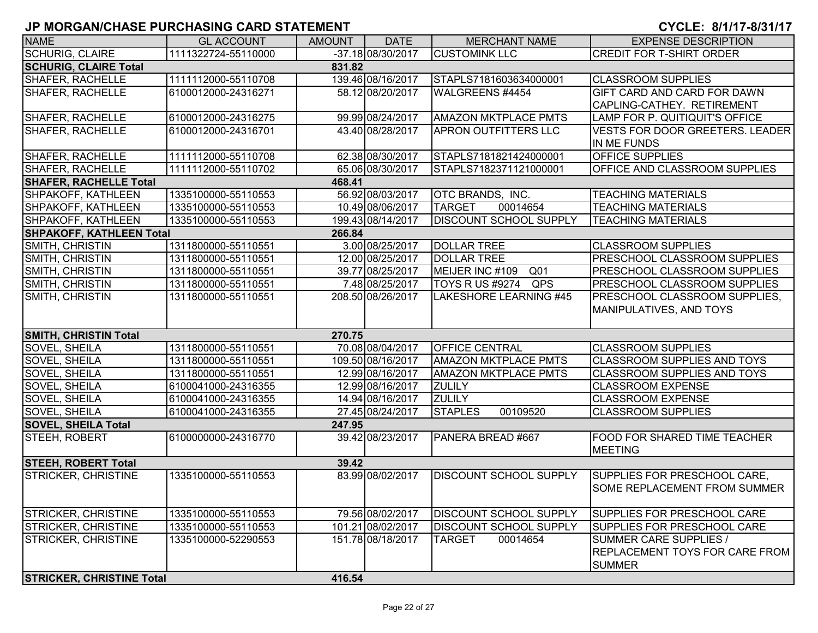| <b>NAME</b>                            | <b>GL ACCOUNT</b>   | <b>AMOUNT</b> | <b>DATE</b>        | <b>MERCHANT NAME</b>               | <b>EXPENSE DESCRIPTION</b>             |  |  |  |  |
|----------------------------------------|---------------------|---------------|--------------------|------------------------------------|----------------------------------------|--|--|--|--|
| <b>SCHURIG, CLAIRE</b>                 | 1111322724-55110000 |               | $-37.1808/30/2017$ | <b>CUSTOMINK LLC</b>               | <b>CREDIT FOR T-SHIRT ORDER</b>        |  |  |  |  |
| <b>SCHURIG, CLAIRE Total</b><br>831.82 |                     |               |                    |                                    |                                        |  |  |  |  |
| <b>SHAFER, RACHELLE</b>                | 1111112000-55110708 |               | 139.46 08/16/2017  | STAPLS7181603634000001             | <b>CLASSROOM SUPPLIES</b>              |  |  |  |  |
| SHAFER, RACHELLE                       | 6100012000-24316271 |               | 58.12 08/20/2017   | WALGREENS #4454                    | GIFT CARD AND CARD FOR DAWN            |  |  |  |  |
|                                        |                     |               |                    |                                    | CAPLING-CATHEY. RETIREMENT             |  |  |  |  |
| <b>SHAFER, RACHELLE</b>                | 6100012000-24316275 |               | 99.99 08/24/2017   | <b>AMAZON MKTPLACE PMTS</b>        | LAMP FOR P. QUITIQUIT'S OFFICE         |  |  |  |  |
| <b>SHAFER, RACHELLE</b>                | 6100012000-24316701 |               | 43.40 08/28/2017   | <b>APRON OUTFITTERS LLC</b>        | <b>VESTS FOR DOOR GREETERS. LEADER</b> |  |  |  |  |
|                                        |                     |               |                    |                                    | IN ME FUNDS                            |  |  |  |  |
| SHAFER, RACHELLE                       | 1111112000-55110708 |               | 62.38 08/30/2017   | STAPLS7181821424000001             | <b>OFFICE SUPPLIES</b>                 |  |  |  |  |
| <b>SHAFER, RACHELLE</b>                | 1111112000-55110702 |               | 65.06 08/30/2017   | STAPLS7182371121000001             | <b>OFFICE AND CLASSROOM SUPPLIES</b>   |  |  |  |  |
| <b>SHAFER, RACHELLE Total</b>          |                     | 468.41        |                    |                                    |                                        |  |  |  |  |
| SHPAKOFF, KATHLEEN                     | 1335100000-55110553 |               | 56.92 08/03/2017   | <b>OTC BRANDS, INC.</b>            | <b>TEACHING MATERIALS</b>              |  |  |  |  |
| SHPAKOFF, KATHLEEN                     | 1335100000-55110553 |               | 10.49 08/06/2017   | 00014654<br><b>TARGET</b>          | <b>TEACHING MATERIALS</b>              |  |  |  |  |
| SHPAKOFF, KATHLEEN                     | 1335100000-55110553 |               | 199.43 08/14/2017  | DISCOUNT SCHOOL SUPPLY             | <b>TEACHING MATERIALS</b>              |  |  |  |  |
| <b>SHPAKOFF, KATHLEEN Total</b>        |                     | 266.84        |                    |                                    |                                        |  |  |  |  |
| SMITH, CHRISTIN                        | 1311800000-55110551 |               | 3.00 08/25/2017    | <b>DOLLAR TREE</b>                 | <b>CLASSROOM SUPPLIES</b>              |  |  |  |  |
| SMITH, CHRISTIN                        | 1311800000-55110551 |               | 12.00 08/25/2017   | <b>DOLLAR TREE</b>                 | PRESCHOOL CLASSROOM SUPPLIES           |  |  |  |  |
| SMITH, CHRISTIN                        | 1311800000-55110551 |               | 39.77 08/25/2017   | MEIJER INC #109<br>Q <sub>01</sub> | PRESCHOOL CLASSROOM SUPPLIES           |  |  |  |  |
| SMITH, CHRISTIN                        | 1311800000-55110551 |               | 7.48 08/25/2017    | <b>TOYS R US #9274</b><br>QPS      | PRESCHOOL CLASSROOM SUPPLIES           |  |  |  |  |
| SMITH, CHRISTIN                        | 1311800000-55110551 |               | 208.50 08/26/2017  | LAKESHORE LEARNING #45             | PRESCHOOL CLASSROOM SUPPLIES,          |  |  |  |  |
|                                        |                     |               |                    |                                    | MANIPULATIVES, AND TOYS                |  |  |  |  |
|                                        |                     |               |                    |                                    |                                        |  |  |  |  |
| <b>SMITH, CHRISTIN Total</b>           |                     | 270.75        |                    |                                    |                                        |  |  |  |  |
| SOVEL, SHEILA                          | 1311800000-55110551 |               | 70.08 08/04/2017   | <b>OFFICE CENTRAL</b>              | <b>CLASSROOM SUPPLIES</b>              |  |  |  |  |
| SOVEL, SHEILA                          | 1311800000-55110551 |               | 109.50 08/16/2017  | <b>AMAZON MKTPLACE PMTS</b>        | <b>CLASSROOM SUPPLIES AND TOYS</b>     |  |  |  |  |
| SOVEL, SHEILA                          | 1311800000-55110551 |               | 12.99 08/16/2017   | <b>AMAZON MKTPLACE PMTS</b>        | <b>CLASSROOM SUPPLIES AND TOYS</b>     |  |  |  |  |
| SOVEL, SHEILA                          | 6100041000-24316355 |               | 12.99 08/16/2017   | <b>ZULILY</b>                      | <b>CLASSROOM EXPENSE</b>               |  |  |  |  |
| SOVEL, SHEILA                          | 6100041000-24316355 |               | 14.94 08/16/2017   | <b>ZULILY</b>                      | <b>CLASSROOM EXPENSE</b>               |  |  |  |  |
| SOVEL, SHEILA                          | 6100041000-24316355 |               | 27.45 08/24/2017   | <b>STAPLES</b><br>00109520         | <b>CLASSROOM SUPPLIES</b>              |  |  |  |  |
| <b>SOVEL, SHEILA Total</b>             |                     | 247.95        |                    |                                    |                                        |  |  |  |  |
| STEEH, ROBERT                          | 6100000000-24316770 |               | 39.42 08/23/2017   | PANERA BREAD #667                  | <b>FOOD FOR SHARED TIME TEACHER</b>    |  |  |  |  |
|                                        |                     |               |                    |                                    | <b>MEETING</b>                         |  |  |  |  |
| <b>STEEH, ROBERT Total</b>             |                     | 39.42         |                    |                                    |                                        |  |  |  |  |
| <b>STRICKER, CHRISTINE</b>             | 1335100000-55110553 |               | 83.99 08/02/2017   | <b>DISCOUNT SCHOOL SUPPLY</b>      | SUPPLIES FOR PRESCHOOL CARE,           |  |  |  |  |
|                                        |                     |               |                    |                                    | ISOME REPLACEMENT FROM SUMMER          |  |  |  |  |
|                                        |                     |               |                    |                                    |                                        |  |  |  |  |
| <b>STRICKER, CHRISTINE</b>             | 1335100000-55110553 |               | 79.56 08/02/2017   | <b>DISCOUNT SCHOOL SUPPLY</b>      | SUPPLIES FOR PRESCHOOL CARE            |  |  |  |  |
| STRICKER, CHRISTINE                    | 1335100000-55110553 |               | 101.21 08/02/2017  | DISCOUNT SCHOOL SUPPLY             | SUPPLIES FOR PRESCHOOL CARE            |  |  |  |  |
| <b>STRICKER, CHRISTINE</b>             | 1335100000-52290553 |               | 151.78 08/18/2017  | <b>TARGET</b><br>00014654          | SUMMER CARE SUPPLIES /                 |  |  |  |  |
|                                        |                     |               |                    |                                    | <b>REPLACEMENT TOYS FOR CARE FROM</b>  |  |  |  |  |
|                                        |                     |               |                    |                                    | <b>SUMMER</b>                          |  |  |  |  |
| <b>STRICKER, CHRISTINE Total</b>       |                     | 416.54        |                    |                                    |                                        |  |  |  |  |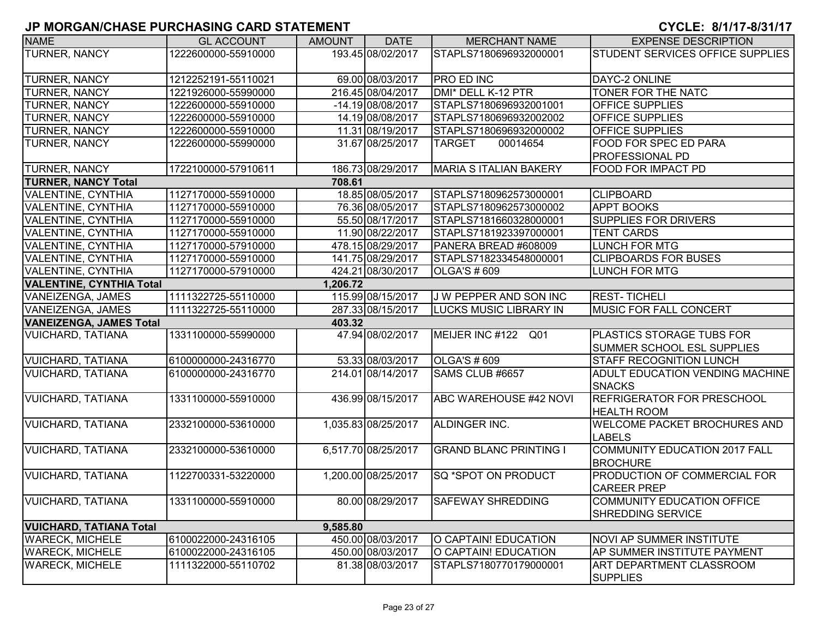| <b>NAME</b>                     | <b>GL ACCOUNT</b>   | <b>AMOUNT</b> | <b>DATE</b>         | <b>MERCHANT NAME</b>          | <b>EXPENSE DESCRIPTION</b>          |
|---------------------------------|---------------------|---------------|---------------------|-------------------------------|-------------------------------------|
| <b>TURNER, NANCY</b>            | 1222600000-55910000 |               | 193.45 08/02/2017   | STAPLS7180696932000001        | STUDENT SERVICES OFFICE SUPPLIES    |
|                                 |                     |               |                     |                               |                                     |
| <b>TURNER, NANCY</b>            | 1212252191-55110021 |               | 69.00 08/03/2017    | <b>PRO ED INC</b>             | DAYC-2 ONLINE                       |
| <b>TURNER, NANCY</b>            | 1221926000-55990000 |               | 216.45 08/04/2017   | DMI* DELL K-12 PTR            | TONER FOR THE NATC                  |
| <b>TURNER, NANCY</b>            | 1222600000-55910000 |               | -14.19 08/08/2017   | STAPLS7180696932001001        | <b>OFFICE SUPPLIES</b>              |
| <b>TURNER, NANCY</b>            | 1222600000-55910000 |               | 14.19 08/08/2017    | STAPLS7180696932002002        | <b>OFFICE SUPPLIES</b>              |
| <b>TURNER, NANCY</b>            | 1222600000-55910000 |               | 11.31 08/19/2017    | STAPLS7180696932000002        | <b>OFFICE SUPPLIES</b>              |
| <b>TURNER, NANCY</b>            | 1222600000-55990000 |               | 31.67 08/25/2017    | <b>TARGET</b><br>00014654     | <b>FOOD FOR SPEC ED PARA</b>        |
|                                 |                     |               |                     |                               | <b>PROFESSIONAL PD</b>              |
| <b>TURNER, NANCY</b>            | 1722100000-57910611 |               | 186.73 08/29/2017   | <b>MARIA S ITALIAN BAKERY</b> | <b>FOOD FOR IMPACT PD</b>           |
| <b>TURNER, NANCY Total</b>      |                     | 708.61        |                     |                               |                                     |
| <b>VALENTINE, CYNTHIA</b>       | 1127170000-55910000 |               | 18.85 08/05/2017    | STAPLS7180962573000001        | <b>CLIPBOARD</b>                    |
| <b>VALENTINE, CYNTHIA</b>       | 1127170000-55910000 |               | 76.36 08/05/2017    | STAPLS7180962573000002        | APPT BOOKS                          |
| <b>VALENTINE, CYNTHIA</b>       | 1127170000-55910000 |               | 55.50 08/17/2017    | STAPLS7181660328000001        | <b>SUPPLIES FOR DRIVERS</b>         |
| <b>VALENTINE, CYNTHIA</b>       | 1127170000-55910000 |               | 11.90 08/22/2017    | STAPLS7181923397000001        | <b>TENT CARDS</b>                   |
| <b>VALENTINE, CYNTHIA</b>       | 1127170000-57910000 |               | 478.15 08/29/2017   | PANERA BREAD #608009          | <b>LUNCH FOR MTG</b>                |
| <b>VALENTINE, CYNTHIA</b>       | 1127170000-55910000 |               | 141.75 08/29/2017   | STAPLS7182334548000001        | <b>CLIPBOARDS FOR BUSES</b>         |
| <b>VALENTINE, CYNTHIA</b>       | 1127170000-57910000 |               | 424.21 08/30/2017   | <b>OLGA'S # 609</b>           | <b>LUNCH FOR MTG</b>                |
| <b>VALENTINE, CYNTHIA Total</b> |                     | 1,206.72      |                     |                               |                                     |
| VANEIZENGA, JAMES               | 1111322725-55110000 |               | 115.99 08/15/2017   | J W PEPPER AND SON INC        | <b>REST-TICHELI</b>                 |
| VANEIZENGA, JAMES               | 1111322725-55110000 |               | 287.33 08/15/2017   | <b>LUCKS MUSIC LIBRARY IN</b> | <b>MUSIC FOR FALL CONCERT</b>       |
| <b>VANEIZENGA, JAMES Total</b>  |                     | 403.32        |                     |                               |                                     |
| <b>VUICHARD, TATIANA</b>        | 1331100000-55990000 |               | 47.94 08/02/2017    | MEIJER INC #122<br>Q01        | <b>PLASTICS STORAGE TUBS FOR</b>    |
|                                 |                     |               |                     |                               | SUMMER SCHOOL ESL SUPPLIES          |
| <b>VUICHARD, TATIANA</b>        | 6100000000-24316770 |               | 53.33 08/03/2017    | <b>OLGA'S # 609</b>           | <b>STAFF RECOGNITION LUNCH</b>      |
| <b>VUICHARD, TATIANA</b>        | 6100000000-24316770 |               | 214.01 08/14/2017   | SAMS CLUB #6657               | ADULT EDUCATION VENDING MACHINE     |
|                                 |                     |               |                     |                               | <b>SNACKS</b>                       |
| <b>VUICHARD, TATIANA</b>        | 1331100000-55910000 |               | 436.99 08/15/2017   | ABC WAREHOUSE #42 NOVI        | <b>REFRIGERATOR FOR PRESCHOOL</b>   |
|                                 |                     |               |                     |                               | <b>HEALTH ROOM</b>                  |
| <b>VUICHARD, TATIANA</b>        | 2332100000-53610000 |               | 1,035.83 08/25/2017 | ALDINGER INC.                 | <b>WELCOME PACKET BROCHURES AND</b> |
|                                 |                     |               |                     |                               | <b>LABELS</b>                       |
| <b>VUICHARD, TATIANA</b>        | 2332100000-53610000 |               | 6,517.70 08/25/2017 | <b>GRAND BLANC PRINTING I</b> | COMMUNITY EDUCATION 2017 FALL       |
|                                 |                     |               |                     |                               | <b>BROCHURE</b>                     |
| <b>VUICHARD, TATIANA</b>        | 1122700331-53220000 |               | 1,200.00 08/25/2017 | lsq *spot on product          | <b>PRODUCTION OF COMMERCIAL FOR</b> |
|                                 |                     |               |                     |                               | <b>CAREER PREP</b>                  |
| <b>VUICHARD, TATIANA</b>        | 1331100000-55910000 |               | 80.00 08/29/2017    | <b>SAFEWAY SHREDDING</b>      | COMMUNITY EDUCATION OFFICE          |
|                                 |                     |               |                     |                               | <b>SHREDDING SERVICE</b>            |
| <b>VUICHARD, TATIANA Total</b>  |                     | 9,585.80      |                     |                               |                                     |
| <b>WARECK, MICHELE</b>          | 6100022000-24316105 |               | 450.00 08/03/2017   | O CAPTAIN! EDUCATION          | NOVI AP SUMMER INSTITUTE            |
| <b>WARECK, MICHELE</b>          | 6100022000-24316105 |               | 450.00 08/03/2017   | O CAPTAIN! EDUCATION          | AP SUMMER INSTITUTE PAYMENT         |
| <b>WARECK, MICHELE</b>          | 1111322000-55110702 |               | 81.38 08/03/2017    | STAPLS7180770179000001        | ART DEPARTMENT CLASSROOM            |
|                                 |                     |               |                     |                               | <b>SUPPLIES</b>                     |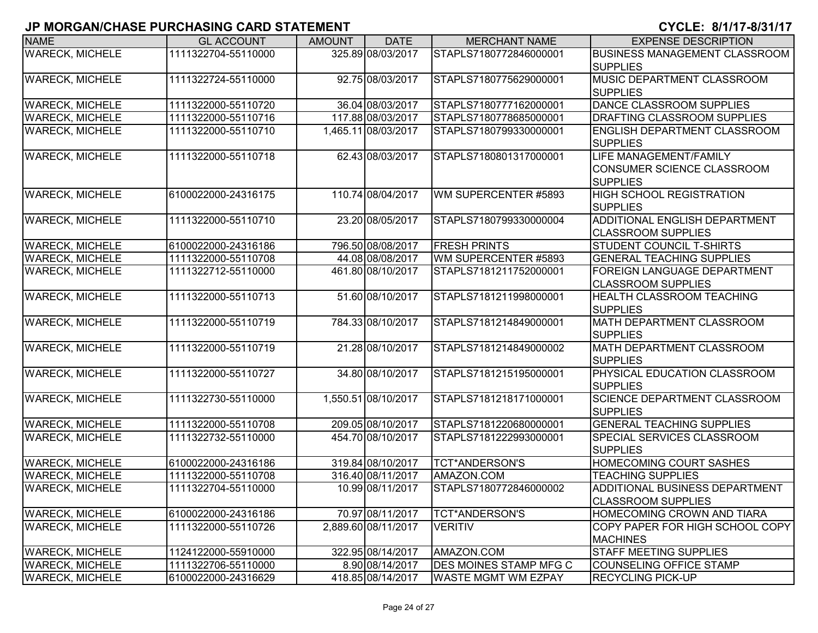| <b>NAME</b>            | <b>GL ACCOUNT</b>   | <b>AMOUNT</b> | <b>DATE</b>         | <b>MERCHANT NAME</b>          | <b>EXPENSE DESCRIPTION</b>                                                     |
|------------------------|---------------------|---------------|---------------------|-------------------------------|--------------------------------------------------------------------------------|
| <b>WARECK, MICHELE</b> | 1111322704-55110000 |               | 325.89 08/03/2017   | STAPLS7180772846000001        | <b>BUSINESS MANAGEMENT CLASSROOM</b>                                           |
|                        |                     |               |                     |                               | <b>SUPPLIES</b>                                                                |
| <b>WARECK, MICHELE</b> | 1111322724-55110000 |               | 92.75 08/03/2017    | STAPLS7180775629000001        | MUSIC DEPARTMENT CLASSROOM                                                     |
|                        |                     |               |                     |                               | <b>SUPPLIES</b>                                                                |
| <b>WARECK, MICHELE</b> | 1111322000-55110720 |               | 36.04 08/03/2017    | STAPLS7180777162000001        | DANCE CLASSROOM SUPPLIES                                                       |
| <b>WARECK, MICHELE</b> | 1111322000-55110716 |               | 117.88 08/03/2017   | STAPLS7180778685000001        | <b>DRAFTING CLASSROOM SUPPLIES</b>                                             |
| <b>WARECK, MICHELE</b> | 1111322000-55110710 |               | 1,465.11 08/03/2017 | STAPLS7180799330000001        | <b>ENGLISH DEPARTMENT CLASSROOM</b><br><b>SUPPLIES</b>                         |
| <b>WARECK, MICHELE</b> | 1111322000-55110718 |               | 62.43 08/03/2017    | STAPLS7180801317000001        | <b>LIFE MANAGEMENT/FAMILY</b><br>CONSUMER SCIENCE CLASSROOM<br><b>SUPPLIES</b> |
| <b>WARECK, MICHELE</b> | 6100022000-24316175 |               | 110.74 08/04/2017   | WM SUPERCENTER #5893          | <b>HIGH SCHOOL REGISTRATION</b><br><b>SUPPLIES</b>                             |
| <b>WARECK, MICHELE</b> | 1111322000-55110710 |               | 23.20 08/05/2017    | STAPLS7180799330000004        | <b>ADDITIONAL ENGLISH DEPARTMENT</b><br><b>CLASSROOM SUPPLIES</b>              |
| <b>WARECK, MICHELE</b> | 6100022000-24316186 |               | 796.50 08/08/2017   | <b>FRESH PRINTS</b>           | STUDENT COUNCIL T-SHIRTS                                                       |
| <b>WARECK, MICHELE</b> | 1111322000-55110708 |               | 44.08 08/08/2017    | WM SUPERCENTER #5893          | <b>GENERAL TEACHING SUPPLIES</b>                                               |
| <b>WARECK, MICHELE</b> | 1111322712-55110000 |               | 461.80 08/10/2017   | STAPLS7181211752000001        | <b>FOREIGN LANGUAGE DEPARTMENT</b><br><b>CLASSROOM SUPPLIES</b>                |
| <b>WARECK, MICHELE</b> | 1111322000-55110713 |               | 51.60 08/10/2017    | STAPLS7181211998000001        | <b>HEALTH CLASSROOM TEACHING</b><br><b>SUPPLIES</b>                            |
| <b>WARECK, MICHELE</b> | 1111322000-55110719 |               | 784.33 08/10/2017   | STAPLS7181214849000001        | MATH DEPARTMENT CLASSROOM<br><b>SUPPLIES</b>                                   |
| <b>WARECK, MICHELE</b> | 1111322000-55110719 |               | 21.28 08/10/2017    | STAPLS7181214849000002        | MATH DEPARTMENT CLASSROOM<br><b>SUPPLIES</b>                                   |
| <b>WARECK, MICHELE</b> | 1111322000-55110727 |               | 34.80 08/10/2017    | STAPLS7181215195000001        | PHYSICAL EDUCATION CLASSROOM<br><b>SUPPLIES</b>                                |
| <b>WARECK, MICHELE</b> | 1111322730-55110000 |               | 1,550.51 08/10/2017 | STAPLS7181218171000001        | <b>SCIENCE DEPARTMENT CLASSROOM</b><br><b>SUPPLIES</b>                         |
| <b>WARECK, MICHELE</b> | 1111322000-55110708 |               | 209.05 08/10/2017   | STAPLS7181220680000001        | <b>GENERAL TEACHING SUPPLIES</b>                                               |
| <b>WARECK, MICHELE</b> | 1111322732-55110000 |               | 454.70 08/10/2017   | STAPLS7181222993000001        | SPECIAL SERVICES CLASSROOM<br><b>SUPPLIES</b>                                  |
| <b>WARECK, MICHELE</b> | 6100022000-24316186 |               | 319.84 08/10/2017   | <b>TCT*ANDERSON'S</b>         | <b>HOMECOMING COURT SASHES</b>                                                 |
| <b>WARECK, MICHELE</b> | 1111322000-55110708 |               | 316.40 08/11/2017   | AMAZON.COM                    | <b>TEACHING SUPPLIES</b>                                                       |
| <b>WARECK, MICHELE</b> | 1111322704-55110000 |               | 10.99 08/11/2017    | STAPLS7180772846000002        | <b>ADDITIONAL BUSINESS DEPARTMENT</b><br><b>CLASSROOM SUPPLIES</b>             |
| <b>WARECK, MICHELE</b> | 6100022000-24316186 |               | 70.97 08/11/2017    | <b>TCT*ANDERSON'S</b>         | <b>HOMECOMING CROWN AND TIARA</b>                                              |
| <b>WARECK, MICHELE</b> | 1111322000-55110726 |               | 2,889.60 08/11/2017 | <b>VERITIV</b>                | COPY PAPER FOR HIGH SCHOOL COPY                                                |
|                        |                     |               |                     |                               | <b>MACHINES</b>                                                                |
| <b>WARECK, MICHELE</b> | 1124122000-55910000 |               | 322.95 08/14/2017   | AMAZON.COM                    | <b>STAFF MEETING SUPPLIES</b>                                                  |
| <b>WARECK, MICHELE</b> | 1111322706-55110000 |               | 8.90 08/14/2017     | <b>DES MOINES STAMP MFG C</b> | COUNSELING OFFICE STAMP                                                        |
| <b>WARECK, MICHELE</b> | 6100022000-24316629 |               | 418.85 08/14/2017   | <b>WASTE MGMT WM EZPAY</b>    | <b>RECYCLING PICK-UP</b>                                                       |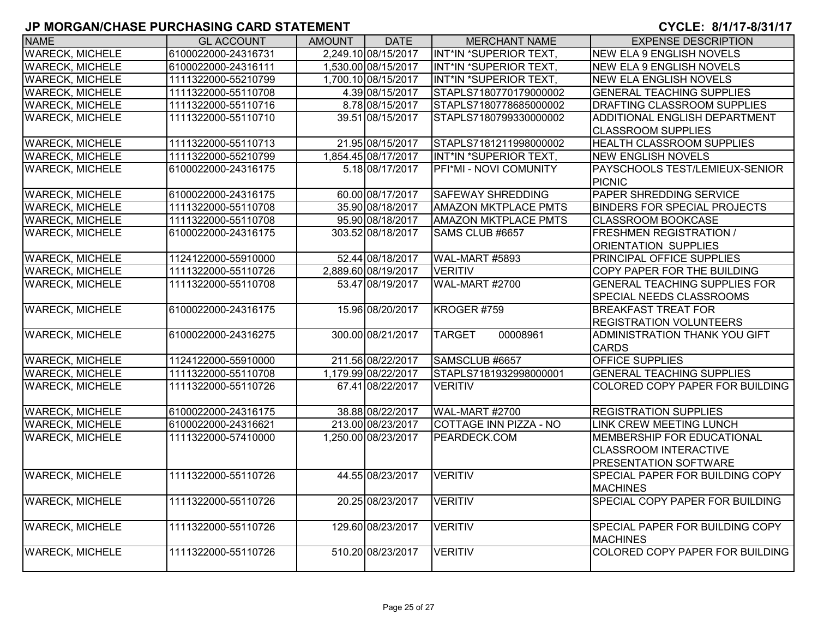| <b>NAME</b>            | <b>GL ACCOUNT</b>   | <b>AMOUNT</b> | <b>DATE</b>         | <b>MERCHANT NAME</b>        | <b>EXPENSE DESCRIPTION</b>           |
|------------------------|---------------------|---------------|---------------------|-----------------------------|--------------------------------------|
| <b>WARECK, MICHELE</b> | 6100022000-24316731 |               | 2,249.10 08/15/2017 | INT*IN *SUPERIOR TEXT,      | <b>NEW ELA 9 ENGLISH NOVELS</b>      |
| <b>WARECK, MICHELE</b> | 6100022000-24316111 |               | 1,530.00 08/15/2017 | INT*IN *SUPERIOR TEXT,      | <b>NEW ELA 9 ENGLISH NOVELS</b>      |
| <b>WARECK, MICHELE</b> | 1111322000-55210799 |               | 1,700.10 08/15/2017 | INT*IN *SUPERIOR TEXT,      | <b>NEW ELA ENGLISH NOVELS</b>        |
| <b>WARECK, MICHELE</b> | 1111322000-55110708 |               | 4.39 08/15/2017     | STAPLS7180770179000002      | <b>GENERAL TEACHING SUPPLIES</b>     |
| <b>WARECK, MICHELE</b> | 1111322000-55110716 |               | 8.78 08/15/2017     | STAPLS7180778685000002      | DRAFTING CLASSROOM SUPPLIES          |
| <b>WARECK, MICHELE</b> | 1111322000-55110710 |               | 39.51 08/15/2017    | STAPLS7180799330000002      | ADDITIONAL ENGLISH DEPARTMENT        |
|                        |                     |               |                     |                             | <b>CLASSROOM SUPPLIES</b>            |
| <b>WARECK, MICHELE</b> | 1111322000-55110713 |               | 21.95 08/15/2017    | STAPLS7181211998000002      | <b>HEALTH CLASSROOM SUPPLIES</b>     |
| <b>WARECK, MICHELE</b> | 1111322000-55210799 |               | 1,854.45 08/17/2017 | INT*IN *SUPERIOR TEXT,      | <b>NEW ENGLISH NOVELS</b>            |
| <b>WARECK, MICHELE</b> | 6100022000-24316175 |               | 5.18 08/17/2017     | PFI*MI - NOVI COMUNITY      | PAYSCHOOLS TEST/LEMIEUX-SENIOR       |
|                        |                     |               |                     |                             | <b>PICNIC</b>                        |
| <b>WARECK, MICHELE</b> | 6100022000-24316175 |               | 60.00 08/17/2017    | <b>SAFEWAY SHREDDING</b>    | PAPER SHREDDING SERVICE              |
| <b>WARECK, MICHELE</b> | 1111322000-55110708 |               | 35.90 08/18/2017    | <b>AMAZON MKTPLACE PMTS</b> | <b>BINDERS FOR SPECIAL PROJECTS</b>  |
| <b>WARECK, MICHELE</b> | 1111322000-55110708 |               | 95.90 08/18/2017    | <b>AMAZON MKTPLACE PMTS</b> | <b>CLASSROOM BOOKCASE</b>            |
| <b>WARECK, MICHELE</b> | 6100022000-24316175 |               | 303.52 08/18/2017   | SAMS CLUB #6657             | <b>FRESHMEN REGISTRATION /</b>       |
|                        |                     |               |                     |                             | <b>ORIENTATION SUPPLIES</b>          |
| <b>WARECK, MICHELE</b> | 1124122000-55910000 |               | 52.44 08/18/2017    | WAL-MART #5893              | PRINCIPAL OFFICE SUPPLIES            |
| <b>WARECK, MICHELE</b> | 1111322000-55110726 |               | 2,889.60 08/19/2017 | <b>VERITIV</b>              | COPY PAPER FOR THE BUILDING          |
| <b>WARECK, MICHELE</b> | 1111322000-55110708 |               | 53.47 08/19/2017    | <b>WAL-MART #2700</b>       | <b>GENERAL TEACHING SUPPLIES FOR</b> |
|                        |                     |               |                     |                             | SPECIAL NEEDS CLASSROOMS             |
| <b>WARECK, MICHELE</b> | 6100022000-24316175 |               | 15.96 08/20/2017    | KROGER #759                 | <b>BREAKFAST TREAT FOR</b>           |
|                        |                     |               |                     |                             | <b>REGISTRATION VOLUNTEERS</b>       |
| <b>WARECK, MICHELE</b> | 6100022000-24316275 |               | 300.00 08/21/2017   | 00008961<br><b>TARGET</b>   | ADMINISTRATION THANK YOU GIFT        |
|                        |                     |               |                     |                             | <b>CARDS</b>                         |
| <b>WARECK, MICHELE</b> | 1124122000-55910000 |               | 211.56 08/22/2017   | SAMSCLUB #6657              | <b>OFFICE SUPPLIES</b>               |
| <b>WARECK, MICHELE</b> | 1111322000-55110708 |               | 1,179.99 08/22/2017 | STAPLS7181932998000001      | <b>GENERAL TEACHING SUPPLIES</b>     |
| <b>WARECK, MICHELE</b> | 1111322000-55110726 |               | 67.41 08/22/2017    | <b>VERITIV</b>              | COLORED COPY PAPER FOR BUILDING      |
|                        |                     |               |                     |                             |                                      |
| <b>WARECK, MICHELE</b> | 6100022000-24316175 |               | 38.88 08/22/2017    | WAL-MART #2700              | <b>REGISTRATION SUPPLIES</b>         |
| <b>WARECK, MICHELE</b> | 6100022000-24316621 |               | 213.00 08/23/2017   | COTTAGE INN PIZZA - NO      | <b>LINK CREW MEETING LUNCH</b>       |
| <b>WARECK, MICHELE</b> | 1111322000-57410000 |               | 1,250.00 08/23/2017 | PEARDECK.COM                | MEMBERSHIP FOR EDUCATIONAL           |
|                        |                     |               |                     |                             | <b>CLASSROOM INTERACTIVE</b>         |
|                        |                     |               |                     |                             | PRESENTATION SOFTWARE                |
| <b>WARECK, MICHELE</b> | 1111322000-55110726 |               | 44.55 08/23/2017    | <b>VERITIV</b>              | SPECIAL PAPER FOR BUILDING COPY      |
|                        |                     |               |                     |                             | <b>MACHINES</b>                      |
| <b>WARECK, MICHELE</b> | 1111322000-55110726 |               | 20.25 08/23/2017    | <b>VERITIV</b>              | SPECIAL COPY PAPER FOR BUILDING      |
|                        |                     |               |                     |                             |                                      |
| <b>WARECK, MICHELE</b> | 1111322000-55110726 |               | 129.60 08/23/2017   | <b>VERITIV</b>              | SPECIAL PAPER FOR BUILDING COPY      |
|                        |                     |               |                     |                             | <b>MACHINES</b>                      |
| <b>WARECK, MICHELE</b> | 1111322000-55110726 |               | 510.20 08/23/2017   | <b>VERITIV</b>              | COLORED COPY PAPER FOR BUILDING      |
|                        |                     |               |                     |                             |                                      |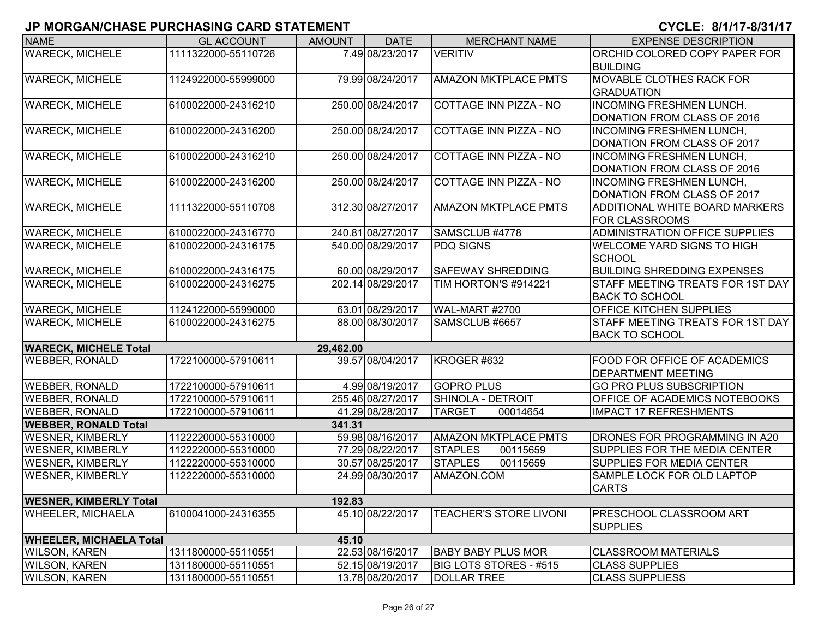| <b>NAME</b>                             | <b>GL ACCOUNT</b>   | <b>AMOUNT</b> | <b>DATE</b>       | <b>MERCHANT NAME</b>          | <b>EXPENSE DESCRIPTION</b>                 |  |  |
|-----------------------------------------|---------------------|---------------|-------------------|-------------------------------|--------------------------------------------|--|--|
| <b>WARECK, MICHELE</b>                  | 1111322000-55110726 |               | 7.49 08/23/2017   | <b>VERITIV</b>                | ORCHID COLORED COPY PAPER FOR              |  |  |
|                                         |                     |               |                   |                               | <b>BUILDING</b>                            |  |  |
| <b>WARECK, MICHELE</b>                  | 1124922000-55999000 |               | 79.99 08/24/2017  | <b>AMAZON MKTPLACE PMTS</b>   | <b>MOVABLE CLOTHES RACK FOR</b>            |  |  |
|                                         |                     |               |                   |                               | <b>GRADUATION</b>                          |  |  |
| <b>WARECK, MICHELE</b>                  | 6100022000-24316210 |               | 250.00 08/24/2017 | <b>COTTAGE INN PIZZA - NO</b> | <b>INCOMING FRESHMEN LUNCH.</b>            |  |  |
|                                         |                     |               |                   |                               | DONATION FROM CLASS OF 2016                |  |  |
| <b>WARECK, MICHELE</b>                  | 6100022000-24316200 |               | 250.00 08/24/2017 | COTTAGE INN PIZZA - NO        | <b>INCOMING FRESHMEN LUNCH,</b>            |  |  |
|                                         |                     |               |                   |                               | DONATION FROM CLASS OF 2017                |  |  |
| <b>WARECK, MICHELE</b>                  | 6100022000-24316210 |               | 250.00 08/24/2017 | COTTAGE INN PIZZA - NO        | <b>INCOMING FRESHMEN LUNCH,</b>            |  |  |
|                                         |                     |               |                   |                               | DONATION FROM CLASS OF 2016                |  |  |
| <b>WARECK, MICHELE</b>                  | 6100022000-24316200 |               | 250.00 08/24/2017 | COTTAGE INN PIZZA - NO        | <b>INCOMING FRESHMEN LUNCH,</b>            |  |  |
|                                         |                     |               |                   |                               | DONATION FROM CLASS OF 2017                |  |  |
| <b>WARECK, MICHELE</b>                  | 1111322000-55110708 |               | 312.30 08/27/2017 | <b>AMAZON MKTPLACE PMTS</b>   | ADDITIONAL WHITE BOARD MARKERS             |  |  |
|                                         |                     |               |                   |                               | <b>FOR CLASSROOMS</b>                      |  |  |
| <b>WARECK, MICHELE</b>                  | 6100022000-24316770 |               | 240.81 08/27/2017 | SAMSCLUB #4778                | <b>ADMINISTRATION OFFICE SUPPLIES</b>      |  |  |
| <b>WARECK, MICHELE</b>                  | 6100022000-24316175 |               | 540.00 08/29/2017 | <b>PDQ SIGNS</b>              | <b>WELCOME YARD SIGNS TO HIGH</b>          |  |  |
|                                         |                     |               |                   |                               | <b>SCHOOL</b>                              |  |  |
| <b>WARECK, MICHELE</b>                  | 6100022000-24316175 |               | 60.00 08/29/2017  | <b>SAFEWAY SHREDDING</b>      | <b>BUILDING SHREDDING EXPENSES</b>         |  |  |
| <b>WARECK, MICHELE</b>                  | 6100022000-24316275 |               | 202.14 08/29/2017 | TIM HORTON'S #914221          | STAFF MEETING TREATS FOR 1ST DAY           |  |  |
|                                         |                     |               |                   |                               | <b>BACK TO SCHOOL</b>                      |  |  |
| <b>WARECK, MICHELE</b>                  | 1124122000-55990000 |               | 63.01 08/29/2017  | WAL-MART #2700                | <b>OFFICE KITCHEN SUPPLIES</b>             |  |  |
| <b>WARECK, MICHELE</b>                  | 6100022000-24316275 |               | 88.00 08/30/2017  | SAMSCLUB #6657                | STAFF MEETING TREATS FOR 1ST DAY           |  |  |
|                                         |                     |               |                   |                               | <b>BACK TO SCHOOL</b>                      |  |  |
| <b>WARECK, MICHELE Total</b>            |                     | 29,462.00     |                   |                               |                                            |  |  |
| <b>WEBBER, RONALD</b>                   | 1722100000-57910611 |               | 39.57 08/04/2017  | KROGER #632                   | <b>FOOD FOR OFFICE OF ACADEMICS</b>        |  |  |
|                                         |                     |               |                   |                               | <b>DEPARTMENT MEETING</b>                  |  |  |
| <b>WEBBER, RONALD</b>                   | 1722100000-57910611 |               | 4.99 08/19/2017   | <b>GOPRO PLUS</b>             | <b>GO PRO PLUS SUBSCRIPTION</b>            |  |  |
| <b>WEBBER, RONALD</b>                   | 1722100000-57910611 |               | 255.46 08/27/2017 | <b>SHINOLA - DETROIT</b>      | <b>OFFICE OF ACADEMICS NOTEBOOKS</b>       |  |  |
| <b>WEBBER, RONALD</b>                   | 1722100000-57910611 |               | 41.29 08/28/2017  | <b>TARGET</b><br>00014654     | <b>IMPACT 17 REFRESHMENTS</b>              |  |  |
| <b>WEBBER, RONALD Total</b><br>341.31   |                     |               |                   |                               |                                            |  |  |
| <b>WESNER, KIMBERLY</b>                 | 1122220000-55310000 |               | 59.98 08/16/2017  | <b>AMAZON MKTPLACE PMTS</b>   | <b>DRONES FOR PROGRAMMING IN A20</b>       |  |  |
| <b>WESNER, KIMBERLY</b>                 | 1122220000-55310000 |               | 77.29 08/22/2017  | <b>STAPLES</b><br>00115659    | <b>SUPPLIES FOR THE MEDIA CENTER</b>       |  |  |
| <b>WESNER, KIMBERLY</b>                 | 1122220000-55310000 |               | 30.57 08/25/2017  | <b>STAPLES</b><br>00115659    | <b>SUPPLIES FOR MEDIA CENTER</b>           |  |  |
| <b>WESNER, KIMBERLY</b>                 | 1122220000-55310000 |               | 24.99 08/30/2017  | AMAZON.COM                    | SAMPLE LOCK FOR OLD LAPTOP<br><b>CARTS</b> |  |  |
| <b>WESNER, KIMBERLY Total</b><br>192.83 |                     |               |                   |                               |                                            |  |  |
| <b>WHEELER, MICHAELA</b>                | 6100041000-24316355 |               | 45.10 08/22/2017  | <b>TEACHER'S STORE LIVONI</b> | <b>PRESCHOOL CLASSROOM ART</b>             |  |  |
|                                         |                     |               |                   |                               | <b>SUPPLIES</b>                            |  |  |
| <b>WHEELER, MICHAELA Total</b><br>45.10 |                     |               |                   |                               |                                            |  |  |
| <b>WILSON, KAREN</b>                    | 1311800000-55110551 |               | 22.53 08/16/2017  | <b>BABY BABY PLUS MOR</b>     | <b>CLASSROOM MATERIALS</b>                 |  |  |
| <b>WILSON, KAREN</b>                    | 1311800000-55110551 |               | 52.15 08/19/2017  | BIG LOTS STORES - #515        | <b>CLASS SUPPLIES</b>                      |  |  |
| <b>WILSON, KAREN</b>                    | 1311800000-55110551 |               | 13.78 08/20/2017  | <b>DOLLAR TREE</b>            | <b>CLASS SUPPLIESS</b>                     |  |  |